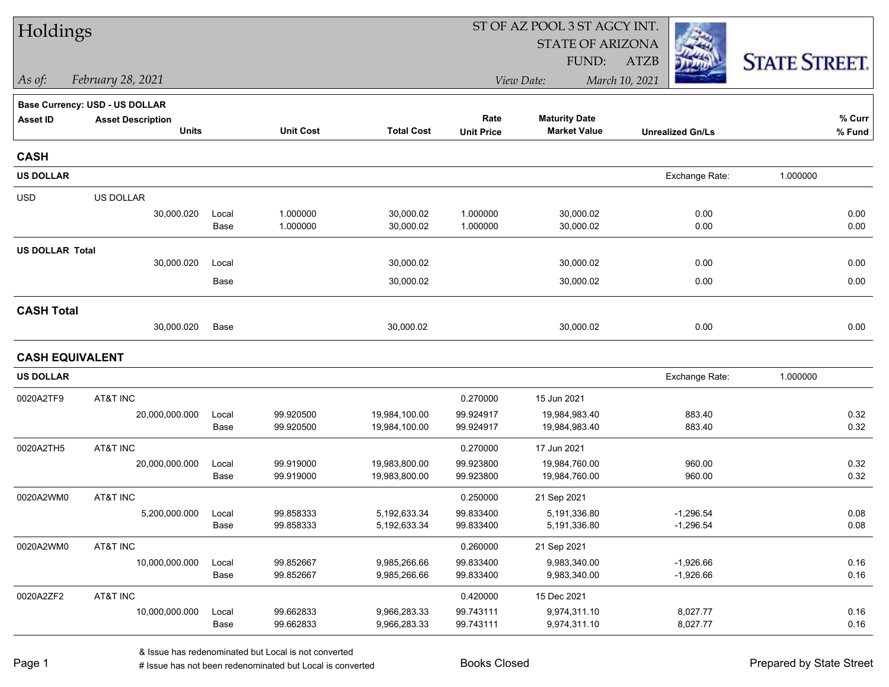| Holdings               |                                       |       |                  |                   | ST OF AZ POOL 3 ST AGCY INT. |                              |                         |                      |  |
|------------------------|---------------------------------------|-------|------------------|-------------------|------------------------------|------------------------------|-------------------------|----------------------|--|
|                        |                                       |       |                  |                   |                              | <b>STATE OF ARIZONA</b>      |                         |                      |  |
|                        |                                       |       |                  |                   |                              | FUND:                        | <b>ATZB</b>             | <b>STATE STREET.</b> |  |
| $\vert$ As of:         | February 28, 2021                     |       |                  |                   |                              | View Date:                   | March 10, 2021          |                      |  |
|                        | <b>Base Currency: USD - US DOLLAR</b> |       |                  |                   |                              |                              |                         |                      |  |
| <b>Asset ID</b>        | <b>Asset Description</b>              |       |                  |                   | Rate                         | <b>Maturity Date</b>         |                         | $%$ Curr             |  |
|                        | <b>Units</b>                          |       | <b>Unit Cost</b> | <b>Total Cost</b> | <b>Unit Price</b>            | <b>Market Value</b>          | <b>Unrealized Gn/Ls</b> | $%$ Fund             |  |
| <b>CASH</b>            |                                       |       |                  |                   |                              |                              |                         |                      |  |
| <b>US DOLLAR</b>       |                                       |       |                  |                   |                              |                              | Exchange Rate:          | 1.000000             |  |
| <b>USD</b>             | US DOLLAR                             |       |                  |                   |                              |                              |                         |                      |  |
|                        | 30,000.020                            | Local | 1.000000         | 30,000.02         | 1.000000                     | 30,000.02                    | 0.00                    | 0.00                 |  |
|                        |                                       | Base  | 1.000000         | 30,000.02         | 1.000000                     | 30,000.02                    | 0.00                    | 0.00                 |  |
| <b>US DOLLAR Total</b> |                                       |       |                  |                   |                              |                              |                         |                      |  |
|                        | 30,000.020                            | Local |                  | 30,000.02         |                              | 30,000.02                    | 0.00                    | 0.00                 |  |
|                        |                                       | Base  |                  | 30,000.02         |                              | 30,000.02                    | 0.00                    | 0.00                 |  |
| <b>CASH Total</b>      |                                       |       |                  |                   |                              |                              |                         |                      |  |
|                        | 30,000.020                            | Base  |                  | 30,000.02         |                              | 30,000.02                    | 0.00                    | 0.00                 |  |
| <b>CASH EQUIVALENT</b> |                                       |       |                  |                   |                              |                              |                         |                      |  |
| <b>US DOLLAR</b>       |                                       |       |                  |                   |                              |                              | Exchange Rate:          | 1.000000             |  |
|                        |                                       |       |                  |                   |                              |                              |                         |                      |  |
| 0020A2TF9              | AT&T INC<br>20,000,000.000            | Local | 99.920500        | 19,984,100.00     | 0.270000<br>99.924917        | 15 Jun 2021<br>19,984,983.40 | 883.40                  | 0.32                 |  |
|                        |                                       | Base  | 99.920500        | 19,984,100.00     | 99.924917                    | 19,984,983.40                | 883.40                  | 0.32                 |  |
| 0020A2TH5              | AT&T INC                              |       |                  |                   | 0.270000                     | 17 Jun 2021                  |                         |                      |  |
|                        | 20,000,000.000                        | Local | 99.919000        | 19,983,800.00     | 99.923800                    | 19,984,760.00                | 960.00                  | 0.32                 |  |
|                        |                                       | Base  | 99.919000        | 19,983,800.00     | 99.923800                    | 19,984,760.00                | 960.00                  | 0.32                 |  |
| 0020A2WM0              | AT&T INC                              |       |                  |                   | 0.250000                     | 21 Sep 2021                  |                         |                      |  |
|                        | 5,200,000.000                         | Local | 99.858333        | 5,192,633.34      | 99.833400                    | 5,191,336.80                 | $-1,296.54$             | 0.08                 |  |
|                        |                                       | Base  | 99.858333        | 5,192,633.34      | 99.833400                    | 5,191,336.80                 | $-1,296.54$             | 0.08                 |  |
| 0020A2WM0              | AT&T INC                              |       |                  |                   | 0.260000                     | 21 Sep 2021                  |                         |                      |  |
|                        | 10,000,000.000                        | Local | 99.852667        | 9,985,266.66      | 99.833400                    | 9,983,340.00                 | $-1,926.66$             | 0.16                 |  |
|                        |                                       | Base  | 99.852667        | 9,985,266.66      | 99.833400                    | 9,983,340.00                 | $-1,926.66$             | 0.16                 |  |
| 0020A2ZF2              | AT&T INC                              |       |                  |                   | 0.420000                     | 15 Dec 2021                  |                         |                      |  |
|                        | 10,000,000.000                        | Local | 99.662833        | 9,966,283.33      | 99.743111                    | 9,974,311.10                 | 8,027.77                | 0.16                 |  |
|                        |                                       | Base  | 99.662833        | 9,966,283.33      | 99.743111                    | 9,974,311.10                 | 8,027.77                | 0.16                 |  |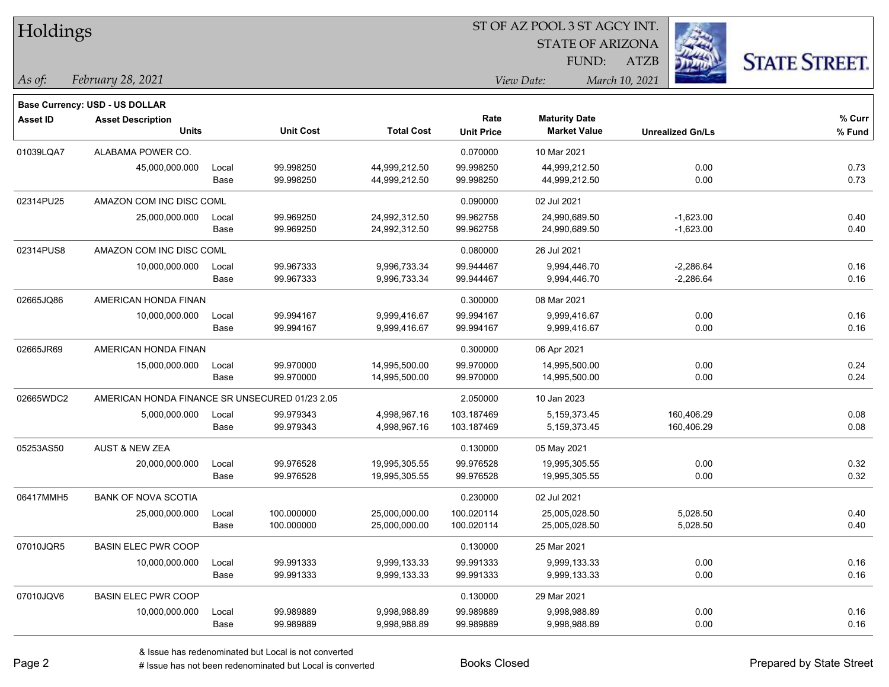| Holdings        |                                                |                      |                  |                   |                   |                         |                         |                      |
|-----------------|------------------------------------------------|----------------------|------------------|-------------------|-------------------|-------------------------|-------------------------|----------------------|
|                 |                                                |                      |                  |                   |                   | <b>STATE OF ARIZONA</b> |                         |                      |
|                 |                                                |                      |                  |                   |                   | FUND:                   | ATZB                    | <b>STATE STREET.</b> |
| As of:          | February 28, 2021                              |                      |                  |                   |                   | View Date:              | March 10, 2021          |                      |
|                 | Base Currency: USD - US DOLLAR                 |                      |                  |                   |                   |                         |                         |                      |
| <b>Asset ID</b> | <b>Asset Description</b>                       |                      |                  |                   | Rate              | <b>Maturity Date</b>    |                         | % Curr               |
|                 | <b>Units</b>                                   |                      | <b>Unit Cost</b> | <b>Total Cost</b> | <b>Unit Price</b> | <b>Market Value</b>     | <b>Unrealized Gn/Ls</b> | % Fund               |
| 01039LQA7       | ALABAMA POWER CO.                              |                      |                  |                   | 0.070000          | 10 Mar 2021             |                         |                      |
|                 | 45,000,000.000                                 | Local                | 99.998250        | 44,999,212.50     | 99.998250         | 44,999,212.50           | 0.00                    | 0.73                 |
|                 |                                                | Base                 | 99.998250        | 44,999,212.50     | 99.998250         | 44,999,212.50           | 0.00                    | 0.73                 |
| 02314PU25       | AMAZON COM INC DISC COML                       |                      |                  |                   | 0.090000          | 02 Jul 2021             |                         |                      |
|                 | 25,000,000.000                                 | Local                | 99.969250        | 24,992,312.50     | 99.962758         | 24,990,689.50           | $-1,623.00$             | 0.40                 |
|                 |                                                | Base                 | 99.969250        | 24,992,312.50     | 99.962758         | 24,990,689.50           | $-1,623.00$             | 0.40                 |
| 02314PUS8       | AMAZON COM INC DISC COML                       |                      |                  |                   | 0.080000          | 26 Jul 2021             |                         |                      |
|                 | 10,000,000.000                                 | Local                | 99.967333        | 9,996,733.34      | 99.944467         | 9,994,446.70            | $-2,286.64$             | 0.16                 |
|                 |                                                | Base                 | 99.967333        | 9,996,733.34      | 99.944467         | 9,994,446.70            | $-2,286.64$             | 0.16                 |
| 02665JQ86       | AMERICAN HONDA FINAN                           |                      |                  |                   | 0.300000          | 08 Mar 2021             |                         |                      |
|                 | 10,000,000.000                                 | Local                | 99.994167        | 9,999,416.67      | 99.994167         | 9,999,416.67            | 0.00                    | 0.16                 |
|                 |                                                | Base                 | 99.994167        | 9,999,416.67      | 99.994167         | 9,999,416.67            | 0.00                    | 0.16                 |
| 02665JR69       |                                                | AMERICAN HONDA FINAN |                  |                   | 0.300000          | 06 Apr 2021             |                         |                      |
|                 | 15,000,000.000                                 | Local                | 99.970000        | 14,995,500.00     | 99.970000         | 14,995,500.00           | 0.00                    | 0.24                 |
|                 |                                                | Base                 | 99.970000        | 14,995,500.00     | 99.970000         | 14,995,500.00           | 0.00                    | 0.24                 |
| 02665WDC2       | AMERICAN HONDA FINANCE SR UNSECURED 01/23 2.05 |                      |                  |                   | 2.050000          | 10 Jan 2023             |                         |                      |
|                 | 5,000,000.000                                  | Local                | 99.979343        | 4,998,967.16      | 103.187469        | 5, 159, 373. 45         | 160,406.29              | 0.08                 |
|                 |                                                | Base                 | 99.979343        | 4,998,967.16      | 103.187469        | 5,159,373.45            | 160,406.29              | 0.08                 |
| 05253AS50       | <b>AUST &amp; NEW ZEA</b>                      |                      |                  |                   | 0.130000          | 05 May 2021             |                         |                      |
|                 | 20,000,000.000                                 | Local                | 99.976528        | 19,995,305.55     | 99.976528         | 19,995,305.55           | 0.00                    | 0.32                 |
|                 |                                                | Base                 | 99.976528        | 19,995,305.55     | 99.976528         | 19,995,305.55           | 0.00                    | 0.32                 |
| 06417MMH5       | <b>BANK OF NOVA SCOTIA</b>                     |                      |                  |                   | 0.230000          | 02 Jul 2021             |                         |                      |
|                 | 25,000,000.000                                 | Local                | 100.000000       | 25,000,000.00     | 100.020114        | 25,005,028.50           | 5,028.50                | 0.40                 |
|                 |                                                | Base                 | 100.000000       | 25,000,000.00     | 100.020114        | 25,005,028.50           | 5,028.50                | 0.40                 |
| 07010JQR5       | <b>BASIN ELEC PWR COOP</b>                     |                      |                  |                   | 0.130000          | 25 Mar 2021             |                         |                      |
|                 | 10,000,000.000                                 | Local                | 99.991333        | 9,999,133.33      | 99.991333         | 9,999,133.33            | 0.00                    | 0.16                 |
|                 |                                                | Base                 | 99.991333        | 9,999,133.33      | 99.991333         | 9,999,133.33            | 0.00                    | 0.16                 |
| 07010JQV6       | <b>BASIN ELEC PWR COOP</b>                     |                      |                  |                   | 0.130000          | 29 Mar 2021             |                         |                      |
|                 | 10,000,000.000                                 | Local                | 99.989889        | 9,998,988.89      | 99.989889         | 9,998,988.89            | 0.00                    | 0.16                 |
|                 |                                                | Base                 | 99.989889        | 9,998,988.89      | 99.989889         | 9,998,988.89            | 0.00                    | 0.16                 |

 $\overline{\phantom{0}}$ 

 $\overline{\phantom{0}}$ 

 $\overline{\phantom{0}}$ 

 $\overline{\phantom{0}}$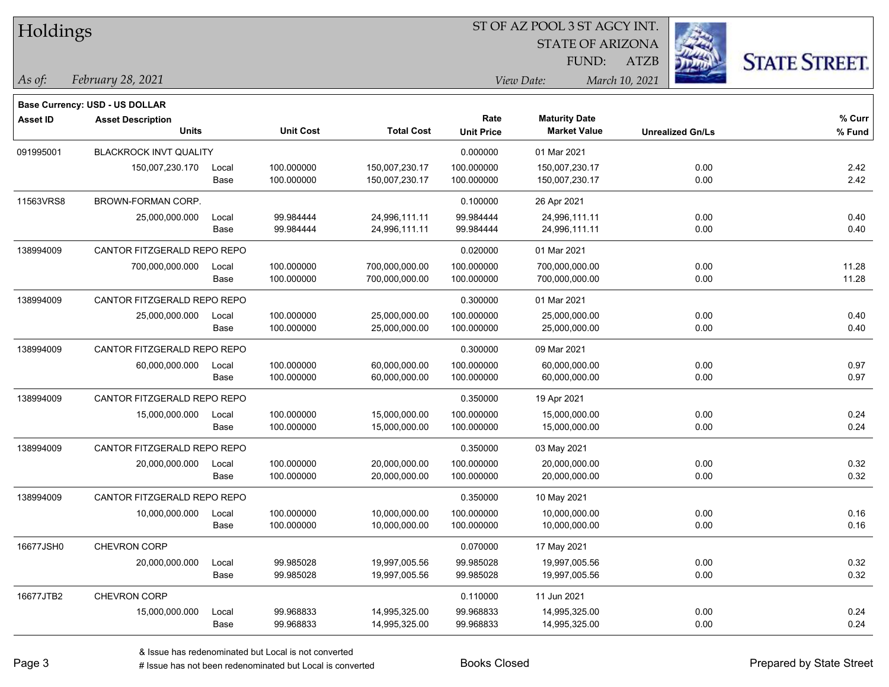|  |  | Holdings |
|--|--|----------|
|--|--|----------|

STATE OF ARIZONA

ATZB



*February 28, 2021 As of: View Date: March 10, 2021*

**Base Currency: USD - US DOLLAR**

FUND:

| Asset ID  | <b>Asset Description</b>      |       |                  |                   | Rate              | <b>Maturity Date</b> |                         | % Curr |
|-----------|-------------------------------|-------|------------------|-------------------|-------------------|----------------------|-------------------------|--------|
|           | <b>Units</b>                  |       | <b>Unit Cost</b> | <b>Total Cost</b> | <b>Unit Price</b> | <b>Market Value</b>  | <b>Unrealized Gn/Ls</b> | % Fund |
| 091995001 | <b>BLACKROCK INVT QUALITY</b> |       |                  |                   | 0.000000          | 01 Mar 2021          |                         |        |
|           | 150,007,230.170               | Local | 100.000000       | 150,007,230.17    | 100.000000        | 150,007,230.17       | 0.00                    | 2.42   |
|           |                               | Base  | 100.000000       | 150,007,230.17    | 100.000000        | 150,007,230.17       | 0.00                    | 2.42   |
| 11563VRS8 | BROWN-FORMAN CORP.            |       |                  |                   | 0.100000          | 26 Apr 2021          |                         |        |
|           | 25,000,000.000                | Local | 99.984444        | 24,996,111.11     | 99.984444         | 24,996,111.11        | 0.00                    | 0.40   |
|           |                               | Base  | 99.984444        | 24,996,111.11     | 99.984444         | 24,996,111.11        | 0.00                    | 0.40   |
| 138994009 | CANTOR FITZGERALD REPO REPO   |       |                  |                   | 0.020000          | 01 Mar 2021          |                         |        |
|           | 700,000,000.000               | Local | 100.000000       | 700,000,000.00    | 100.000000        | 700,000,000.00       | 0.00                    | 11.28  |
|           |                               | Base  | 100.000000       | 700,000,000.00    | 100.000000        | 700,000,000.00       | 0.00                    | 11.28  |
| 138994009 | CANTOR FITZGERALD REPO REPO   |       |                  |                   | 0.300000          | 01 Mar 2021          |                         |        |
|           | 25,000,000.000                | Local | 100.000000       | 25,000,000.00     | 100.000000        | 25,000,000.00        | 0.00                    | 0.40   |
|           |                               | Base  | 100.000000       | 25,000,000.00     | 100.000000        | 25,000,000.00        | 0.00                    | 0.40   |
| 138994009 | CANTOR FITZGERALD REPO REPO   |       |                  |                   | 0.300000          | 09 Mar 2021          |                         |        |
|           | 60,000,000.000                | Local | 100.000000       | 60,000,000.00     | 100.000000        | 60,000,000.00        | 0.00                    | 0.97   |
|           |                               | Base  | 100.000000       | 60,000,000.00     | 100.000000        | 60,000,000.00        | 0.00                    | 0.97   |
| 138994009 | CANTOR FITZGERALD REPO REPO   |       |                  |                   | 0.350000          | 19 Apr 2021          |                         |        |
|           | 15,000,000.000                | Local | 100.000000       | 15,000,000.00     | 100.000000        | 15,000,000.00        | 0.00                    | 0.24   |
|           |                               | Base  | 100.000000       | 15,000,000.00     | 100.000000        | 15,000,000.00        | 0.00                    | 0.24   |
| 138994009 | CANTOR FITZGERALD REPO REPO   |       |                  |                   | 0.350000          | 03 May 2021          |                         |        |
|           | 20,000,000.000                | Local | 100.000000       | 20,000,000.00     | 100.000000        | 20,000,000.00        | 0.00                    | 0.32   |
|           |                               | Base  | 100.000000       | 20,000,000.00     | 100.000000        | 20,000,000.00        | 0.00                    | 0.32   |
| 138994009 | CANTOR FITZGERALD REPO REPO   |       |                  |                   | 0.350000          | 10 May 2021          |                         |        |
|           | 10,000,000.000                | Local | 100.000000       | 10,000,000.00     | 100.000000        | 10,000,000.00        | 0.00                    | 0.16   |
|           |                               | Base  | 100.000000       | 10,000,000.00     | 100.000000        | 10,000,000.00        | 0.00                    | 0.16   |
| 16677JSH0 | CHEVRON CORP                  |       |                  |                   | 0.070000          | 17 May 2021          |                         |        |
|           | 20,000,000.000                | Local | 99.985028        | 19,997,005.56     | 99.985028         | 19,997,005.56        | 0.00                    | 0.32   |
|           |                               | Base  | 99.985028        | 19,997,005.56     | 99.985028         | 19,997,005.56        | 0.00                    | 0.32   |
| 16677JTB2 | <b>CHEVRON CORP</b>           |       |                  |                   | 0.110000          | 11 Jun 2021          |                         |        |
|           | 15,000,000.000                | Local | 99.968833        | 14,995,325.00     | 99.968833         | 14,995,325.00        | 0.00                    | 0.24   |
|           |                               | Base  | 99.968833        | 14,995,325.00     | 99.968833         | 14,995,325.00        | 0.00                    | 0.24   |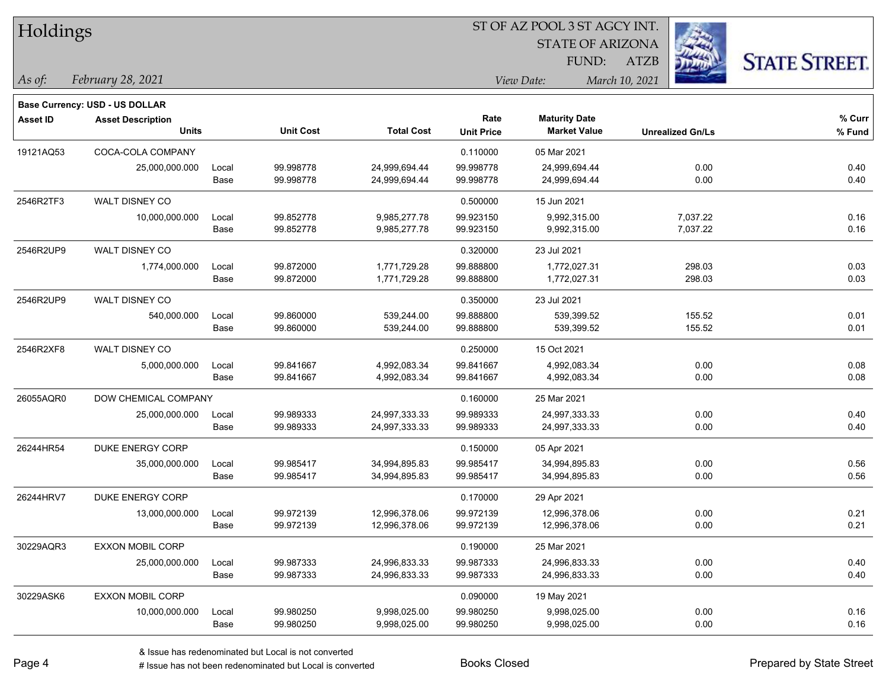| Holdings        |                                       |       |                  | ST OF AZ POOL 3 ST AGCY INT. |                   |                         |                         |                      |  |  |
|-----------------|---------------------------------------|-------|------------------|------------------------------|-------------------|-------------------------|-------------------------|----------------------|--|--|
|                 |                                       |       |                  |                              |                   | <b>STATE OF ARIZONA</b> |                         |                      |  |  |
|                 |                                       |       |                  |                              |                   | FUND:                   | ATZB                    | <b>STATE STREET.</b> |  |  |
| $\vert$ As of:  | February 28, 2021                     |       |                  |                              |                   | View Date:              | March 10, 2021          |                      |  |  |
|                 | <b>Base Currency: USD - US DOLLAR</b> |       |                  |                              |                   |                         |                         |                      |  |  |
| <b>Asset ID</b> | <b>Asset Description</b>              |       |                  |                              | Rate              | <b>Maturity Date</b>    |                         | % Curr               |  |  |
|                 | <b>Units</b>                          |       | <b>Unit Cost</b> | <b>Total Cost</b>            | <b>Unit Price</b> | <b>Market Value</b>     | <b>Unrealized Gn/Ls</b> | % Fund               |  |  |
| 19121AQ53       | COCA-COLA COMPANY                     |       |                  |                              | 0.110000          | 05 Mar 2021             |                         |                      |  |  |
|                 | 25,000,000.000                        | Local | 99.998778        | 24,999,694.44                | 99.998778         | 24,999,694.44           | 0.00                    | 0.40                 |  |  |
|                 |                                       | Base  | 99.998778        | 24,999,694.44                | 99.998778         | 24,999,694.44           | 0.00                    | 0.40                 |  |  |
| 2546R2TF3       | WALT DISNEY CO                        |       |                  |                              | 0.500000          | 15 Jun 2021             |                         |                      |  |  |
|                 | 10,000,000.000                        | Local | 99.852778        | 9,985,277.78                 | 99.923150         | 9,992,315.00            | 7,037.22                | 0.16                 |  |  |
|                 |                                       | Base  | 99.852778        | 9,985,277.78                 | 99.923150         | 9,992,315.00            | 7,037.22                | 0.16                 |  |  |
| 2546R2UP9       | WALT DISNEY CO                        |       |                  |                              | 0.320000          | 23 Jul 2021             |                         |                      |  |  |
|                 | 1,774,000.000                         | Local | 99.872000        | 1,771,729.28                 | 99.888800         | 1,772,027.31            | 298.03                  | 0.03                 |  |  |
|                 |                                       | Base  | 99.872000        | 1,771,729.28                 | 99.888800         | 1,772,027.31            | 298.03                  | 0.03                 |  |  |
| 2546R2UP9       | WALT DISNEY CO                        |       |                  |                              | 0.350000          | 23 Jul 2021             |                         |                      |  |  |
|                 | 540,000.000                           | Local | 99.860000        | 539,244.00                   | 99.888800         | 539,399.52              | 155.52                  | 0.01                 |  |  |
|                 |                                       | Base  | 99.860000        | 539,244.00                   | 99.888800         | 539,399.52              | 155.52                  | 0.01                 |  |  |
| 2546R2XF8       | WALT DISNEY CO                        |       |                  |                              | 0.250000          | 15 Oct 2021             |                         |                      |  |  |
|                 | 5,000,000.000                         | Local | 99.841667        | 4,992,083.34                 | 99.841667         | 4,992,083.34            | 0.00                    | 0.08                 |  |  |
|                 |                                       | Base  | 99.841667        | 4,992,083.34                 | 99.841667         | 4,992,083.34            | 0.00                    | 0.08                 |  |  |
| 26055AQR0       | DOW CHEMICAL COMPANY                  |       |                  |                              | 0.160000          | 25 Mar 2021             |                         |                      |  |  |
|                 | 25,000,000.000                        | Local | 99.989333        | 24,997,333.33                | 99.989333         | 24,997,333.33           | 0.00                    | 0.40                 |  |  |
|                 |                                       | Base  | 99.989333        | 24,997,333.33                | 99.989333         | 24,997,333.33           | 0.00                    | 0.40                 |  |  |
| 26244HR54       | DUKE ENERGY CORP                      |       |                  |                              | 0.150000          | 05 Apr 2021             |                         |                      |  |  |
|                 | 35,000,000.000                        | Local | 99.985417        | 34,994,895.83                | 99.985417         | 34,994,895.83           | 0.00                    | 0.56                 |  |  |
|                 |                                       | Base  | 99.985417        | 34,994,895.83                | 99.985417         | 34,994,895.83           | 0.00                    | 0.56                 |  |  |
| 26244HRV7       | DUKE ENERGY CORP                      |       |                  |                              | 0.170000          | 29 Apr 2021             |                         |                      |  |  |
|                 | 13,000,000.000                        | Local | 99.972139        | 12,996,378.06                | 99.972139         | 12,996,378.06           | 0.00                    | 0.21                 |  |  |
|                 |                                       | Base  | 99.972139        | 12,996,378.06                | 99.972139         | 12,996,378.06           | 0.00                    | 0.21                 |  |  |
| 30229AQR3       | EXXON MOBIL CORP                      |       |                  |                              | 0.190000          | 25 Mar 2021             |                         |                      |  |  |
|                 | 25,000,000.000                        | Local | 99.987333        | 24,996,833.33                | 99.987333         | 24,996,833.33           | 0.00                    | 0.40                 |  |  |
|                 |                                       | Base  | 99.987333        | 24,996,833.33                | 99.987333         | 24,996,833.33           | 0.00                    | 0.40                 |  |  |
| 30229ASK6       | <b>EXXON MOBIL CORP</b>               |       |                  |                              | 0.090000          | 19 May 2021             |                         |                      |  |  |
|                 | 10,000,000.000                        | Local | 99.980250        | 9,998,025.00                 | 99.980250         | 9,998,025.00            | 0.00                    | 0.16                 |  |  |
|                 |                                       | Base  | 99.980250        | 9,998,025.00                 | 99.980250         | 9,998,025.00            | 0.00                    | 0.16                 |  |  |

 $\overline{\phantom{a}}$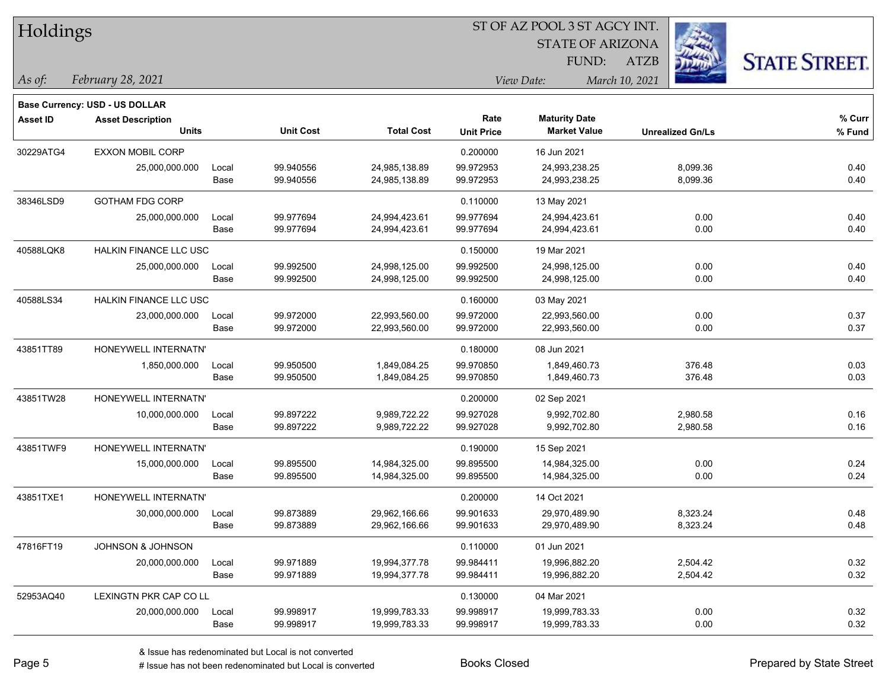| Holdings        |                                |       |                  | ST OF AZ POOL 3 ST AGCY INT. |                   |                         |                         |                      |  |
|-----------------|--------------------------------|-------|------------------|------------------------------|-------------------|-------------------------|-------------------------|----------------------|--|
|                 |                                |       |                  |                              |                   | <b>STATE OF ARIZONA</b> |                         |                      |  |
|                 |                                |       |                  |                              |                   | FUND:                   | <b>ATZB</b>             | <b>STATE STREET.</b> |  |
| As of:          | February 28, 2021              |       |                  |                              |                   | View Date:              | March 10, 2021          |                      |  |
|                 | Base Currency: USD - US DOLLAR |       |                  |                              |                   |                         |                         |                      |  |
| <b>Asset ID</b> | <b>Asset Description</b>       |       |                  |                              | Rate              | <b>Maturity Date</b>    |                         | % Curr               |  |
|                 | <b>Units</b>                   |       | <b>Unit Cost</b> | <b>Total Cost</b>            | <b>Unit Price</b> | <b>Market Value</b>     | <b>Unrealized Gn/Ls</b> | % Fund               |  |
| 30229ATG4       | <b>EXXON MOBIL CORP</b>        |       |                  |                              | 0.200000          | 16 Jun 2021             |                         |                      |  |
|                 | 25,000,000.000                 | Local | 99.940556        | 24,985,138.89                | 99.972953         | 24,993,238.25           | 8,099.36                | 0.40                 |  |
|                 |                                | Base  | 99.940556        | 24,985,138.89                | 99.972953         | 24,993,238.25           | 8,099.36                | 0.40                 |  |
| 38346LSD9       | <b>GOTHAM FDG CORP</b>         |       |                  |                              | 0.110000          | 13 May 2021             |                         |                      |  |
|                 | 25,000,000.000                 | Local | 99.977694        | 24,994,423.61                | 99.977694         | 24,994,423.61           | 0.00                    | 0.40                 |  |
|                 |                                | Base  | 99.977694        | 24,994,423.61                | 99.977694         | 24,994,423.61           | 0.00                    | 0.40                 |  |
| 40588LQK8       | HALKIN FINANCE LLC USC         |       |                  |                              | 0.150000          | 19 Mar 2021             |                         |                      |  |
|                 | 25,000,000.000                 | Local | 99.992500        | 24,998,125.00                | 99.992500         | 24,998,125.00           | 0.00                    | 0.40                 |  |
|                 |                                | Base  | 99.992500        | 24,998,125.00                | 99.992500         | 24,998,125.00           | 0.00                    | 0.40                 |  |
| 40588LS34       | HALKIN FINANCE LLC USC         |       |                  |                              | 0.160000          | 03 May 2021             |                         |                      |  |
|                 | 23,000,000.000                 | Local | 99.972000        | 22,993,560.00                | 99.972000         | 22,993,560.00           | 0.00                    | 0.37                 |  |
|                 |                                | Base  | 99.972000        | 22,993,560.00                | 99.972000         | 22,993,560.00           | 0.00                    | 0.37                 |  |
| 43851TT89       | HONEYWELL INTERNATN'           |       |                  |                              | 0.180000          | 08 Jun 2021             |                         |                      |  |
|                 | 1,850,000.000                  | Local | 99.950500        | 1,849,084.25                 | 99.970850         | 1,849,460.73            | 376.48                  | 0.03                 |  |
|                 |                                | Base  | 99.950500        | 1,849,084.25                 | 99.970850         | 1,849,460.73            | 376.48                  | 0.03                 |  |
| 43851TW28       | HONEYWELL INTERNATN'           |       |                  |                              | 0.200000          | 02 Sep 2021             |                         |                      |  |
|                 | 10,000,000.000                 | Local | 99.897222        | 9,989,722.22                 | 99.927028         | 9,992,702.80            | 2,980.58                | 0.16                 |  |
|                 |                                | Base  | 99.897222        | 9,989,722.22                 | 99.927028         | 9,992,702.80            | 2,980.58                | 0.16                 |  |
| 43851TWF9       | HONEYWELL INTERNATN'           |       |                  |                              | 0.190000          | 15 Sep 2021             |                         |                      |  |
|                 | 15,000,000.000                 | Local | 99.895500        | 14,984,325.00                | 99.895500         | 14,984,325.00           | 0.00                    | 0.24                 |  |
|                 |                                | Base  | 99.895500        | 14,984,325.00                | 99.895500         | 14,984,325.00           | 0.00                    | 0.24                 |  |
| 43851TXE1       | HONEYWELL INTERNATN'           |       |                  |                              | 0.200000          | 14 Oct 2021             |                         |                      |  |
|                 | 30,000,000.000                 | Local | 99.873889        | 29,962,166.66                | 99.901633         | 29,970,489.90           | 8,323.24                | 0.48                 |  |
|                 |                                | Base  | 99.873889        | 29,962,166.66                | 99.901633         | 29,970,489.90           | 8,323.24                | 0.48                 |  |
| 47816FT19       | JOHNSON & JOHNSON              |       |                  |                              | 0.110000          | 01 Jun 2021             |                         |                      |  |
|                 | 20,000,000.000                 | Local | 99.971889        | 19,994,377.78                | 99.984411         | 19,996,882.20           | 2,504.42                | 0.32                 |  |
|                 |                                | Base  | 99.971889        | 19,994,377.78                | 99.984411         | 19,996,882.20           | 2,504.42                | 0.32                 |  |
| 52953AQ40       | LEXINGTN PKR CAP CO LL         |       |                  |                              | 0.130000          | 04 Mar 2021             |                         |                      |  |
|                 | 20,000,000.000                 | Local | 99.998917        | 19,999,783.33                | 99.998917         | 19,999,783.33           | 0.00                    | 0.32                 |  |
|                 |                                | Base  | 99.998917        | 19,999,783.33                | 99.998917         | 19,999,783.33           | 0.00                    | 0.32                 |  |

 $\overline{\phantom{0}}$ 

 $\overline{\phantom{a}}$ 

 $\overline{\phantom{0}}$ 

 $\overline{\phantom{0}}$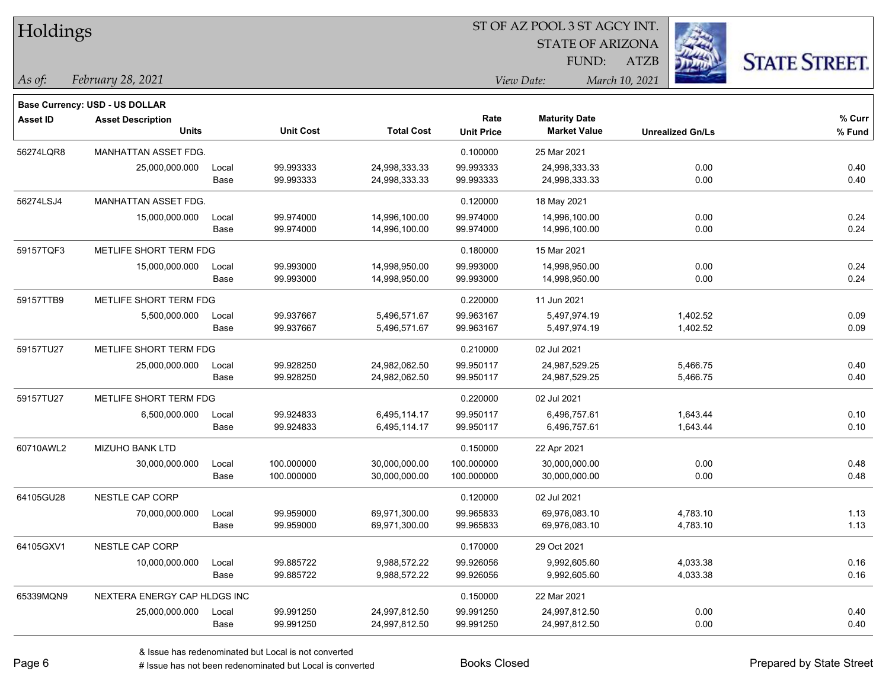| Holdings        |                                       |       |                  |                   |                   | 51 OF AZ POOL 3 51 AGCY INT. |                         |                      |
|-----------------|---------------------------------------|-------|------------------|-------------------|-------------------|------------------------------|-------------------------|----------------------|
|                 |                                       |       |                  |                   |                   | <b>STATE OF ARIZONA</b>      |                         |                      |
|                 |                                       |       |                  |                   |                   | FUND:                        | ATZB                    | <b>STATE STREET.</b> |
| $ $ As of:      | February 28, 2021                     |       |                  |                   |                   | View Date:                   | March 10, 2021          |                      |
|                 | <b>Base Currency: USD - US DOLLAR</b> |       |                  |                   |                   |                              |                         |                      |
| <b>Asset ID</b> | <b>Asset Description</b>              |       |                  |                   | Rate              | <b>Maturity Date</b>         |                         | % Curr               |
|                 | <b>Units</b>                          |       | <b>Unit Cost</b> | <b>Total Cost</b> | <b>Unit Price</b> | <b>Market Value</b>          | <b>Unrealized Gn/Ls</b> | % Fund               |
| 56274LQR8       | MANHATTAN ASSET FDG.                  |       |                  |                   | 0.100000          | 25 Mar 2021                  |                         |                      |
|                 | 25,000,000.000                        | Local | 99.993333        | 24,998,333.33     | 99.993333         | 24,998,333.33                | 0.00                    | 0.40                 |
|                 |                                       | Base  | 99.993333        | 24,998,333.33     | 99.993333         | 24,998,333.33                | 0.00                    | 0.40                 |
| 56274LSJ4       | MANHATTAN ASSET FDG.                  |       |                  |                   | 0.120000          | 18 May 2021                  |                         |                      |
|                 | 15,000,000.000                        | Local | 99.974000        | 14,996,100.00     | 99.974000         | 14,996,100.00                | 0.00                    | 0.24                 |
|                 |                                       | Base  | 99.974000        | 14,996,100.00     | 99.974000         | 14,996,100.00                | 0.00                    | 0.24                 |
| 59157TQF3       | METLIFE SHORT TERM FDG                |       |                  |                   | 0.180000          | 15 Mar 2021                  |                         |                      |
|                 | 15,000,000.000                        | Local | 99.993000        | 14,998,950.00     | 99.993000         | 14,998,950.00                | 0.00                    | 0.24                 |
|                 |                                       | Base  | 99.993000        | 14,998,950.00     | 99.993000         | 14,998,950.00                | 0.00                    | 0.24                 |
| 59157TTB9       | METLIFE SHORT TERM FDG                |       |                  |                   | 0.220000          | 11 Jun 2021                  |                         |                      |
|                 | 5,500,000.000                         | Local | 99.937667        | 5,496,571.67      | 99.963167         | 5,497,974.19                 | 1,402.52                | 0.09                 |
|                 |                                       | Base  | 99.937667        | 5,496,571.67      | 99.963167         | 5,497,974.19                 | 1,402.52                | 0.09                 |
| 59157TU27       | METLIFE SHORT TERM FDG                |       |                  |                   | 0.210000          | 02 Jul 2021                  |                         |                      |
|                 | 25,000,000.000                        | Local | 99.928250        | 24,982,062.50     | 99.950117         | 24,987,529.25                | 5,466.75                | 0.40                 |
|                 |                                       | Base  | 99.928250        | 24,982,062.50     | 99.950117         | 24,987,529.25                | 5,466.75                | 0.40                 |
| 59157TU27       | METLIFE SHORT TERM FDG                |       |                  |                   | 0.220000          | 02 Jul 2021                  |                         |                      |
|                 | 6,500,000.000                         | Local | 99.924833        | 6,495,114.17      | 99.950117         | 6,496,757.61                 | 1,643.44                | 0.10                 |
|                 |                                       | Base  | 99.924833        | 6,495,114.17      | 99.950117         | 6,496,757.61                 | 1,643.44                | 0.10                 |
| 60710AWL2       | MIZUHO BANK LTD                       |       |                  |                   | 0.150000          | 22 Apr 2021                  |                         |                      |
|                 | 30,000,000.000                        | Local | 100.000000       | 30,000,000.00     | 100.000000        | 30,000,000.00                | 0.00                    | 0.48                 |
|                 |                                       | Base  | 100.000000       | 30,000,000.00     | 100.000000        | 30,000,000.00                | 0.00                    | 0.48                 |
| 64105GU28       | <b>NESTLE CAP CORP</b>                |       |                  |                   | 0.120000          | 02 Jul 2021                  |                         |                      |
|                 | 70,000,000.000                        | Local | 99.959000        | 69,971,300.00     | 99.965833         | 69,976,083.10                | 4,783.10                | 1.13                 |
|                 |                                       | Base  | 99.959000        | 69,971,300.00     | 99.965833         | 69,976,083.10                | 4,783.10                | 1.13                 |
| 64105GXV1       | NESTLE CAP CORP                       |       |                  |                   | 0.170000          | 29 Oct 2021                  |                         |                      |
|                 | 10,000,000.000                        | Local | 99.885722        | 9,988,572.22      | 99.926056         | 9,992,605.60                 | 4,033.38                | 0.16                 |
|                 |                                       | Base  | 99.885722        | 9,988,572.22      | 99.926056         | 9,992,605.60                 | 4,033.38                | 0.16                 |
| 65339MQN9       | NEXTERA ENERGY CAP HLDGS INC          |       |                  |                   | 0.150000          | 22 Mar 2021                  |                         |                      |
|                 | 25,000,000.000                        | Local | 99.991250        | 24,997,812.50     | 99.991250         | 24,997,812.50                | 0.00                    | 0.40                 |
|                 |                                       | Base  | 99.991250        | 24,997,812.50     | 99.991250         | 24,997,812.50                | 0.00                    | 0.40                 |

ST OF A Z POOL 2 ST ACCV INT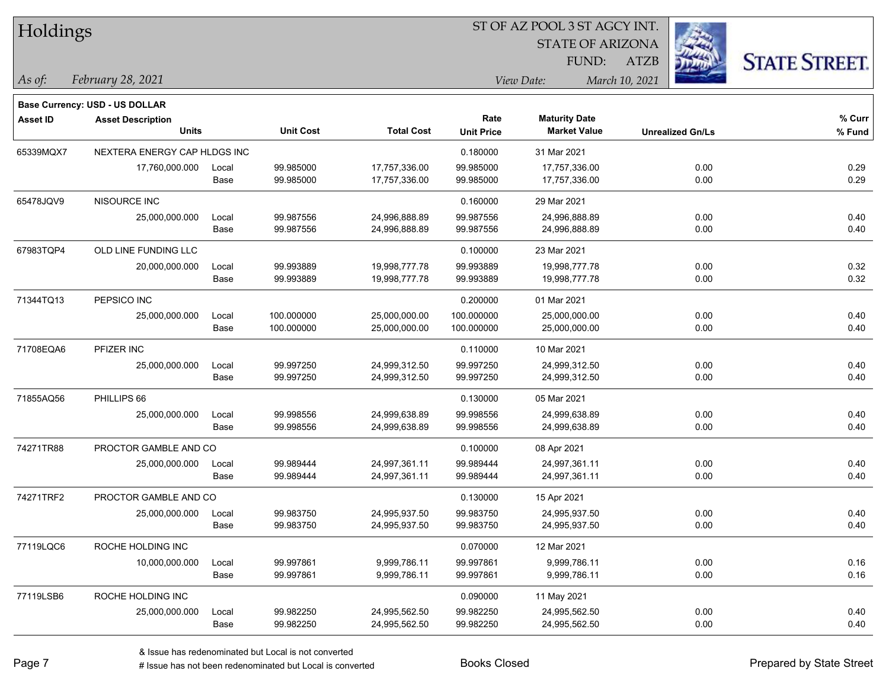|  | Holdings |
|--|----------|
|--|----------|

STATE OF ARIZONA

ATZB



*February 28, 2021 As of: View Date: March 10, 2021*

**Base Currency: USD - US DOLLAR**

FUND:

| <b>Asset ID</b> | <b>Asset Description</b>     |                       |                  |                   | Rate              | <b>Maturity Date</b> |                         | % Curr |
|-----------------|------------------------------|-----------------------|------------------|-------------------|-------------------|----------------------|-------------------------|--------|
|                 | <b>Units</b>                 |                       | <b>Unit Cost</b> | <b>Total Cost</b> | <b>Unit Price</b> | <b>Market Value</b>  | <b>Unrealized Gn/Ls</b> | % Fund |
| 65339MQX7       | NEXTERA ENERGY CAP HLDGS INC |                       |                  |                   | 0.180000          | 31 Mar 2021          |                         |        |
|                 | 17,760,000.000               | Local                 | 99.985000        | 17,757,336.00     | 99.985000         | 17,757,336.00        | 0.00                    | 0.29   |
|                 |                              | Base                  | 99.985000        | 17,757,336.00     | 99.985000         | 17,757,336.00        | 0.00                    | 0.29   |
| 65478JQV9       | NISOURCE INC                 |                       |                  |                   | 0.160000          | 29 Mar 2021          |                         |        |
|                 | 25,000,000.000               | Local                 | 99.987556        | 24,996,888.89     | 99.987556         | 24,996,888.89        | 0.00                    | 0.40   |
|                 |                              | Base                  | 99.987556        | 24,996,888.89     | 99.987556         | 24,996,888.89        | 0.00                    | 0.40   |
| 67983TQP4       | OLD LINE FUNDING LLC         |                       |                  |                   | 0.100000          | 23 Mar 2021          |                         |        |
|                 | 20,000,000.000               | Local                 | 99.993889        | 19,998,777.78     | 99.993889         | 19,998,777.78        | 0.00                    | 0.32   |
|                 |                              | Base                  | 99.993889        | 19,998,777.78     | 99.993889         | 19,998,777.78        | 0.00                    | 0.32   |
| 71344TQ13       | PEPSICO INC                  |                       |                  |                   | 0.200000          | 01 Mar 2021          |                         |        |
|                 | 25,000,000.000               | Local                 | 100.000000       | 25,000,000.00     | 100.000000        | 25,000,000.00        | 0.00                    | 0.40   |
|                 |                              | Base                  | 100.000000       | 25,000,000.00     | 100.000000        | 25,000,000.00        | 0.00                    | 0.40   |
| 71708EQA6       | PFIZER INC                   |                       |                  |                   | 0.110000          | 10 Mar 2021          |                         |        |
|                 | 25,000,000.000               | Local                 | 99.997250        | 24,999,312.50     | 99.997250         | 24,999,312.50        | 0.00                    | 0.40   |
|                 |                              | Base                  | 99.997250        | 24,999,312.50     | 99.997250         | 24,999,312.50        | 0.00                    | 0.40   |
| 71855AQ56       | PHILLIPS 66                  |                       |                  |                   | 0.130000          | 05 Mar 2021          |                         |        |
|                 | 25,000,000.000               | Local                 | 99.998556        | 24,999,638.89     | 99.998556         | 24,999,638.89        | 0.00                    | 0.40   |
|                 |                              | Base                  | 99.998556        | 24,999,638.89     | 99.998556         | 24,999,638.89        | 0.00                    | 0.40   |
| 74271TR88       |                              | PROCTOR GAMBLE AND CO |                  |                   | 0.100000          | 08 Apr 2021          |                         |        |
|                 | 25,000,000.000               | Local                 | 99.989444        | 24,997,361.11     | 99.989444         | 24,997,361.11        | 0.00                    | 0.40   |
|                 |                              | Base                  | 99.989444        | 24,997,361.11     | 99.989444         | 24,997,361.11        | 0.00                    | 0.40   |
| 74271TRF2       | PROCTOR GAMBLE AND CO        |                       |                  |                   | 0.130000          | 15 Apr 2021          |                         |        |

77119LQC6 ROCHE HOLDING INC 0.070000 12 Mar 2021

77119LSB6 ROCHE HOLDING INC 0.090000 11 May 2021

25,000,000.000 Local 99.983750 24,995,937.50 99.983750 24,995,937.50 0.00 0.40

10,000,000.000 Local 99.997861 9,999,786.11 99.997861 9,999,786.11 0.00 0.16

25,000,000.000 Local 99.982250 24,995,562.50 99.982250 24,995,562.50 0.00 0.40

Base 99.983750 24,995,937.50 99.983750 24,995,937.50 0.00 0.40

Base 99.997861 9,999,786.11 99.997861 9,999,786.11 0.00 0.16

Base 99.982250 24,995,562.50 99.982250 24,995,562.50 0.00 0.40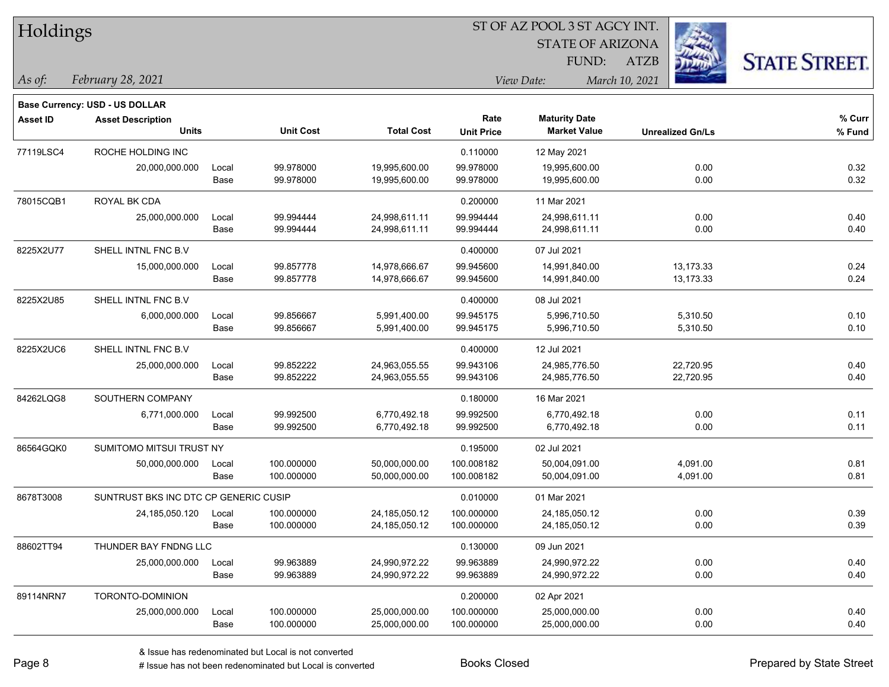| Holdings        |                                       |       |                  |                   | ST OF AZ POOL 3 ST AGCY INT. |                         |                         |                      |  |
|-----------------|---------------------------------------|-------|------------------|-------------------|------------------------------|-------------------------|-------------------------|----------------------|--|
|                 |                                       |       |                  |                   |                              | <b>STATE OF ARIZONA</b> |                         |                      |  |
|                 |                                       |       |                  |                   |                              | FUND:                   | Lugi<br>ATZB            | <b>STATE STREET.</b> |  |
| As of:          | February 28, 2021                     |       |                  |                   |                              | View Date:              | March 10, 2021          |                      |  |
|                 | Base Currency: USD - US DOLLAR        |       |                  |                   |                              |                         |                         |                      |  |
| <b>Asset ID</b> | <b>Asset Description</b>              |       |                  |                   | Rate                         | <b>Maturity Date</b>    |                         | % Curr               |  |
|                 | <b>Units</b>                          |       | <b>Unit Cost</b> | <b>Total Cost</b> | <b>Unit Price</b>            | <b>Market Value</b>     | <b>Unrealized Gn/Ls</b> | % Fund               |  |
| 77119LSC4       | ROCHE HOLDING INC                     |       |                  |                   | 0.110000                     | 12 May 2021             |                         |                      |  |
|                 | 20,000,000.000                        | Local | 99.978000        | 19,995,600.00     | 99.978000                    | 19,995,600.00           | 0.00                    | 0.32                 |  |
|                 |                                       | Base  | 99.978000        | 19,995,600.00     | 99.978000                    | 19,995,600.00           | 0.00                    | 0.32                 |  |
| 78015CQB1       | ROYAL BK CDA                          |       |                  |                   | 0.200000                     | 11 Mar 2021             |                         |                      |  |
|                 | 25,000,000.000                        | Local | 99.994444        | 24,998,611.11     | 99.994444                    | 24,998,611.11           | 0.00                    | 0.40                 |  |
|                 |                                       | Base  | 99.994444        | 24,998,611.11     | 99.994444                    | 24,998,611.11           | 0.00                    | 0.40                 |  |
| 8225X2U77       | SHELL INTNL FNC B.V                   |       |                  |                   | 0.400000                     | 07 Jul 2021             |                         |                      |  |
|                 | 15,000,000.000                        | Local | 99.857778        | 14,978,666.67     | 99.945600                    | 14,991,840.00           | 13,173.33               | 0.24                 |  |
|                 |                                       | Base  | 99.857778        | 14,978,666.67     | 99.945600                    | 14,991,840.00           | 13,173.33               | 0.24                 |  |
| 8225X2U85       | SHELL INTNL FNC B.V                   |       |                  |                   | 0.400000                     | 08 Jul 2021             |                         |                      |  |
|                 | 6,000,000.000                         | Local | 99.856667        | 5,991,400.00      | 99.945175                    | 5,996,710.50            | 5,310.50                | 0.10                 |  |
|                 |                                       | Base  | 99.856667        | 5,991,400.00      | 99.945175                    | 5,996,710.50            | 5,310.50                | 0.10                 |  |
| 8225X2UC6       | SHELL INTNL FNC B.V                   |       |                  |                   | 0.400000                     | 12 Jul 2021             |                         |                      |  |
|                 | 25,000,000.000                        | Local | 99.852222        | 24,963,055.55     | 99.943106                    | 24,985,776.50           | 22,720.95               | 0.40                 |  |
|                 |                                       | Base  | 99.852222        | 24,963,055.55     | 99.943106                    | 24,985,776.50           | 22,720.95               | 0.40                 |  |
| 84262LQG8       | SOUTHERN COMPANY                      |       |                  |                   | 0.180000                     | 16 Mar 2021             |                         |                      |  |
|                 | 6,771,000.000                         | Local | 99.992500        | 6,770,492.18      | 99.992500                    | 6,770,492.18            | 0.00                    | 0.11                 |  |
|                 |                                       | Base  | 99.992500        | 6,770,492.18      | 99.992500                    | 6,770,492.18            | 0.00                    | 0.11                 |  |
| 86564GQK0       | SUMITOMO MITSUI TRUST NY              |       |                  |                   | 0.195000                     | 02 Jul 2021             |                         |                      |  |
|                 | 50,000,000.000                        | Local | 100.000000       | 50,000,000.00     | 100.008182                   | 50,004,091.00           | 4,091.00                | 0.81                 |  |
|                 |                                       | Base  | 100.000000       | 50,000,000.00     | 100.008182                   | 50,004,091.00           | 4,091.00                | 0.81                 |  |
| 8678T3008       | SUNTRUST BKS INC DTC CP GENERIC CUSIP |       |                  |                   | 0.010000                     | 01 Mar 2021             |                         |                      |  |
|                 | 24,185,050.120                        | Local | 100.000000       | 24,185,050.12     | 100.000000                   | 24,185,050.12           | 0.00                    | 0.39                 |  |
|                 |                                       | Base  | 100.000000       | 24,185,050.12     | 100.000000                   | 24,185,050.12           | $0.00\,$                | 0.39                 |  |
| 88602TT94       | THUNDER BAY FNDNG LLC                 |       |                  |                   | 0.130000                     | 09 Jun 2021             |                         |                      |  |
|                 | 25,000,000.000                        | Local | 99.963889        | 24,990,972.22     | 99.963889                    | 24,990,972.22           | 0.00                    | 0.40                 |  |
|                 |                                       | Base  | 99.963889        | 24,990,972.22     | 99.963889                    | 24,990,972.22           | 0.00                    | 0.40                 |  |
| 89114NRN7       | TORONTO-DOMINION                      |       |                  |                   | 0.200000                     | 02 Apr 2021             |                         |                      |  |
|                 | 25,000,000.000                        | Local | 100.000000       | 25,000,000.00     | 100.000000                   | 25,000,000.00           | 0.00                    | 0.40                 |  |
|                 |                                       | Base  | 100.000000       | 25,000,000.00     | 100.000000                   | 25,000,000.00           | 0.00                    | 0.40                 |  |

 $\overline{\phantom{0}}$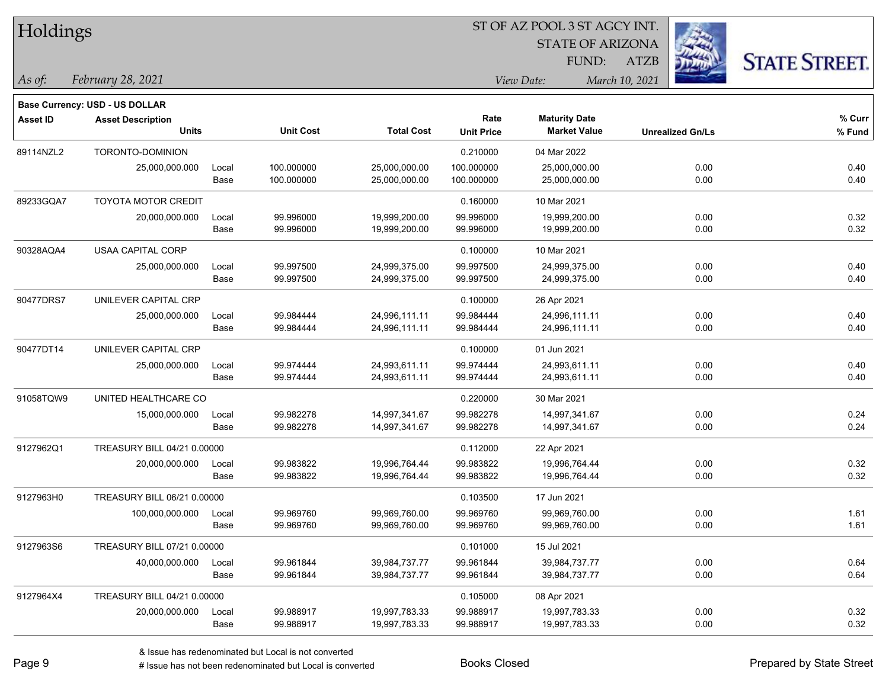| Holdings |  |
|----------|--|
|----------|--|

STATE OF ARIZONA

ATZB



*February 28, 2021 As of: View Date: March 10, 2021*

**Base Currency: USD - US DOLLAR**

FUND:

| <b>Asset ID</b> | <b>Asset Description</b>    |       |                  |                   | Rate              | <b>Maturity Date</b> |                         | % Curr |
|-----------------|-----------------------------|-------|------------------|-------------------|-------------------|----------------------|-------------------------|--------|
|                 | <b>Units</b>                |       | <b>Unit Cost</b> | <b>Total Cost</b> | <b>Unit Price</b> | <b>Market Value</b>  | <b>Unrealized Gn/Ls</b> | % Fund |
| 89114NZL2       | TORONTO-DOMINION            |       |                  |                   | 0.210000          | 04 Mar 2022          |                         |        |
|                 | 25,000,000.000              | Local | 100.000000       | 25,000,000.00     | 100.000000        | 25,000,000.00        | 0.00                    | 0.40   |
|                 |                             | Base  | 100.000000       | 25,000,000.00     | 100.000000        | 25,000,000.00        | 0.00                    | 0.40   |
| 89233GQA7       | <b>TOYOTA MOTOR CREDIT</b>  |       |                  |                   | 0.160000          | 10 Mar 2021          |                         |        |
|                 | 20,000,000.000              | Local | 99.996000        | 19,999,200.00     | 99.996000         | 19,999,200.00        | 0.00                    | 0.32   |
|                 |                             | Base  | 99.996000        | 19,999,200.00     | 99.996000         | 19,999,200.00        | 0.00                    | 0.32   |
| 90328AQA4       | <b>USAA CAPITAL CORP</b>    |       |                  |                   | 0.100000          | 10 Mar 2021          |                         |        |
|                 | 25,000,000.000              | Local | 99.997500        | 24,999,375.00     | 99.997500         | 24,999,375.00        | 0.00                    | 0.40   |
|                 |                             | Base  | 99.997500        | 24,999,375.00     | 99.997500         | 24,999,375.00        | 0.00                    | 0.40   |
| 90477DRS7       | UNILEVER CAPITAL CRP        |       |                  |                   | 0.100000          | 26 Apr 2021          |                         |        |
|                 | 25,000,000.000              | Local | 99.984444        | 24,996,111.11     | 99.984444         | 24,996,111.11        | 0.00                    | 0.40   |
|                 |                             | Base  | 99.984444        | 24,996,111.11     | 99.984444         | 24,996,111.11        | 0.00                    | 0.40   |
| 90477DT14       | UNILEVER CAPITAL CRP        |       |                  |                   | 0.100000          | 01 Jun 2021          |                         |        |
|                 | 25,000,000.000              | Local | 99.974444        | 24,993,611.11     | 99.974444         | 24,993,611.11        | 0.00                    | 0.40   |
|                 |                             | Base  | 99.974444        | 24,993,611.11     | 99.974444         | 24,993,611.11        | 0.00                    | 0.40   |
| 91058TQW9       | UNITED HEALTHCARE CO        |       |                  |                   | 0.220000          | 30 Mar 2021          |                         |        |
|                 | 15,000,000.000              | Local | 99.982278        | 14,997,341.67     | 99.982278         | 14,997,341.67        | 0.00                    | 0.24   |
|                 |                             | Base  | 99.982278        | 14,997,341.67     | 99.982278         | 14,997,341.67        | 0.00                    | 0.24   |
| 9127962Q1       | TREASURY BILL 04/21 0.00000 |       |                  |                   | 0.112000          | 22 Apr 2021          |                         |        |
|                 | 20,000,000.000              | Local | 99.983822        | 19,996,764.44     | 99.983822         | 19,996,764.44        | 0.00                    | 0.32   |
|                 |                             | Base  | 99.983822        | 19,996,764.44     | 99.983822         | 19,996,764.44        | 0.00                    | 0.32   |
| 9127963H0       | TREASURY BILL 06/21 0.00000 |       |                  |                   | 0.103500          | 17 Jun 2021          |                         |        |
|                 | 100,000,000.000             | Local | 99.969760        | 99,969,760.00     | 99.969760         | 99,969,760.00        | 0.00                    | 1.61   |
|                 |                             | Base  | 99.969760        | 99,969,760.00     | 99.969760         | 99,969,760.00        | 0.00                    | 1.61   |
| 9127963S6       | TREASURY BILL 07/21 0.00000 |       |                  |                   | 0.101000          | 15 Jul 2021          |                         |        |
|                 | 40,000,000.000              | Local | 99.961844        | 39,984,737.77     | 99.961844         | 39,984,737.77        | 0.00                    | 0.64   |
|                 |                             | Base  | 99.961844        | 39,984,737.77     | 99.961844         | 39,984,737.77        | 0.00                    | 0.64   |
| 9127964X4       | TREASURY BILL 04/21 0.00000 |       |                  |                   | 0.105000          | 08 Apr 2021          |                         |        |
|                 | 20,000,000.000              | Local | 99.988917        | 19,997,783.33     | 99.988917         | 19,997,783.33        | 0.00                    | 0.32   |

Base 99.988917 19,997,783.33 99.988917 19,997,783.33 0.00 0.32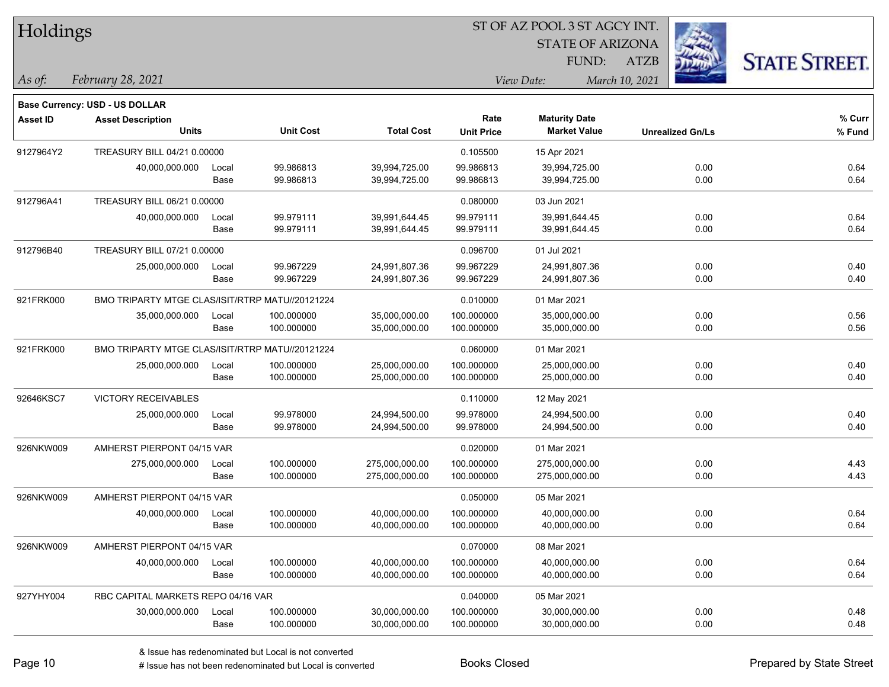| Holdings        |                                                 |                                                 |                  |                   |                   | ST OF AZ POOL 3 ST AGCY INT.     |                         |                      |
|-----------------|-------------------------------------------------|-------------------------------------------------|------------------|-------------------|-------------------|----------------------------------|-------------------------|----------------------|
|                 |                                                 |                                                 |                  |                   |                   | <b>STATE OF ARIZONA</b><br>FUND: | <b>ATZB</b>             |                      |
| As of:          | February 28, 2021                               |                                                 |                  |                   |                   | View Date:                       | March 10, 2021          | <b>STATE STREET.</b> |
|                 | <b>Base Currency: USD - US DOLLAR</b>           |                                                 |                  |                   |                   |                                  |                         |                      |
| <b>Asset ID</b> | <b>Asset Description</b>                        |                                                 |                  |                   | Rate              | <b>Maturity Date</b>             |                         | % Curr               |
|                 | <b>Units</b>                                    |                                                 | <b>Unit Cost</b> | <b>Total Cost</b> | <b>Unit Price</b> | <b>Market Value</b>              | <b>Unrealized Gn/Ls</b> | % Fund               |
| 9127964Y2       | TREASURY BILL 04/21 0.00000                     |                                                 |                  |                   | 0.105500          | 15 Apr 2021                      |                         |                      |
|                 | 40,000,000.000                                  | Local                                           | 99.986813        | 39,994,725.00     | 99.986813         | 39,994,725.00                    | 0.00                    | 0.64                 |
|                 |                                                 | Base                                            | 99.986813        | 39,994,725.00     | 99.986813         | 39,994,725.00                    | 0.00                    | 0.64                 |
| 912796A41       | TREASURY BILL 06/21 0.00000                     |                                                 |                  |                   | 0.080000          | 03 Jun 2021                      |                         |                      |
|                 | 40,000,000.000                                  | Local                                           | 99.979111        | 39,991,644.45     | 99.979111         | 39,991,644.45                    | 0.00                    | 0.64                 |
|                 |                                                 | Base                                            | 99.979111        | 39,991,644.45     | 99.979111         | 39,991,644.45                    | 0.00                    | 0.64                 |
| 912796B40       | TREASURY BILL 07/21 0.00000                     |                                                 |                  |                   | 0.096700          | 01 Jul 2021                      |                         |                      |
|                 | 25,000,000.000                                  | Local                                           | 99.967229        | 24,991,807.36     | 99.967229         | 24,991,807.36                    | 0.00                    | 0.40                 |
|                 |                                                 | Base                                            | 99.967229        | 24,991,807.36     | 99.967229         | 24,991,807.36                    | 0.00                    | 0.40                 |
| 921FRK000       | BMO TRIPARTY MTGE CLAS/ISIT/RTRP MATU//20121224 |                                                 |                  |                   | 0.010000          | 01 Mar 2021                      |                         |                      |
|                 | 35,000,000.000                                  | Local                                           | 100.000000       | 35,000,000.00     | 100.000000        | 35,000,000.00                    | 0.00                    | 0.56                 |
|                 |                                                 | Base                                            | 100.000000       | 35,000,000.00     | 100.000000        | 35,000,000.00                    | 0.00                    | 0.56                 |
| 921FRK000       |                                                 | BMO TRIPARTY MTGE CLAS/ISIT/RTRP MATU//20121224 |                  |                   | 0.060000          | 01 Mar 2021                      |                         |                      |
|                 | 25,000,000.000                                  | Local                                           | 100.000000       | 25,000,000.00     | 100.000000        | 25,000,000.00                    | 0.00                    | 0.40                 |
|                 |                                                 | Base                                            | 100.000000       | 25,000,000.00     | 100.000000        | 25,000,000.00                    | 0.00                    | 0.40                 |
| 92646KSC7       | VICTORY RECEIVABLES                             |                                                 |                  |                   | 0.110000          | 12 May 2021                      |                         |                      |
|                 | 25,000,000.000                                  | Local                                           | 99.978000        | 24,994,500.00     | 99.978000         | 24,994,500.00                    | 0.00                    | 0.40                 |
|                 |                                                 | Base                                            | 99.978000        | 24,994,500.00     | 99.978000         | 24,994,500.00                    | 0.00                    | 0.40                 |
| 926NKW009       | AMHERST PIERPONT 04/15 VAR                      |                                                 |                  |                   | 0.020000          | 01 Mar 2021                      |                         |                      |
|                 | 275,000,000.000                                 | Local                                           | 100.000000       | 275,000,000.00    | 100.000000        | 275,000,000.00                   | 0.00                    | 4.43                 |
|                 |                                                 | Base                                            | 100.000000       | 275,000,000.00    | 100.000000        | 275,000,000.00                   | 0.00                    | 4.43                 |
| 926NKW009       | AMHERST PIERPONT 04/15 VAR                      |                                                 |                  |                   | 0.050000          | 05 Mar 2021                      |                         |                      |
|                 | 40,000,000.000                                  | Local                                           | 100.000000       | 40,000,000.00     | 100.000000        | 40,000,000.00                    | 0.00                    | 0.64                 |
|                 |                                                 | Base                                            | 100.000000       | 40,000,000.00     | 100.000000        | 40,000,000.00                    | 0.00                    | 0.64                 |
| 926NKW009       | AMHERST PIERPONT 04/15 VAR                      |                                                 |                  |                   | 0.070000          | 08 Mar 2021                      |                         |                      |
|                 | 40,000,000.000                                  | Local                                           | 100.000000       | 40,000,000.00     | 100.000000        | 40,000,000.00                    | 0.00                    | 0.64                 |
|                 |                                                 | Base                                            | 100.000000       | 40,000,000.00     | 100.000000        | 40,000,000.00                    | 0.00                    | 0.64                 |
| 927YHY004       | RBC CAPITAL MARKETS REPO 04/16 VAR              |                                                 |                  |                   | 0.040000          | 05 Mar 2021                      |                         |                      |
|                 | 30,000,000.000                                  | Local                                           | 100.000000       | 30,000,000.00     | 100.000000        | 30,000,000.00                    | 0.00                    | 0.48                 |
|                 |                                                 | Base                                            | 100.000000       | 30,000,000.00     | 100.000000        | 30,000,000.00                    | 0.00                    | 0.48                 |

 $\overline{\phantom{0}}$ 

 $\overline{\phantom{a}}$ 

 $\overline{\phantom{0}}$ 

 $\overline{\phantom{a}}$ 

 $\overline{\phantom{a}}$ 

 $\overline{\phantom{0}}$ 

# Issue has not been redenominated but Local is converted Books Closed Prepared by State Street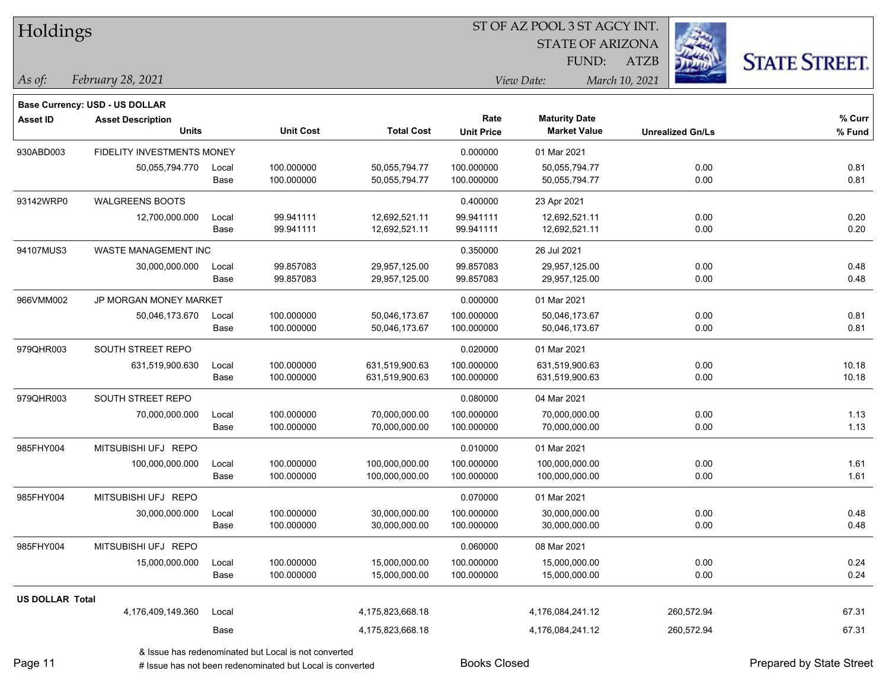| Holdings |
|----------|
|          |

STATE OF ARIZONA

ATZB



*February 28, 2021 As of: View Date: March 10, 2021*

**Base Currency: USD - US DOLLAR**

FUND:

| <b>Asset ID</b> | <b>Asset Description</b>          |       |                  |                   | Rate              | <b>Maturity Date</b> |                         | % Curr |
|-----------------|-----------------------------------|-------|------------------|-------------------|-------------------|----------------------|-------------------------|--------|
|                 | <b>Units</b>                      |       | <b>Unit Cost</b> | <b>Total Cost</b> | <b>Unit Price</b> | <b>Market Value</b>  | <b>Unrealized Gn/Ls</b> | % Fund |
| 930ABD003       | <b>FIDELITY INVESTMENTS MONEY</b> |       |                  |                   | 0.000000          | 01 Mar 2021          |                         |        |
|                 | 50,055,794.770                    | Local | 100.000000       | 50,055,794.77     | 100.000000        | 50,055,794.77        | 0.00                    | 0.81   |
|                 |                                   | Base  | 100.000000       | 50,055,794.77     | 100.000000        | 50,055,794.77        | 0.00                    | 0.81   |
| 93142WRP0       | WALGREENS BOOTS                   |       |                  |                   | 0.400000          | 23 Apr 2021          |                         |        |
|                 | 12,700,000.000                    | Local | 99.941111        | 12,692,521.11     | 99.941111         | 12,692,521.11        | 0.00                    | 0.20   |
|                 |                                   | Base  | 99.941111        | 12,692,521.11     | 99.941111         | 12,692,521.11        | 0.00                    | 0.20   |
| 94107MUS3       | <b>WASTE MANAGEMENT INC</b>       |       |                  |                   | 0.350000          | 26 Jul 2021          |                         |        |
|                 | 30,000,000.000                    | Local | 99.857083        | 29,957,125.00     | 99.857083         | 29,957,125.00        | 0.00                    | 0.48   |
|                 |                                   | Base  | 99.857083        | 29,957,125.00     | 99.857083         | 29,957,125.00        | 0.00                    | 0.48   |
| 966VMM002       | JP MORGAN MONEY MARKET            |       |                  |                   | 0.000000          | 01 Mar 2021          |                         |        |
|                 | 50,046,173.670                    | Local | 100.000000       | 50,046,173.67     | 100.000000        | 50,046,173.67        | 0.00                    | 0.81   |
|                 |                                   | Base  | 100.000000       | 50,046,173.67     | 100.000000        | 50,046,173.67        | 0.00                    | 0.81   |
| 979QHR003       | SOUTH STREET REPO                 |       |                  |                   | 0.020000          | 01 Mar 2021          |                         |        |
|                 | 631,519,900.630                   | Local | 100.000000       | 631,519,900.63    | 100.000000        | 631,519,900.63       | 0.00                    | 10.18  |
|                 |                                   | Base  | 100.000000       | 631,519,900.63    | 100.000000        | 631,519,900.63       | 0.00                    | 10.18  |
| 979QHR003       | SOUTH STREET REPO                 |       |                  |                   | 0.080000          | 04 Mar 2021          |                         |        |
|                 | 70,000,000.000                    | Local | 100.000000       | 70,000,000.00     | 100.000000        | 70,000,000.00        | 0.00                    | 1.13   |
|                 |                                   | Base  | 100.000000       | 70,000,000.00     | 100.000000        | 70,000,000.00        | 0.00                    | 1.13   |
| 985FHY004       | MITSUBISHI UFJ REPO               |       |                  |                   | 0.010000          | 01 Mar 2021          |                         |        |
|                 | 100,000,000.000                   | Local | 100.000000       | 100,000,000.00    | 100.000000        | 100,000,000.00       | 0.00                    | 1.61   |
|                 |                                   | Base  | 100.000000       | 100,000,000.00    | 100.000000        | 100,000,000.00       | 0.00                    | 1.61   |
| 985FHY004       | MITSUBISHI UFJ REPO               |       |                  |                   | 0.070000          | 01 Mar 2021          |                         |        |
|                 | 30,000,000.000                    | Local | 100.000000       | 30,000,000.00     | 100.000000        | 30,000,000.00        | 0.00                    | 0.48   |
|                 |                                   | Base  | 100.000000       | 30,000,000.00     | 100.000000        | 30,000,000.00        | 0.00                    | 0.48   |
| 985FHY004       | MITSUBISHI UFJ REPO               |       |                  |                   | 0.060000          | 08 Mar 2021          |                         |        |
|                 | 15,000,000.000                    | Local | 100.000000       | 15,000,000.00     | 100.000000        | 15,000,000.00        | 0.00                    | 0.24   |
|                 |                                   | Base  | 100.000000       | 15,000,000.00     | 100.000000        | 15,000,000.00        | 0.00                    | 0.24   |
|                 |                                   |       |                  |                   |                   |                      |                         |        |

4,176,409,149.360 Local 4,175,823,668.18 4,176,084,241.12 260,572.94 67.31

Base 200,572.94 57.31 4,175,823,668.18 4,176,084,241.12 4,176,084,241.12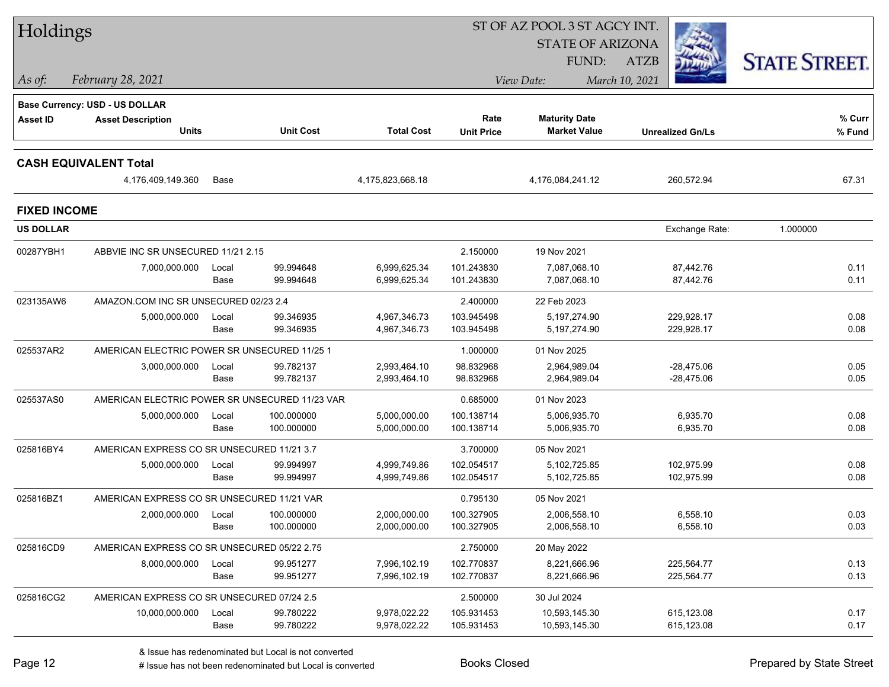| Holdings            |                                                |       |                  |                   | ST OF AZ POOL 3 ST AGCY INT. |                         |                         |                      |
|---------------------|------------------------------------------------|-------|------------------|-------------------|------------------------------|-------------------------|-------------------------|----------------------|
|                     |                                                |       |                  |                   |                              | <b>STATE OF ARIZONA</b> |                         |                      |
|                     |                                                |       |                  |                   |                              | <b>FUND:</b>            | <b>ATZB</b>             | <b>STATE STREET.</b> |
| As of:              | February 28, 2021                              |       |                  |                   |                              | View Date:              | March 10, 2021          |                      |
|                     | <b>Base Currency: USD - US DOLLAR</b>          |       |                  |                   |                              |                         |                         |                      |
| <b>Asset ID</b>     | <b>Asset Description</b>                       |       |                  |                   | Rate                         | <b>Maturity Date</b>    |                         | % Curr               |
|                     | <b>Units</b>                                   |       | <b>Unit Cost</b> | <b>Total Cost</b> | <b>Unit Price</b>            | <b>Market Value</b>     | <b>Unrealized Gn/Ls</b> | % Fund               |
|                     | <b>CASH EQUIVALENT Total</b>                   |       |                  |                   |                              |                         |                         |                      |
|                     | 4,176,409,149.360                              | Base  |                  | 4,175,823,668.18  |                              | 4,176,084,241.12        | 260,572.94              | 67.31                |
| <b>FIXED INCOME</b> |                                                |       |                  |                   |                              |                         |                         |                      |
| <b>US DOLLAR</b>    |                                                |       |                  |                   |                              |                         | Exchange Rate:          | 1.000000             |
| 00287YBH1           | ABBVIE INC SR UNSECURED 11/21 2.15             |       |                  |                   | 2.150000                     | 19 Nov 2021             |                         |                      |
|                     | 7,000,000.000                                  | Local | 99.994648        | 6,999,625.34      | 101.243830                   | 7.087.068.10            | 87,442.76               | 0.11                 |
|                     |                                                | Base  | 99.994648        | 6,999,625.34      | 101.243830                   | 7,087,068.10            | 87,442.76               | 0.11                 |
| 023135AW6           | AMAZON.COM INC SR UNSECURED 02/23 2.4          |       |                  |                   | 2.400000                     | 22 Feb 2023             |                         |                      |
|                     | 5,000,000.000                                  | Local | 99.346935        | 4,967,346.73      | 103.945498                   | 5.197.274.90            | 229,928.17              | 0.08                 |
|                     |                                                | Base  | 99.346935        | 4,967,346.73      | 103.945498                   | 5,197,274.90            | 229,928.17              | 0.08                 |
| 025537AR2           | AMERICAN ELECTRIC POWER SR UNSECURED 11/25 1   |       |                  |                   | 1.000000                     | 01 Nov 2025             |                         |                      |
|                     | 3,000,000.000                                  | Local | 99.782137        | 2,993,464.10      | 98.832968                    | 2,964,989.04            | $-28,475.06$            | 0.05                 |
|                     |                                                | Base  | 99.782137        | 2,993,464.10      | 98.832968                    | 2,964,989.04            | -28,475.06              | 0.05                 |
| 025537AS0           | AMERICAN ELECTRIC POWER SR UNSECURED 11/23 VAR |       |                  |                   | 0.685000                     | 01 Nov 2023             |                         |                      |
|                     | 5,000,000.000                                  | Local | 100.000000       | 5,000,000.00      | 100.138714                   | 5,006,935.70            | 6,935.70                | 0.08                 |
|                     |                                                | Base  | 100.000000       | 5,000,000.00      | 100.138714                   | 5,006,935.70            | 6,935.70                | 0.08                 |
| 025816BY4           | AMERICAN EXPRESS CO SR UNSECURED 11/21 3.7     |       |                  |                   | 3.700000                     | 05 Nov 2021             |                         |                      |
|                     | 5,000,000.000                                  | Local | 99.994997        | 4,999,749.86      | 102.054517                   | 5,102,725.85            | 102,975.99              | 0.08                 |
|                     |                                                | Base  | 99.994997        | 4,999,749.86      | 102.054517                   | 5,102,725.85            | 102,975.99              | 0.08                 |
| 025816BZ1           | AMERICAN EXPRESS CO SR UNSECURED 11/21 VAR     |       |                  |                   | 0.795130                     | 05 Nov 2021             |                         |                      |
|                     | 2,000,000.000                                  | Local | 100.000000       | 2,000,000.00      | 100.327905                   | 2.006.558.10            | 6,558.10                | 0.03                 |
|                     |                                                | Base  | 100.000000       | 2,000,000.00      | 100.327905                   | 2,006,558.10            | 6,558.10                | 0.03                 |
| 025816CD9           | AMERICAN EXPRESS CO SR UNSECURED 05/22 2.75    |       |                  |                   | 2.750000                     | 20 May 2022             |                         |                      |
|                     | 8,000,000.000                                  | Local | 99.951277        | 7,996,102.19      | 102.770837                   | 8,221,666.96            | 225,564.77              | 0.13                 |
|                     |                                                | Base  | 99.951277        | 7,996,102.19      | 102.770837                   | 8,221,666.96            | 225,564.77              | 0.13                 |
| 025816CG2           | AMERICAN EXPRESS CO SR UNSECURED 07/24 2.5     |       |                  |                   | 2.500000                     | 30 Jul 2024             |                         |                      |
|                     | 10,000,000.000                                 | Local | 99.780222        | 9,978,022.22      | 105.931453                   | 10,593,145.30           | 615,123.08              | 0.17                 |
|                     |                                                | Base  | 99.780222        | 9,978,022.22      | 105.931453                   | 10,593,145.30           | 615,123.08              | 0.17                 |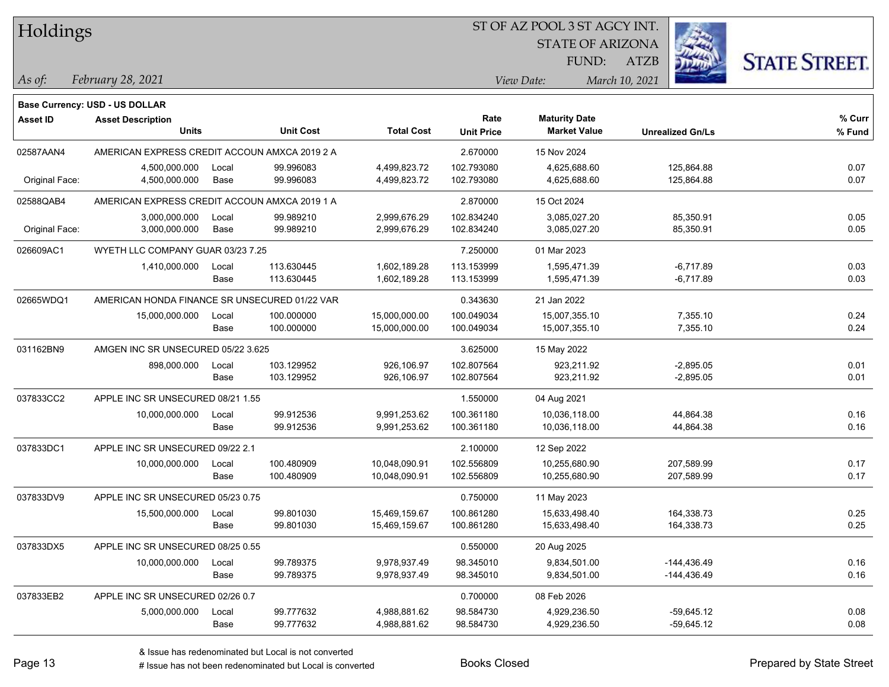| Holdings |
|----------|
|          |

STATE OF ARIZONA

ATZB



*February 28, 2021 As of: View Date: March 10, 2021*

**Base Currency: USD - US DOLLAR**

FUND:

| Asset ID       | <b>Asset Description</b>                      |       |                  |                   | Rate              | <b>Maturity Date</b> |                         | % Curr |
|----------------|-----------------------------------------------|-------|------------------|-------------------|-------------------|----------------------|-------------------------|--------|
|                | Units                                         |       | <b>Unit Cost</b> | <b>Total Cost</b> | <b>Unit Price</b> | <b>Market Value</b>  | <b>Unrealized Gn/Ls</b> | % Fund |
| 02587AAN4      | AMERICAN EXPRESS CREDIT ACCOUN AMXCA 2019 2 A |       |                  |                   | 2.670000          | 15 Nov 2024          |                         |        |
|                | 4,500,000.000                                 | Local | 99.996083        | 4,499,823.72      | 102.793080        | 4,625,688.60         | 125,864.88              | 0.07   |
| Original Face: | 4,500,000.000                                 | Base  | 99.996083        | 4,499,823.72      | 102.793080        | 4,625,688.60         | 125,864.88              | 0.07   |
| 02588QAB4      | AMERICAN EXPRESS CREDIT ACCOUN AMXCA 2019 1 A |       |                  |                   | 2.870000          | 15 Oct 2024          |                         |        |
|                | 3,000,000.000                                 | Local | 99.989210        | 2,999,676.29      | 102.834240        | 3,085,027.20         | 85,350.91               | 0.05   |
| Original Face: | 3,000,000.000                                 | Base  | 99.989210        | 2,999,676.29      | 102.834240        | 3,085,027.20         | 85,350.91               | 0.05   |
| 026609AC1      | WYETH LLC COMPANY GUAR 03/23 7.25             |       |                  |                   | 7.250000          | 01 Mar 2023          |                         |        |
|                | 1,410,000.000                                 | Local | 113.630445       | 1,602,189.28      | 113.153999        | 1,595,471.39         | $-6,717.89$             | 0.03   |
|                |                                               | Base  | 113.630445       | 1,602,189.28      | 113.153999        | 1,595,471.39         | $-6,717.89$             | 0.03   |
| 02665WDQ1      | AMERICAN HONDA FINANCE SR UNSECURED 01/22 VAR |       |                  |                   | 0.343630          | 21 Jan 2022          |                         |        |
|                | 15,000,000.000                                | Local | 100.000000       | 15,000,000.00     | 100.049034        | 15,007,355.10        | 7,355.10                | 0.24   |
|                |                                               | Base  | 100.000000       | 15,000,000.00     | 100.049034        | 15,007,355.10        | 7,355.10                | 0.24   |
| 031162BN9      | AMGEN INC SR UNSECURED 05/22 3.625            |       |                  |                   | 3.625000          | 15 May 2022          |                         |        |
|                | 898,000.000                                   | Local | 103.129952       | 926,106.97        | 102.807564        | 923,211.92           | $-2,895.05$             | 0.01   |
|                |                                               | Base  | 103.129952       | 926,106.97        | 102.807564        | 923,211.92           | $-2,895.05$             | 0.01   |
| 037833CC2      | APPLE INC SR UNSECURED 08/21 1.55             |       |                  |                   | 1.550000          | 04 Aug 2021          |                         |        |
|                | 10,000,000.000                                | Local | 99.912536        | 9,991,253.62      | 100.361180        | 10,036,118.00        | 44,864.38               | 0.16   |
|                |                                               | Base  | 99.912536        | 9,991,253.62      | 100.361180        | 10,036,118.00        | 44,864.38               | 0.16   |
| 037833DC1      | APPLE INC SR UNSECURED 09/22 2.1              |       |                  |                   | 2.100000          | 12 Sep 2022          |                         |        |
|                | 10,000,000.000                                | Local | 100.480909       | 10,048,090.91     | 102.556809        | 10,255,680.90        | 207,589.99              | 0.17   |
|                |                                               | Base  | 100.480909       | 10,048,090.91     | 102.556809        | 10,255,680.90        | 207,589.99              | 0.17   |
| 037833DV9      | APPLE INC SR UNSECURED 05/23 0.75             |       |                  |                   | 0.750000          | 11 May 2023          |                         |        |
|                | 15,500,000.000                                | Local | 99.801030        | 15,469,159.67     | 100.861280        | 15,633,498.40        | 164,338.73              | 0.25   |
|                |                                               | Base  | 99.801030        | 15,469,159.67     | 100.861280        | 15,633,498.40        | 164,338.73              | 0.25   |
| 037833DX5      | APPLE INC SR UNSECURED 08/25 0.55             |       |                  |                   | 0.550000          | 20 Aug 2025          |                         |        |
|                | 10,000,000.000                                | Local | 99.789375        | 9,978,937.49      | 98.345010         | 9,834,501.00         | $-144,436.49$           | 0.16   |
|                |                                               | Base  | 99.789375        | 9,978,937.49      | 98.345010         | 9,834,501.00         | $-144,436.49$           | 0.16   |
| 037833EB2      | APPLE INC SR UNSECURED 02/26 0.7              |       |                  |                   | 0.700000          | 08 Feb 2026          |                         |        |
|                | 5,000,000.000                                 | Local | 99.777632        | 4,988,881.62      | 98.584730         | 4,929,236.50         | $-59,645.12$            | 0.08   |
|                |                                               | Base  | 99.777632        | 4,988,881.62      | 98.584730         | 4,929,236.50         | $-59,645.12$            | 0.08   |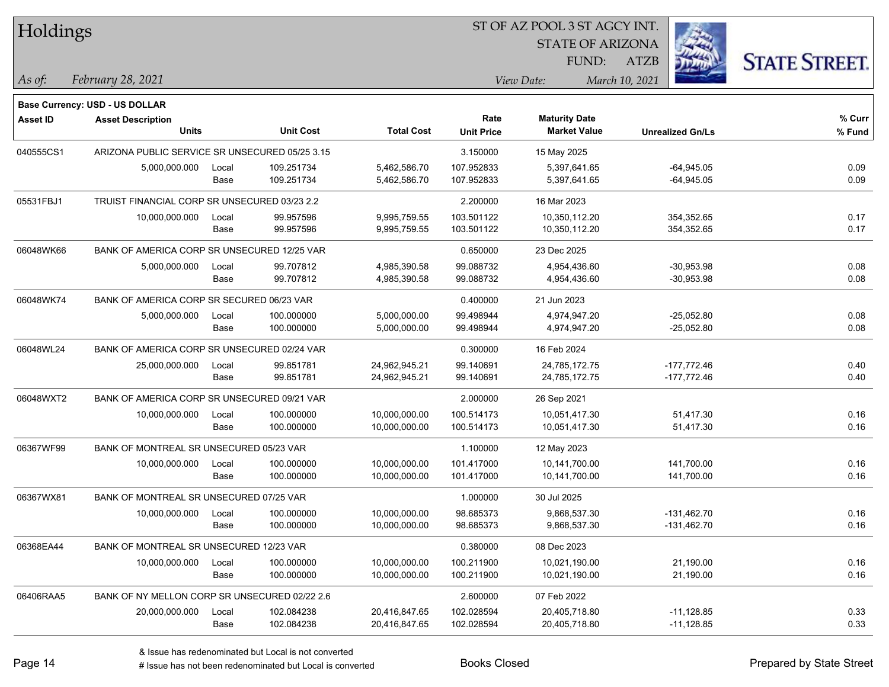| Holdings        |                                                |       |                  | ST OF AZ POOL 3 ST AGCY INT. |                   |                         |                         |                      |  |  |  |
|-----------------|------------------------------------------------|-------|------------------|------------------------------|-------------------|-------------------------|-------------------------|----------------------|--|--|--|
|                 |                                                |       |                  |                              |                   | <b>STATE OF ARIZONA</b> |                         |                      |  |  |  |
|                 |                                                |       |                  |                              |                   | FUND:                   | <b>ATZB</b>             | <b>STATE STREET.</b> |  |  |  |
| As of:          | February 28, 2021                              |       |                  |                              |                   | View Date:              | March 10, 2021          |                      |  |  |  |
|                 | Base Currency: USD - US DOLLAR                 |       |                  |                              |                   |                         |                         |                      |  |  |  |
| <b>Asset ID</b> | <b>Asset Description</b>                       |       |                  |                              | Rate              | <b>Maturity Date</b>    |                         | % Curr               |  |  |  |
|                 | <b>Units</b>                                   |       | <b>Unit Cost</b> | <b>Total Cost</b>            | <b>Unit Price</b> | <b>Market Value</b>     | <b>Unrealized Gn/Ls</b> | % Fund               |  |  |  |
| 040555CS1       | ARIZONA PUBLIC SERVICE SR UNSECURED 05/25 3.15 |       |                  |                              | 3.150000          | 15 May 2025             |                         |                      |  |  |  |
|                 | 5,000,000.000                                  | Local | 109.251734       | 5,462,586.70                 | 107.952833        | 5,397,641.65            | $-64,945.05$            | 0.09                 |  |  |  |
|                 |                                                | Base  | 109.251734       | 5,462,586.70                 | 107.952833        | 5,397,641.65            | $-64,945.05$            | 0.09                 |  |  |  |
| 05531FBJ1       | TRUIST FINANCIAL CORP SR UNSECURED 03/23 2.2   |       |                  |                              | 2.200000          | 16 Mar 2023             |                         |                      |  |  |  |
|                 | 10,000,000.000                                 | Local | 99.957596        | 9,995,759.55                 | 103.501122        | 10,350,112.20           | 354,352.65              | 0.17                 |  |  |  |
|                 |                                                | Base  | 99.957596        | 9,995,759.55                 | 103.501122        | 10,350,112.20           | 354,352.65              | 0.17                 |  |  |  |
| 06048WK66       | BANK OF AMERICA CORP SR UNSECURED 12/25 VAR    |       |                  |                              | 0.650000          | 23 Dec 2025             |                         |                      |  |  |  |
|                 | 5,000,000.000                                  | Local | 99.707812        | 4,985,390.58                 | 99.088732         | 4,954,436.60            | $-30,953.98$            | 0.08                 |  |  |  |
|                 |                                                | Base  | 99.707812        | 4,985,390.58                 | 99.088732         | 4,954,436.60            | $-30,953.98$            | 0.08                 |  |  |  |
| 06048WK74       | BANK OF AMERICA CORP SR SECURED 06/23 VAR      |       |                  |                              | 0.400000          | 21 Jun 2023             |                         |                      |  |  |  |
|                 | 5,000,000.000                                  | Local | 100.000000       | 5,000,000.00                 | 99.498944         | 4,974,947.20            | $-25,052.80$            | 0.08                 |  |  |  |
|                 |                                                | Base  | 100.000000       | 5,000,000.00                 | 99.498944         | 4,974,947.20            | $-25,052.80$            | 0.08                 |  |  |  |
| 06048WL24       | BANK OF AMERICA CORP SR UNSECURED 02/24 VAR    |       |                  |                              | 0.300000          | 16 Feb 2024             |                         |                      |  |  |  |
|                 | 25,000,000.000                                 | Local | 99.851781        | 24,962,945.21                | 99.140691         | 24,785,172.75           | $-177,772.46$           | 0.40                 |  |  |  |
|                 |                                                | Base  | 99.851781        | 24,962,945.21                | 99.140691         | 24,785,172.75           | -177,772.46             | 0.40                 |  |  |  |
| 06048WXT2       | BANK OF AMERICA CORP SR UNSECURED 09/21 VAR    |       |                  |                              | 2.000000          | 26 Sep 2021             |                         |                      |  |  |  |
|                 | 10,000,000.000                                 | Local | 100.000000       | 10,000,000.00                | 100.514173        | 10,051,417.30           | 51,417.30               | 0.16                 |  |  |  |
|                 |                                                | Base  | 100.000000       | 10,000,000.00                | 100.514173        | 10,051,417.30           | 51,417.30               | 0.16                 |  |  |  |
| 06367WF99       | BANK OF MONTREAL SR UNSECURED 05/23 VAR        |       |                  |                              | 1.100000          | 12 May 2023             |                         |                      |  |  |  |
|                 | 10,000,000.000                                 | Local | 100.000000       | 10,000,000.00                | 101.417000        | 10,141,700.00           | 141,700.00              | 0.16                 |  |  |  |
|                 |                                                | Base  | 100.000000       | 10,000,000.00                | 101.417000        | 10,141,700.00           | 141,700.00              | 0.16                 |  |  |  |
| 06367WX81       | BANK OF MONTREAL SR UNSECURED 07/25 VAR        |       |                  |                              | 1.000000          | 30 Jul 2025             |                         |                      |  |  |  |
|                 | 10,000,000.000                                 | Local | 100.000000       | 10,000,000.00                | 98.685373         | 9,868,537.30            | -131,462.70             | 0.16                 |  |  |  |
|                 |                                                | Base  | 100.000000       | 10,000,000.00                | 98.685373         | 9,868,537.30            | $-131,462.70$           | 0.16                 |  |  |  |
| 06368EA44       | BANK OF MONTREAL SR UNSECURED 12/23 VAR        |       |                  |                              | 0.380000          | 08 Dec 2023             |                         |                      |  |  |  |
|                 | 10,000,000.000                                 | Local | 100.000000       | 10,000,000.00                | 100.211900        | 10,021,190.00           | 21,190.00               | 0.16                 |  |  |  |
|                 |                                                | Base  | 100.000000       | 10,000,000.00                | 100.211900        | 10,021,190.00           | 21,190.00               | 0.16                 |  |  |  |
| 06406RAA5       | BANK OF NY MELLON CORP SR UNSECURED 02/22 2.6  |       |                  |                              | 2.600000          | 07 Feb 2022             |                         |                      |  |  |  |
|                 | 20,000,000.000                                 | Local | 102.084238       | 20,416,847.65                | 102.028594        | 20,405,718.80           | $-11,128.85$            | 0.33                 |  |  |  |
|                 |                                                | Base  | 102.084238       | 20,416,847.65                | 102.028594        | 20,405,718.80           | $-11,128.85$            | 0.33                 |  |  |  |

# Issue has not been redenominated but Local is converted Books Closed Prepared by State Street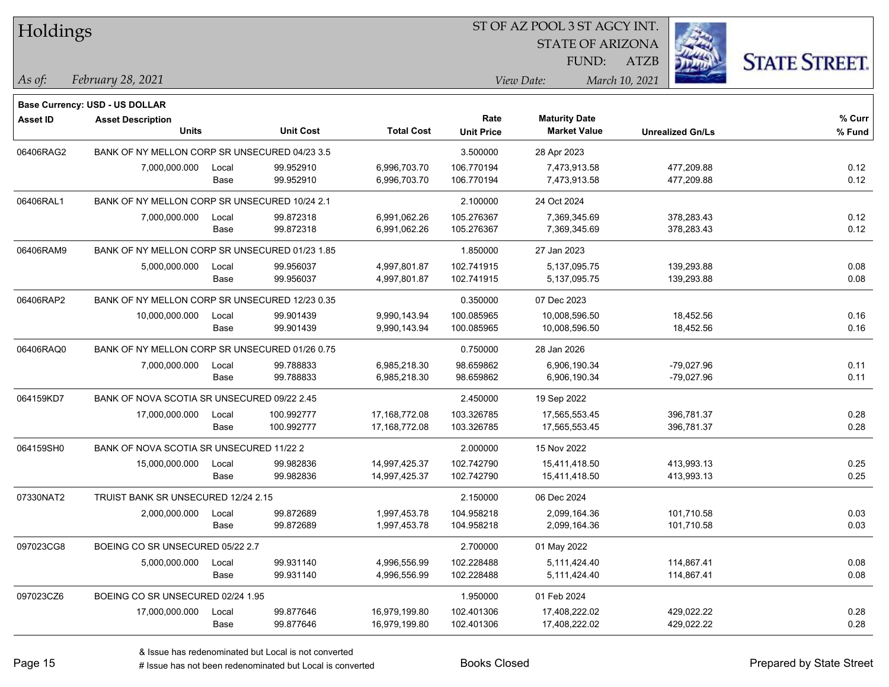| Holdings        |                                                            |       |                  |                   |                   |                         |                         |                      |
|-----------------|------------------------------------------------------------|-------|------------------|-------------------|-------------------|-------------------------|-------------------------|----------------------|
|                 |                                                            |       |                  |                   |                   | <b>STATE OF ARIZONA</b> |                         |                      |
|                 |                                                            |       |                  |                   |                   | FUND:                   | <b>ATZB</b>             | <b>STATE STREET.</b> |
| $\vert$ As of:  | February 28, 2021                                          |       |                  |                   |                   | View Date:              | March 10, 2021          |                      |
|                 |                                                            |       |                  |                   |                   |                         |                         |                      |
| <b>Asset ID</b> | Base Currency: USD - US DOLLAR<br><b>Asset Description</b> |       |                  |                   | Rate              | <b>Maturity Date</b>    |                         | % Curr               |
|                 | Units                                                      |       | <b>Unit Cost</b> | <b>Total Cost</b> | <b>Unit Price</b> | <b>Market Value</b>     | <b>Unrealized Gn/Ls</b> | % Fund               |
| 06406RAG2       | BANK OF NY MELLON CORP SR UNSECURED 04/23 3.5              |       |                  |                   | 3.500000          | 28 Apr 2023             |                         |                      |
|                 | 7,000,000.000                                              | Local | 99.952910        | 6,996,703.70      | 106.770194        | 7,473,913.58            | 477,209.88              | 0.12                 |
|                 |                                                            | Base  | 99.952910        | 6,996,703.70      | 106.770194        | 7,473,913.58            | 477,209.88              | 0.12                 |
| 06406RAL1       | BANK OF NY MELLON CORP SR UNSECURED 10/24 2.1              |       |                  |                   | 2.100000          | 24 Oct 2024             |                         |                      |
|                 | 7,000,000.000                                              | Local | 99.872318        | 6,991,062.26      | 105.276367        | 7,369,345.69            | 378,283.43              | 0.12                 |
|                 |                                                            | Base  | 99.872318        | 6,991,062.26      | 105.276367        | 7,369,345.69            | 378,283.43              | 0.12                 |
| 06406RAM9       | BANK OF NY MELLON CORP SR UNSECURED 01/23 1.85             |       |                  |                   | 1.850000          | 27 Jan 2023             |                         |                      |
|                 | 5,000,000.000                                              | Local | 99.956037        | 4,997,801.87      | 102.741915        | 5,137,095.75            | 139,293.88              | 0.08                 |
|                 |                                                            | Base  | 99.956037        | 4,997,801.87      | 102.741915        | 5,137,095.75            | 139,293.88              | 0.08                 |
| 06406RAP2       | BANK OF NY MELLON CORP SR UNSECURED 12/23 0.35             |       |                  |                   | 0.350000          | 07 Dec 2023             |                         |                      |
|                 | 10,000,000.000                                             | Local | 99.901439        | 9,990,143.94      | 100.085965        | 10,008,596.50           | 18,452.56               | 0.16                 |
|                 |                                                            | Base  | 99.901439        | 9,990,143.94      | 100.085965        | 10,008,596.50           | 18,452.56               | 0.16                 |
| 06406RAQ0       | BANK OF NY MELLON CORP SR UNSECURED 01/26 0.75             |       |                  |                   | 0.750000          | 28 Jan 2026             |                         |                      |
|                 | 7,000,000.000                                              | Local | 99.788833        | 6,985,218.30      | 98.659862         | 6,906,190.34            | $-79,027.96$            | 0.11                 |
|                 |                                                            | Base  | 99.788833        | 6,985,218.30      | 98.659862         | 6,906,190.34            | $-79,027.96$            | 0.11                 |
| 064159KD7       | BANK OF NOVA SCOTIA SR UNSECURED 09/22 2.45                |       |                  |                   | 2.450000          | 19 Sep 2022             |                         |                      |
|                 | 17,000,000.000                                             | Local | 100.992777       | 17,168,772.08     | 103.326785        | 17,565,553.45           | 396,781.37              | 0.28                 |
|                 |                                                            | Base  | 100.992777       | 17,168,772.08     | 103.326785        | 17,565,553.45           | 396,781.37              | 0.28                 |
| 064159SH0       | BANK OF NOVA SCOTIA SR UNSECURED 11/22 2                   |       |                  |                   | 2.000000          | 15 Nov 2022             |                         |                      |
|                 | 15,000,000.000                                             | Local | 99.982836        | 14,997,425.37     | 102.742790        | 15,411,418.50           | 413,993.13              | 0.25                 |
|                 |                                                            | Base  | 99.982836        | 14,997,425.37     | 102.742790        | 15,411,418.50           | 413,993.13              | 0.25                 |
| 07330NAT2       | TRUIST BANK SR UNSECURED 12/24 2.15                        |       |                  |                   | 2.150000          | 06 Dec 2024             |                         |                      |
|                 | 2,000,000.000                                              | Local | 99.872689        | 1,997,453.78      | 104.958218        | 2,099,164.36            | 101,710.58              | 0.03                 |
|                 |                                                            | Base  | 99.872689        | 1,997,453.78      | 104.958218        | 2,099,164.36            | 101,710.58              | 0.03                 |
| 097023CG8       | BOEING CO SR UNSECURED 05/22 2.7                           |       |                  |                   | 2.700000          | 01 May 2022             |                         |                      |
|                 | 5,000,000.000                                              | Local | 99.931140        | 4,996,556.99      | 102.228488        | 5,111,424.40            | 114,867.41              | 0.08                 |
|                 |                                                            | Base  | 99.931140        | 4,996,556.99      | 102.228488        | 5,111,424.40            | 114,867.41              | 0.08                 |
| 097023CZ6       | BOEING CO SR UNSECURED 02/24 1.95                          |       |                  |                   | 1.950000          | 01 Feb 2024             |                         |                      |
|                 | 17,000,000.000                                             | Local | 99.877646        | 16,979,199.80     | 102.401306        | 17,408,222.02           | 429,022.22              | 0.28                 |
|                 |                                                            | Base  | 99.877646        | 16,979,199.80     | 102.401306        | 17,408,222.02           | 429,022.22              | 0.28                 |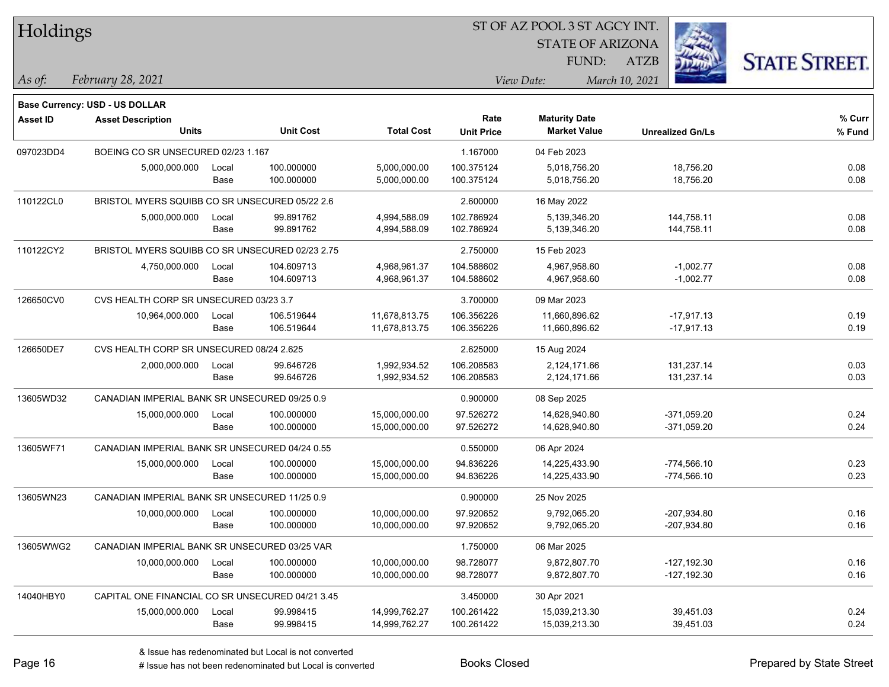| Holdings        |                                                  |               |                  |                   | ST OF AZ POOL 3 ST AGCY INT. |                                             |                         |                      |
|-----------------|--------------------------------------------------|---------------|------------------|-------------------|------------------------------|---------------------------------------------|-------------------------|----------------------|
|                 |                                                  |               |                  |                   |                              | <b>STATE OF ARIZONA</b>                     |                         |                      |
|                 |                                                  |               |                  |                   |                              | FUND:                                       | ATZB                    | <b>STATE STREET.</b> |
| As of:          | February 28, 2021                                |               |                  |                   |                              | View Date:                                  | March 10, 2021          |                      |
|                 |                                                  |               |                  |                   |                              |                                             |                         |                      |
|                 | <b>Base Currency: USD - US DOLLAR</b>            |               |                  |                   | Rate                         |                                             |                         |                      |
| <b>Asset ID</b> | <b>Asset Description</b><br><b>Units</b>         |               | <b>Unit Cost</b> | <b>Total Cost</b> | <b>Unit Price</b>            | <b>Maturity Date</b><br><b>Market Value</b> | <b>Unrealized Gn/Ls</b> | % Curr<br>% Fund     |
| 097023DD4       | BOEING CO SR UNSECURED 02/23 1.167               |               |                  |                   | 1.167000                     | 04 Feb 2023                                 |                         |                      |
|                 | 5,000,000.000                                    |               | 100.000000       | 5,000,000.00      | 100.375124                   | 5,018,756.20                                |                         | 0.08                 |
|                 |                                                  | Local<br>Base | 100.000000       | 5,000,000.00      | 100.375124                   | 5,018,756.20                                | 18,756.20<br>18,756.20  | 0.08                 |
| 110122CL0       | BRISTOL MYERS SQUIBB CO SR UNSECURED 05/22 2.6   |               |                  |                   | 2.600000                     | 16 May 2022                                 |                         |                      |
|                 | 5,000,000.000                                    | Local         | 99.891762        | 4,994,588.09      | 102.786924                   | 5,139,346.20                                | 144,758.11              | 0.08                 |
|                 |                                                  | Base          | 99.891762        | 4,994,588.09      | 102.786924                   | 5,139,346.20                                | 144,758.11              | 0.08                 |
| 110122CY2       | BRISTOL MYERS SQUIBB CO SR UNSECURED 02/23 2.75  |               |                  |                   | 2.750000                     | 15 Feb 2023                                 |                         |                      |
|                 | 4,750,000.000                                    | Local         | 104.609713       | 4,968,961.37      | 104.588602                   | 4,967,958.60                                | $-1,002.77$             | 0.08                 |
|                 |                                                  | Base          | 104.609713       | 4,968,961.37      | 104.588602                   | 4,967,958.60                                | $-1,002.77$             | 0.08                 |
| 126650CV0       | CVS HEALTH CORP SR UNSECURED 03/23 3.7           |               |                  |                   | 3.700000                     | 09 Mar 2023                                 |                         |                      |
|                 | 10,964,000.000                                   | Local         | 106.519644       | 11,678,813.75     | 106.356226                   | 11,660,896.62                               | $-17,917.13$            | 0.19                 |
|                 |                                                  | Base          | 106.519644       | 11,678,813.75     | 106.356226                   | 11,660,896.62                               | $-17,917.13$            | 0.19                 |
| 126650DE7       | CVS HEALTH CORP SR UNSECURED 08/24 2.625         |               |                  |                   | 2.625000                     | 15 Aug 2024                                 |                         |                      |
|                 | 2,000,000.000                                    | Local         | 99.646726        | 1,992,934.52      | 106.208583                   | 2,124,171.66                                | 131,237.14              | 0.03                 |
|                 |                                                  | Base          | 99.646726        | 1,992,934.52      | 106.208583                   | 2,124,171.66                                | 131,237.14              | 0.03                 |
| 13605WD32       | CANADIAN IMPERIAL BANK SR UNSECURED 09/25 0.9    |               |                  |                   | 0.900000                     | 08 Sep 2025                                 |                         |                      |
|                 | 15,000,000.000                                   | Local         | 100.000000       | 15,000,000.00     | 97.526272                    | 14,628,940.80                               | $-371,059.20$           | 0.24                 |
|                 |                                                  | Base          | 100.000000       | 15,000,000.00     | 97.526272                    | 14,628,940.80                               | $-371,059.20$           | 0.24                 |
| 13605WF71       | CANADIAN IMPERIAL BANK SR UNSECURED 04/24 0.55   |               |                  |                   | 0.550000                     | 06 Apr 2024                                 |                         |                      |
|                 | 15,000,000.000                                   | Local         | 100.000000       | 15,000,000.00     | 94.836226                    | 14,225,433.90                               | $-774,566.10$           | 0.23                 |
|                 |                                                  | Base          | 100.000000       | 15,000,000.00     | 94.836226                    | 14,225,433.90                               | $-774,566.10$           | 0.23                 |
| 13605WN23       | CANADIAN IMPERIAL BANK SR UNSECURED 11/25 0.9    |               |                  |                   | 0.900000                     | 25 Nov 2025                                 |                         |                      |
|                 | 10,000,000.000                                   | Local         | 100.000000       | 10,000,000.00     | 97.920652                    | 9,792,065.20                                | -207,934.80             | 0.16                 |
|                 |                                                  | Base          | 100.000000       | 10,000,000.00     | 97.920652                    | 9,792,065.20                                | $-207,934.80$           | 0.16                 |
| 13605WWG2       | CANADIAN IMPERIAL BANK SR UNSECURED 03/25 VAR    |               |                  |                   | 1.750000                     | 06 Mar 2025                                 |                         |                      |
|                 | 10,000,000.000                                   | Local         | 100.000000       | 10,000,000.00     | 98.728077                    | 9,872,807.70                                | $-127,192.30$           | 0.16                 |
|                 |                                                  | Base          | 100.000000       | 10,000,000.00     | 98.728077                    | 9,872,807.70                                | $-127,192.30$           | 0.16                 |
| 14040HBY0       | CAPITAL ONE FINANCIAL CO SR UNSECURED 04/21 3.45 |               |                  |                   | 3.450000                     | 30 Apr 2021                                 |                         |                      |
|                 | 15,000,000.000                                   | Local         | 99.998415        | 14,999,762.27     | 100.261422                   | 15,039,213.30                               | 39,451.03               | 0.24                 |
|                 |                                                  | Base          | 99.998415        | 14,999,762.27     | 100.261422                   | 15,039,213.30                               | 39,451.03               | 0.24                 |

٦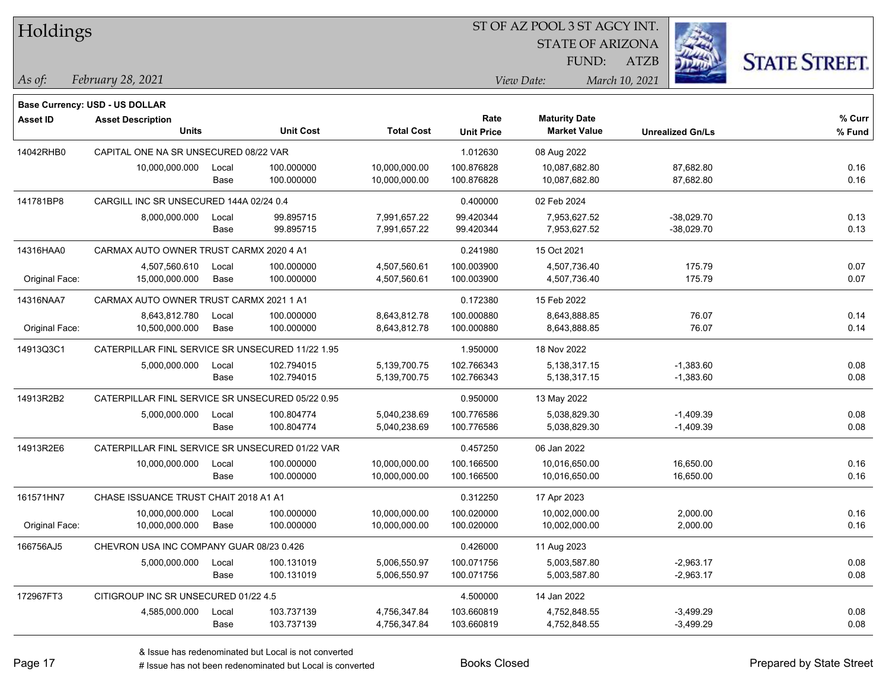| Holdings |
|----------|
|----------|

STATE OF ARIZONA

ATZB



*February 28, 2021 As of: View Date: March 10, 2021*

FUND:

|                 | Base Currency: USD - US DOLLAR                   |       |                  |                   |                   |                      |                         |        |
|-----------------|--------------------------------------------------|-------|------------------|-------------------|-------------------|----------------------|-------------------------|--------|
| <b>Asset ID</b> | <b>Asset Description</b>                         |       |                  |                   | Rate              | <b>Maturity Date</b> |                         | % Curr |
|                 | <b>Units</b>                                     |       | <b>Unit Cost</b> | <b>Total Cost</b> | <b>Unit Price</b> | <b>Market Value</b>  | <b>Unrealized Gn/Ls</b> | % Fund |
| 14042RHB0       | CAPITAL ONE NA SR UNSECURED 08/22 VAR            |       |                  |                   | 1.012630          | 08 Aug 2022          |                         |        |
|                 | 10,000,000.000                                   | Local | 100.000000       | 10,000,000.00     | 100.876828        | 10,087,682.80        | 87,682.80               | 0.16   |
|                 |                                                  | Base  | 100.000000       | 10,000,000.00     | 100.876828        | 10,087,682.80        | 87,682.80               | 0.16   |
| 141781BP8       | CARGILL INC SR UNSECURED 144A 02/24 0.4          |       |                  |                   | 0.400000          | 02 Feb 2024          |                         |        |
|                 | 8,000,000.000                                    | Local | 99.895715        | 7,991,657.22      | 99.420344         | 7,953,627.52         | $-38,029.70$            | 0.13   |
|                 |                                                  | Base  | 99.895715        | 7,991,657.22      | 99.420344         | 7,953,627.52         | $-38,029.70$            | 0.13   |
| 14316HAA0       | CARMAX AUTO OWNER TRUST CARMX 2020 4 A1          |       |                  |                   | 0.241980          | 15 Oct 2021          |                         |        |
|                 | 4,507,560.610                                    | Local | 100.000000       | 4,507,560.61      | 100.003900        | 4,507,736.40         | 175.79                  | 0.07   |
| Original Face:  | 15,000,000.000                                   | Base  | 100.000000       | 4,507,560.61      | 100.003900        | 4,507,736.40         | 175.79                  | 0.07   |
| 14316NAA7       | CARMAX AUTO OWNER TRUST CARMX 2021 1 A1          |       |                  |                   | 0.172380          | 15 Feb 2022          |                         |        |
|                 | 8,643,812.780                                    | Local | 100.000000       | 8,643,812.78      | 100.000880        | 8,643,888.85         | 76.07                   | 0.14   |
| Original Face:  | 10,500,000.000                                   | Base  | 100.000000       | 8,643,812.78      | 100.000880        | 8,643,888.85         | 76.07                   | 0.14   |
| 14913Q3C1       | CATERPILLAR FINL SERVICE SR UNSECURED 11/22 1.95 |       |                  |                   | 1.950000          | 18 Nov 2022          |                         |        |
|                 | 5,000,000.000                                    | Local | 102.794015       | 5,139,700.75      | 102.766343        | 5,138,317.15         | $-1,383.60$             | 0.08   |
|                 |                                                  | Base  | 102.794015       | 5,139,700.75      | 102.766343        | 5,138,317.15         | $-1,383.60$             | 0.08   |
| 14913R2B2       | CATERPILLAR FINL SERVICE SR UNSECURED 05/22 0.95 |       |                  |                   | 0.950000          | 13 May 2022          |                         |        |
|                 | 5,000,000.000                                    | Local | 100.804774       | 5,040,238.69      | 100.776586        | 5.038.829.30         | -1,409.39               | 0.08   |
|                 |                                                  | Base  | 100.804774       | 5,040,238.69      | 100.776586        | 5,038,829.30         | $-1,409.39$             | 0.08   |
| 14913R2E6       | CATERPILLAR FINL SERVICE SR UNSECURED 01/22 VAR  |       |                  |                   | 0.457250          | 06 Jan 2022          |                         |        |
|                 | 10,000,000.000                                   | Local | 100.000000       | 10,000,000.00     | 100.166500        | 10,016,650.00        | 16,650.00               | 0.16   |
|                 |                                                  | Base  | 100.000000       | 10,000,000.00     | 100.166500        | 10,016,650.00        | 16,650.00               | 0.16   |
| 161571HN7       | CHASE ISSUANCE TRUST CHAIT 2018 A1 A1            |       |                  |                   | 0.312250          | 17 Apr 2023          |                         |        |
|                 | 10,000,000.000                                   | Local | 100.000000       | 10,000,000.00     | 100.020000        | 10,002,000.00        | 2,000.00                | 0.16   |
| Original Face:  | 10,000,000.000                                   | Base  | 100.000000       | 10,000,000.00     | 100.020000        | 10,002,000.00        | 2,000.00                | 0.16   |
| 166756AJ5       | CHEVRON USA INC COMPANY GUAR 08/23 0.426         |       |                  |                   | 0.426000          | 11 Aug 2023          |                         |        |
|                 | 5,000,000.000                                    | Local | 100.131019       | 5,006,550.97      | 100.071756        | 5,003,587.80         | $-2,963.17$             | 0.08   |
|                 |                                                  | Base  | 100.131019       | 5,006,550.97      | 100.071756        | 5,003,587.80         | $-2,963.17$             | 0.08   |
| 172967FT3       | CITIGROUP INC SR UNSECURED 01/22 4.5             |       |                  |                   | 4.500000          | 14 Jan 2022          |                         |        |
|                 | 4,585,000.000                                    | Local | 103.737139       | 4,756,347.84      | 103.660819        | 4,752,848.55         | $-3,499.29$             | 0.08   |
|                 |                                                  | Base  | 103.737139       | 4,756,347.84      | 103.660819        | 4,752,848.55         | $-3,499.29$             | 0.08   |

# Issue has not been redenominated but Local is converted Books Closed Prepared by State Street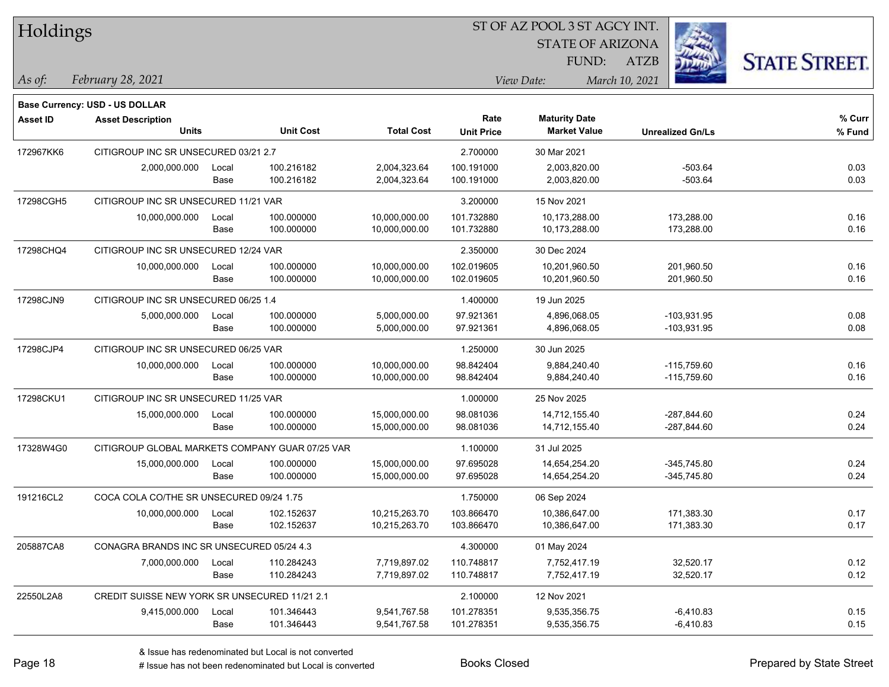| Holdings        |                                                 |       |                  |                   |                           | ST OF AZ POOL 3 ST AGCY INT.                |                         |                      |  |
|-----------------|-------------------------------------------------|-------|------------------|-------------------|---------------------------|---------------------------------------------|-------------------------|----------------------|--|
|                 |                                                 |       |                  |                   |                           | <b>STATE OF ARIZONA</b>                     |                         |                      |  |
|                 |                                                 |       |                  |                   |                           | FUND:                                       | <b>ATZB</b>             | <b>STATE STREET.</b> |  |
| $\vert$ As of:  | February 28, 2021                               |       |                  |                   |                           | View Date:                                  | March 10, 2021          |                      |  |
|                 |                                                 |       |                  |                   |                           |                                             |                         |                      |  |
|                 | <b>Base Currency: USD - US DOLLAR</b>           |       |                  |                   |                           |                                             |                         |                      |  |
| <b>Asset ID</b> | <b>Asset Description</b><br><b>Units</b>        |       | <b>Unit Cost</b> | <b>Total Cost</b> | Rate<br><b>Unit Price</b> | <b>Maturity Date</b><br><b>Market Value</b> | <b>Unrealized Gn/Ls</b> | % Curr<br>% Fund     |  |
| 172967KK6       | CITIGROUP INC SR UNSECURED 03/21 2.7            |       |                  |                   | 2.700000                  | 30 Mar 2021                                 |                         |                      |  |
|                 | 2,000,000.000                                   | Local | 100.216182       | 2,004,323.64      | 100.191000                | 2,003,820.00                                | $-503.64$               | 0.03                 |  |
|                 |                                                 | Base  | 100.216182       | 2,004,323.64      | 100.191000                | 2,003,820.00                                | $-503.64$               | 0.03                 |  |
| 17298CGH5       | CITIGROUP INC SR UNSECURED 11/21 VAR            |       |                  |                   | 3.200000                  | 15 Nov 2021                                 |                         |                      |  |
|                 | 10,000,000.000                                  | Local | 100.000000       | 10,000,000.00     | 101.732880                | 10,173,288.00                               | 173,288.00              | 0.16                 |  |
|                 |                                                 | Base  | 100.000000       | 10,000,000.00     | 101.732880                | 10,173,288.00                               | 173,288.00              | 0.16                 |  |
| 17298CHQ4       | CITIGROUP INC SR UNSECURED 12/24 VAR            |       |                  |                   | 2.350000                  | 30 Dec 2024                                 |                         |                      |  |
|                 | 10,000,000.000                                  | Local | 100.000000       | 10,000,000.00     | 102.019605                | 10,201,960.50                               | 201,960.50              | 0.16                 |  |
|                 |                                                 | Base  | 100.000000       | 10,000,000.00     | 102.019605                | 10,201,960.50                               | 201,960.50              | 0.16                 |  |
| 17298CJN9       | CITIGROUP INC SR UNSECURED 06/25 1.4            |       |                  |                   | 1.400000                  | 19 Jun 2025                                 |                         |                      |  |
|                 | 5,000,000.000                                   | Local | 100.000000       | 5,000,000.00      | 97.921361                 | 4,896,068.05                                | $-103,931.95$           | 0.08                 |  |
|                 |                                                 | Base  | 100.000000       | 5,000,000.00      | 97.921361                 | 4,896,068.05                                | $-103,931.95$           | 0.08                 |  |
| 17298CJP4       | CITIGROUP INC SR UNSECURED 06/25 VAR            |       |                  |                   | 1.250000                  | 30 Jun 2025                                 |                         |                      |  |
|                 | 10,000,000.000                                  | Local | 100.000000       | 10,000,000.00     | 98.842404                 | 9,884,240.40                                | $-115,759.60$           | 0.16                 |  |
|                 |                                                 | Base  | 100.000000       | 10,000,000.00     | 98.842404                 | 9,884,240.40                                | $-115,759.60$           | 0.16                 |  |
| 17298CKU1       | CITIGROUP INC SR UNSECURED 11/25 VAR            |       |                  |                   | 1.000000                  | 25 Nov 2025                                 |                         |                      |  |
|                 | 15,000,000.000                                  | Local | 100.000000       | 15,000,000.00     | 98.081036                 | 14,712,155.40                               | $-287,844.60$           | 0.24                 |  |
|                 |                                                 | Base  | 100.000000       | 15,000,000.00     | 98.081036                 | 14,712,155.40                               | -287,844.60             | 0.24                 |  |
| 17328W4G0       | CITIGROUP GLOBAL MARKETS COMPANY GUAR 07/25 VAR |       |                  |                   | 1.100000                  | 31 Jul 2025                                 |                         |                      |  |
|                 | 15,000,000.000                                  | Local | 100.000000       | 15,000,000.00     | 97.695028                 | 14,654,254.20                               | $-345,745.80$           | 0.24                 |  |
|                 |                                                 | Base  | 100.000000       | 15,000,000.00     | 97.695028                 | 14,654,254.20                               | $-345,745.80$           | 0.24                 |  |
| 191216CL2       | COCA COLA CO/THE SR UNSECURED 09/24 1.75        |       |                  |                   | 1.750000                  | 06 Sep 2024                                 |                         |                      |  |
|                 | 10,000,000.000                                  | Local | 102.152637       | 10,215,263.70     | 103.866470                | 10,386,647.00                               | 171,383.30              | 0.17                 |  |
|                 |                                                 | Base  | 102.152637       | 10,215,263.70     | 103.866470                | 10,386,647.00                               | 171,383.30              | 0.17                 |  |
| 205887CA8       | CONAGRA BRANDS INC SR UNSECURED 05/24 4.3       |       |                  |                   | 4.300000                  | 01 May 2024                                 |                         |                      |  |
|                 | 7,000,000.000                                   | Local | 110.284243       | 7,719,897.02      | 110.748817                | 7,752,417.19                                | 32,520.17               | 0.12                 |  |
|                 |                                                 | Base  | 110.284243       | 7,719,897.02      | 110.748817                | 7,752,417.19                                | 32,520.17               | 0.12                 |  |
| 22550L2A8       | CREDIT SUISSE NEW YORK SR UNSECURED 11/21 2.1   |       |                  |                   | 2.100000                  | 12 Nov 2021                                 |                         |                      |  |
|                 | 9,415,000.000                                   | Local | 101.346443       | 9,541,767.58      | 101.278351                | 9,535,356.75                                | $-6,410.83$             | 0.15                 |  |
|                 |                                                 | Base  | 101.346443       | 9,541,767.58      | 101.278351                | 9,535,356.75                                | $-6,410.83$             | 0.15                 |  |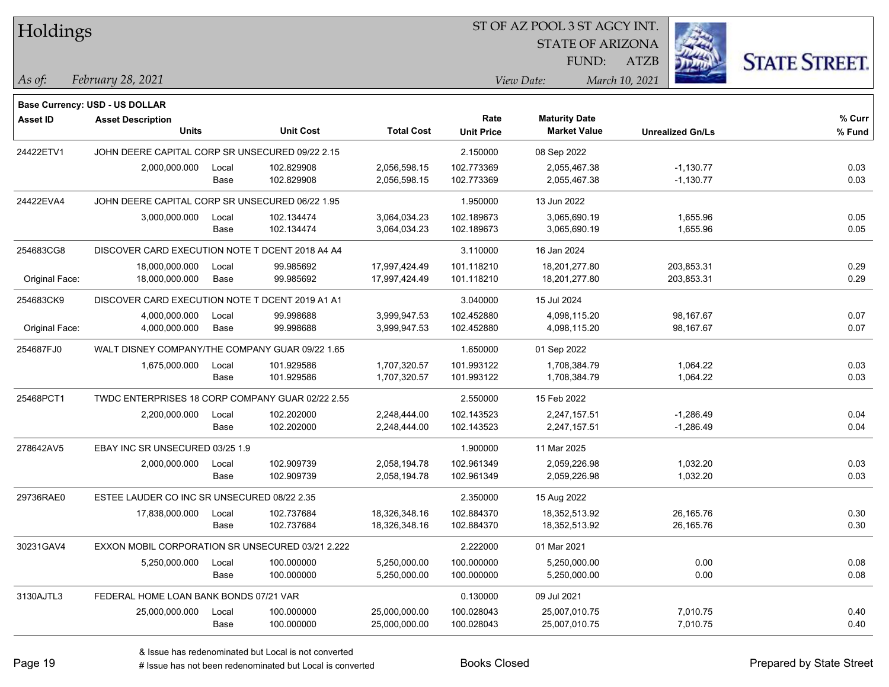| Holdings |  |
|----------|--|
|----------|--|

STATE OF ARIZONA FUND:



*February 28, 2021 As of: View Date: March 10, 2021*

**Base Currency: USD - US DOLLAR**

ATZB

| Asset ID       | <b>Asset Description</b><br><b>Units</b>         |               | <b>Unit Cost</b>         | <b>Total Cost</b>              | Rate<br><b>Unit Price</b> | <b>Maturity Date</b><br><b>Market Value</b> | <b>Unrealized Gn/Ls</b>    | % Curr<br>% Fund |
|----------------|--------------------------------------------------|---------------|--------------------------|--------------------------------|---------------------------|---------------------------------------------|----------------------------|------------------|
| 24422ETV1      | JOHN DEERE CAPITAL CORP SR UNSECURED 09/22 2.15  |               |                          | 2.150000                       | 08 Sep 2022               |                                             |                            |                  |
|                | 2,000,000.000                                    | Local<br>Base | 102.829908<br>102.829908 | 2,056,598.15<br>2,056,598.15   | 102.773369<br>102.773369  | 2,055,467.38<br>2,055,467.38                | $-1,130.77$<br>$-1,130.77$ | 0.03<br>0.03     |
| 24422EVA4      | JOHN DEERE CAPITAL CORP SR UNSECURED 06/22 1.95  |               |                          |                                | 1.950000                  | 13 Jun 2022                                 |                            |                  |
|                | 3,000,000.000                                    | Local<br>Base | 102.134474<br>102.134474 | 3,064,034.23<br>3,064,034.23   | 102.189673<br>102.189673  | 3,065,690.19<br>3,065,690.19                | 1,655.96<br>1,655.96       | 0.05<br>0.05     |
| 254683CG8      | DISCOVER CARD EXECUTION NOTE T DCENT 2018 A4 A4  |               |                          |                                | 3.110000                  | 16 Jan 2024                                 |                            |                  |
| Original Face: | 18,000,000.000<br>18,000,000.000                 | Local<br>Base | 99.985692<br>99.985692   | 17,997,424.49<br>17,997,424.49 | 101.118210<br>101.118210  | 18,201,277.80<br>18,201,277.80              | 203,853.31<br>203,853.31   | 0.29<br>0.29     |
| 254683CK9      | DISCOVER CARD EXECUTION NOTE T DCENT 2019 A1 A1  |               |                          |                                | 3.040000                  | 15 Jul 2024                                 |                            |                  |
| Original Face: | 4,000,000.000<br>4,000,000.000                   | Local<br>Base | 99.998688<br>99.998688   | 3,999,947.53<br>3,999,947.53   | 102.452880<br>102.452880  | 4,098,115.20<br>4,098,115.20                | 98,167.67<br>98,167.67     | 0.07<br>0.07     |
| 254687FJ0      | WALT DISNEY COMPANY/THE COMPANY GUAR 09/22 1.65  |               |                          |                                | 1.650000                  | 01 Sep 2022                                 |                            |                  |
|                | 1,675,000.000                                    | Local<br>Base | 101.929586<br>101.929586 | 1,707,320.57<br>1,707,320.57   | 101.993122<br>101.993122  | 1,708,384.79<br>1,708,384.79                | 1,064.22<br>1,064.22       | 0.03<br>0.03     |
| 25468PCT1      | TWDC ENTERPRISES 18 CORP COMPANY GUAR 02/22 2.55 |               |                          | 2.550000                       | 15 Feb 2022               |                                             |                            |                  |
|                | 2,200,000.000                                    | Local<br>Base | 102.202000<br>102.202000 | 2,248,444.00<br>2,248,444.00   | 102.143523<br>102.143523  | 2,247,157.51<br>2,247,157.51                | $-1,286.49$<br>$-1,286.49$ | 0.04<br>0.04     |
| 278642AV5      | EBAY INC SR UNSECURED 03/25 1.9                  |               |                          |                                | 1.900000                  | 11 Mar 2025                                 |                            |                  |
|                | 2,000,000.000                                    | Local<br>Base | 102.909739<br>102.909739 | 2,058,194.78<br>2,058,194.78   | 102.961349<br>102.961349  | 2,059,226.98<br>2,059,226.98                | 1,032.20<br>1,032.20       | 0.03<br>0.03     |
| 29736RAE0      | ESTEE LAUDER CO INC SR UNSECURED 08/22 2.35      |               |                          |                                | 2.350000                  | 15 Aug 2022                                 |                            |                  |
|                | 17,838,000.000                                   | Local<br>Base | 102.737684<br>102.737684 | 18,326,348.16<br>18,326,348.16 | 102.884370<br>102.884370  | 18,352,513.92<br>18,352,513.92              | 26,165.76<br>26,165.76     | 0.30<br>0.30     |
| 30231GAV4      | EXXON MOBIL CORPORATION SR UNSECURED 03/21 2.222 |               |                          |                                | 2.222000                  | 01 Mar 2021                                 |                            |                  |
|                | 5,250,000.000                                    | Local<br>Base | 100.000000<br>100.000000 | 5,250,000.00<br>5,250,000.00   | 100.000000<br>100.000000  | 5,250,000.00<br>5,250,000.00                | 0.00<br>0.00               | 0.08<br>0.08     |
| 3130AJTL3      | FEDERAL HOME LOAN BANK BONDS 07/21 VAR           |               |                          |                                | 0.130000                  | 09 Jul 2021                                 |                            |                  |
|                | 25,000,000.000                                   | Local<br>Base | 100.000000<br>100.000000 | 25,000,000.00<br>25,000,000.00 | 100.028043<br>100.028043  | 25,007,010.75<br>25,007,010.75              | 7,010.75<br>7,010.75       | 0.40<br>0.40     |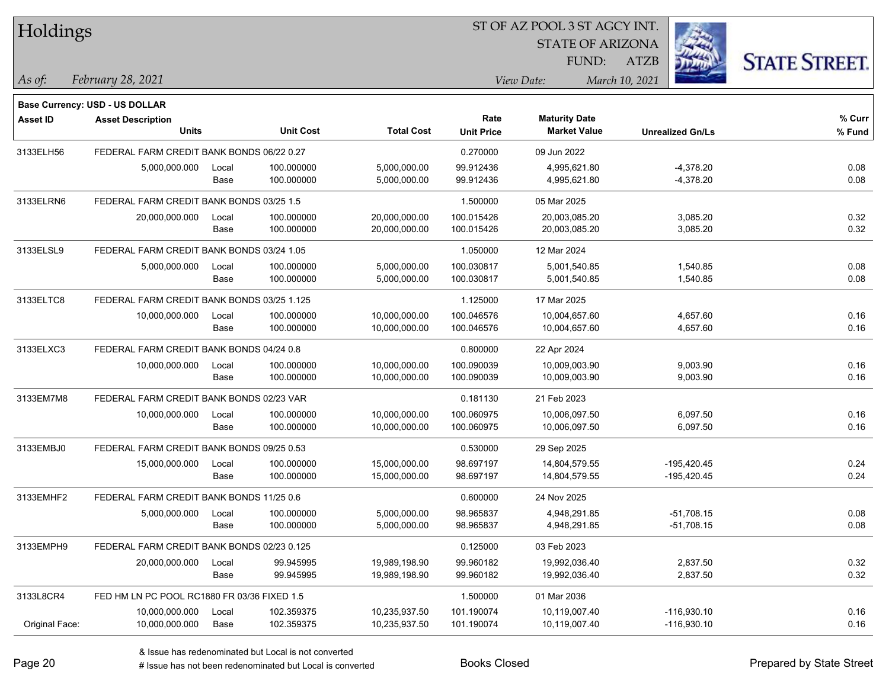| Holdings        |                                             |       |                  |                   |                   | ST OF AZ POOL 3 ST AGCY INT. |                         |                      |
|-----------------|---------------------------------------------|-------|------------------|-------------------|-------------------|------------------------------|-------------------------|----------------------|
|                 |                                             |       |                  |                   |                   | <b>STATE OF ARIZONA</b>      |                         |                      |
|                 |                                             |       |                  |                   |                   | FUND:                        | <b>ATZB</b>             | <b>STATE STREET.</b> |
| As of:          | February 28, 2021                           |       |                  |                   |                   | View Date:                   | March 10, 2021          |                      |
|                 | Base Currency: USD - US DOLLAR              |       |                  |                   |                   |                              |                         |                      |
| <b>Asset ID</b> | <b>Asset Description</b>                    |       |                  |                   | Rate              | <b>Maturity Date</b>         |                         | % Curr               |
|                 | <b>Units</b>                                |       | <b>Unit Cost</b> | <b>Total Cost</b> | <b>Unit Price</b> | <b>Market Value</b>          | <b>Unrealized Gn/Ls</b> | % Fund               |
| 3133ELH56       | FEDERAL FARM CREDIT BANK BONDS 06/22 0.27   |       |                  |                   | 0.270000          | 09 Jun 2022                  |                         |                      |
|                 | 5,000,000.000                               | Local | 100.000000       | 5,000,000.00      | 99.912436         | 4,995,621.80                 | $-4,378.20$             | 0.08                 |
|                 |                                             | Base  | 100.000000       | 5,000,000.00      | 99.912436         | 4,995,621.80                 | $-4,378.20$             | 0.08                 |
| 3133ELRN6       | FEDERAL FARM CREDIT BANK BONDS 03/25 1.5    |       |                  |                   | 1.500000          | 05 Mar 2025                  |                         |                      |
|                 | 20,000,000.000                              | Local | 100.000000       | 20,000,000.00     | 100.015426        | 20,003,085.20                | 3,085.20                | 0.32                 |
|                 |                                             | Base  | 100.000000       | 20,000,000.00     | 100.015426        | 20,003,085.20                | 3,085.20                | 0.32                 |
| 3133ELSL9       | FEDERAL FARM CREDIT BANK BONDS 03/24 1.05   |       |                  |                   | 1.050000          | 12 Mar 2024                  |                         |                      |
|                 | 5,000,000.000                               | Local | 100.000000       | 5,000,000.00      | 100.030817        | 5,001,540.85                 | 1,540.85                | 0.08                 |
|                 |                                             | Base  | 100.000000       | 5,000,000.00      | 100.030817        | 5,001,540.85                 | 1,540.85                | 0.08                 |
| 3133ELTC8       | FEDERAL FARM CREDIT BANK BONDS 03/25 1.125  |       |                  |                   | 1.125000          | 17 Mar 2025                  |                         |                      |
|                 | 10,000,000.000                              | Local | 100.000000       | 10,000,000.00     | 100.046576        | 10.004.657.60                | 4,657.60                | 0.16                 |
|                 |                                             | Base  | 100.000000       | 10,000,000.00     | 100.046576        | 10,004,657.60                | 4,657.60                | 0.16                 |
| 3133ELXC3       | FEDERAL FARM CREDIT BANK BONDS 04/24 0.8    |       |                  |                   | 0.800000          | 22 Apr 2024                  |                         |                      |
|                 | 10,000,000.000                              | Local | 100.000000       | 10,000,000.00     | 100.090039        | 10,009,003.90                | 9,003.90                | 0.16                 |
|                 |                                             | Base  | 100.000000       | 10,000,000.00     | 100.090039        | 10,009,003.90                | 9,003.90                | 0.16                 |
| 3133EM7M8       | FEDERAL FARM CREDIT BANK BONDS 02/23 VAR    |       |                  |                   | 0.181130          | 21 Feb 2023                  |                         |                      |
|                 | 10,000,000.000                              | Local | 100.000000       | 10,000,000.00     | 100.060975        | 10,006,097.50                | 6,097.50                | 0.16                 |
|                 |                                             | Base  | 100.000000       | 10,000,000.00     | 100.060975        | 10,006,097.50                | 6,097.50                | 0.16                 |
| 3133EMBJ0       | FEDERAL FARM CREDIT BANK BONDS 09/25 0.53   |       |                  |                   | 0.530000          | 29 Sep 2025                  |                         |                      |
|                 | 15,000,000.000                              | Local | 100.000000       | 15,000,000.00     | 98.697197         | 14,804,579.55                | $-195,420.45$           | 0.24                 |
|                 |                                             | Base  | 100.000000       | 15,000,000.00     | 98.697197         | 14,804,579.55                | -195,420.45             | 0.24                 |
| 3133EMHF2       | FEDERAL FARM CREDIT BANK BONDS 11/25 0.6    |       |                  |                   | 0.600000          | 24 Nov 2025                  |                         |                      |
|                 | 5,000,000.000                               | Local | 100.000000       | 5,000,000.00      | 98.965837         | 4,948,291.85                 | $-51,708.15$            | 0.08                 |
|                 |                                             | Base  | 100.000000       | 5,000,000.00      | 98.965837         | 4,948,291.85                 | $-51,708.15$            | 0.08                 |
| 3133EMPH9       | FEDERAL FARM CREDIT BANK BONDS 02/23 0.125  |       |                  |                   | 0.125000          | 03 Feb 2023                  |                         |                      |
|                 | 20,000,000.000                              | Local | 99.945995        | 19,989,198.90     | 99.960182         | 19,992,036.40                | 2,837.50                | 0.32                 |
|                 |                                             | Base  | 99.945995        | 19,989,198.90     | 99.960182         | 19,992,036.40                | 2,837.50                | 0.32                 |
| 3133L8CR4       | FED HM LN PC POOL RC1880 FR 03/36 FIXED 1.5 |       |                  |                   | 1.500000          | 01 Mar 2036                  |                         |                      |
|                 | 10,000,000.000                              | Local | 102.359375       | 10,235,937.50     | 101.190074        | 10,119,007.40                | $-116,930.10$           | 0.16                 |
| Original Face:  | 10,000,000.000                              | Base  | 102.359375       | 10,235,937.50     | 101.190074        | 10,119,007.40                | $-116,930.10$           | 0.16                 |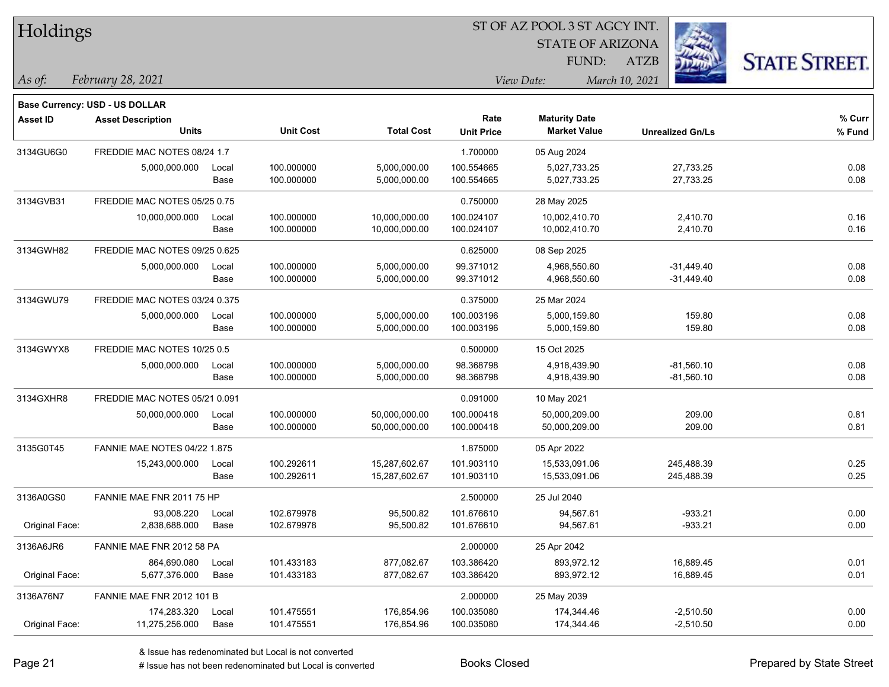| Holdings                            |                                  |       |                  |                   | ST OF AZ POOL 3 ST AGCY INT. |                         |                         |                      |  |  |
|-------------------------------------|----------------------------------|-------|------------------|-------------------|------------------------------|-------------------------|-------------------------|----------------------|--|--|
|                                     |                                  |       |                  |                   |                              | <b>STATE OF ARIZONA</b> |                         |                      |  |  |
|                                     |                                  |       |                  |                   |                              | FUND:                   | ATZB                    | <b>STATE STREET.</b> |  |  |
| $\vert$ As of:<br>February 28, 2021 |                                  |       |                  |                   |                              | View Date:              | March 10, 2021          |                      |  |  |
|                                     | Base Currency: USD - US DOLLAR   |       |                  |                   |                              |                         |                         |                      |  |  |
| <b>Asset ID</b>                     | <b>Asset Description</b>         |       |                  |                   | Rate                         | <b>Maturity Date</b>    |                         | % Curr               |  |  |
|                                     | <b>Units</b>                     |       | <b>Unit Cost</b> | <b>Total Cost</b> | <b>Unit Price</b>            | <b>Market Value</b>     | <b>Unrealized Gn/Ls</b> | % Fund               |  |  |
| 3134GU6G0                           | FREDDIE MAC NOTES 08/24 1.7      |       |                  |                   | 1.700000                     | 05 Aug 2024             |                         |                      |  |  |
|                                     | 5,000,000.000                    | Local | 100.000000       | 5,000,000.00      | 100.554665                   | 5,027,733.25            | 27,733.25               | 0.08                 |  |  |
|                                     |                                  | Base  | 100.000000       | 5,000,000.00      | 100.554665                   | 5,027,733.25            | 27,733.25               | 0.08                 |  |  |
| 3134GVB31                           | FREDDIE MAC NOTES 05/25 0.75     |       |                  |                   | 0.750000                     | 28 May 2025             |                         |                      |  |  |
|                                     | 10,000,000.000                   | Local | 100.000000       | 10,000,000.00     | 100.024107                   | 10,002,410.70           | 2,410.70                | 0.16                 |  |  |
|                                     |                                  | Base  | 100.000000       | 10,000,000.00     | 100.024107                   | 10,002,410.70           | 2,410.70                | 0.16                 |  |  |
| 3134GWH82                           | FREDDIE MAC NOTES 09/25 0.625    |       |                  |                   | 0.625000                     | 08 Sep 2025             |                         |                      |  |  |
|                                     | 5,000,000.000                    | Local | 100.000000       | 5,000,000.00      | 99.371012                    | 4,968,550.60            | $-31,449.40$            | 0.08                 |  |  |
|                                     |                                  | Base  | 100.000000       | 5,000,000.00      | 99.371012                    | 4,968,550.60            | $-31,449.40$            | 0.08                 |  |  |
| 3134GWU79                           | FREDDIE MAC NOTES 03/24 0.375    |       |                  |                   | 0.375000                     | 25 Mar 2024             |                         |                      |  |  |
|                                     | 5,000,000.000                    | Local | 100.000000       | 5,000,000.00      | 100.003196                   | 5,000,159.80            | 159.80                  | 0.08                 |  |  |
|                                     |                                  | Base  | 100.000000       | 5,000,000.00      | 100.003196                   | 5,000,159.80            | 159.80                  | 0.08                 |  |  |
| 3134GWYX8                           | FREDDIE MAC NOTES 10/25 0.5      |       |                  |                   | 0.500000                     | 15 Oct 2025             |                         |                      |  |  |
|                                     | 5,000,000.000                    | Local | 100.000000       | 5,000,000.00      | 98.368798                    | 4,918,439.90            | $-81,560.10$            | 0.08                 |  |  |
|                                     |                                  | Base  | 100.000000       | 5,000,000.00      | 98.368798                    | 4,918,439.90            | $-81,560.10$            | 0.08                 |  |  |
| 3134GXHR8                           | FREDDIE MAC NOTES 05/21 0.091    |       |                  |                   | 0.091000                     | 10 May 2021             |                         |                      |  |  |
|                                     | 50,000,000.000                   | Local | 100.000000       | 50,000,000.00     | 100.000418                   | 50,000,209.00           | 209.00                  | 0.81                 |  |  |
|                                     |                                  | Base  | 100.000000       | 50,000,000.00     | 100.000418                   | 50,000,209.00           | 209.00                  | 0.81                 |  |  |
| 3135G0T45                           | FANNIE MAE NOTES 04/22 1.875     |       |                  |                   | 1.875000                     | 05 Apr 2022             |                         |                      |  |  |
|                                     | 15,243,000.000                   | Local | 100.292611       | 15,287,602.67     | 101.903110                   | 15,533,091.06           | 245,488.39              | 0.25                 |  |  |
|                                     |                                  | Base  | 100.292611       | 15,287,602.67     | 101.903110                   | 15,533,091.06           | 245,488.39              | 0.25                 |  |  |
| 3136A0GS0                           | FANNIE MAE FNR 2011 75 HP        |       |                  |                   | 2.500000                     | 25 Jul 2040             |                         |                      |  |  |
|                                     | 93,008.220                       | Local | 102.679978       | 95,500.82         | 101.676610                   | 94,567.61               | $-933.21$               | 0.00                 |  |  |
| Original Face:                      | 2,838,688.000                    | Base  | 102.679978       | 95,500.82         | 101.676610                   | 94,567.61               | $-933.21$               | 0.00                 |  |  |
| 3136A6JR6                           | FANNIE MAE FNR 2012 58 PA        |       |                  |                   | 2.000000                     | 25 Apr 2042             |                         |                      |  |  |
|                                     | 864,690.080                      | Local | 101.433183       | 877,082.67        | 103.386420                   | 893,972.12              | 16,889.45               | 0.01                 |  |  |
| Original Face:                      | 5,677,376.000                    | Base  | 101.433183       | 877,082.67        | 103.386420                   | 893,972.12              | 16,889.45               | 0.01                 |  |  |
| 3136A76N7                           | <b>FANNIE MAE FNR 2012 101 B</b> |       |                  |                   | 2.000000                     | 25 May 2039             |                         |                      |  |  |
|                                     | 174,283.320                      | Local | 101.475551       | 176,854.96        | 100.035080                   | 174,344.46              | $-2,510.50$             | 0.00                 |  |  |
| Original Face:                      | 11,275,256.000                   | Base  | 101.475551       | 176,854.96        | 100.035080                   | 174,344.46              | $-2,510.50$             | 0.00                 |  |  |

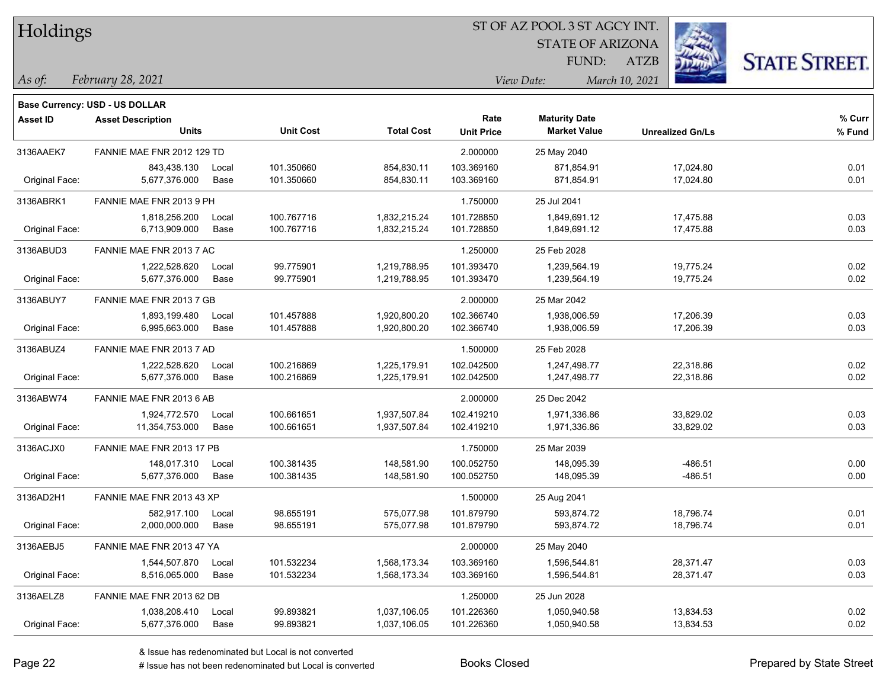| Holdings |
|----------|
|          |

STATE OF ARIZONA

ATZB



*February 28, 2021 As of: View Date: March 10, 2021*

**Base Currency: USD - US DOLLAR**

FUND:

| Asset ID       | <b>Asset Description</b>   |       |                  |                   | Rate              | <b>Maturity Date</b> |                         | % Curr |
|----------------|----------------------------|-------|------------------|-------------------|-------------------|----------------------|-------------------------|--------|
|                | <b>Units</b>               |       | <b>Unit Cost</b> | <b>Total Cost</b> | <b>Unit Price</b> | <b>Market Value</b>  | <b>Unrealized Gn/Ls</b> | % Fund |
| 3136AAEK7      | FANNIE MAE FNR 2012 129 TD |       |                  |                   | 2.000000          | 25 May 2040          |                         |        |
|                | 843,438.130                | Local | 101.350660       | 854,830.11        | 103.369160        | 871,854.91           | 17,024.80               | 0.01   |
| Original Face: | 5,677,376.000              | Base  | 101.350660       | 854,830.11        | 103.369160        | 871,854.91           | 17,024.80               | 0.01   |
| 3136ABRK1      | FANNIE MAE FNR 2013 9 PH   |       |                  |                   | 1.750000          | 25 Jul 2041          |                         |        |
|                | 1,818,256.200              | Local | 100.767716       | 1,832,215.24      | 101.728850        | 1,849,691.12         | 17,475.88               | 0.03   |
| Original Face: | 6,713,909.000              | Base  | 100.767716       | 1,832,215.24      | 101.728850        | 1,849,691.12         | 17,475.88               | 0.03   |
| 3136ABUD3      | FANNIE MAE FNR 2013 7 AC   |       |                  |                   | 1.250000          | 25 Feb 2028          |                         |        |
|                | 1,222,528.620              | Local | 99.775901        | 1,219,788.95      | 101.393470        | 1,239,564.19         | 19,775.24               | 0.02   |
| Original Face: | 5,677,376.000              | Base  | 99.775901        | 1,219,788.95      | 101.393470        | 1,239,564.19         | 19,775.24               | 0.02   |
| 3136ABUY7      | FANNIE MAE FNR 2013 7 GB   |       |                  |                   | 2.000000          | 25 Mar 2042          |                         |        |
|                | 1,893,199.480              | Local | 101.457888       | 1,920,800.20      | 102.366740        | 1,938,006.59         | 17,206.39               | 0.03   |
| Original Face: | 6,995,663.000              | Base  | 101.457888       | 1,920,800.20      | 102.366740        | 1,938,006.59         | 17,206.39               | 0.03   |
| 3136ABUZ4      | FANNIE MAE FNR 2013 7 AD   |       |                  |                   | 1.500000          | 25 Feb 2028          |                         |        |
|                | 1,222,528.620              | Local | 100.216869       | 1,225,179.91      | 102.042500        | 1,247,498.77         | 22,318.86               | 0.02   |
| Original Face: | 5,677,376.000              | Base  | 100.216869       | 1,225,179.91      | 102.042500        | 1,247,498.77         | 22,318.86               | 0.02   |
| 3136ABW74      | FANNIE MAE FNR 2013 6 AB   |       |                  |                   | 2.000000          | 25 Dec 2042          |                         |        |
|                | 1,924,772.570              | Local | 100.661651       | 1,937,507.84      | 102.419210        | 1,971,336.86         | 33,829.02               | 0.03   |
| Original Face: | 11,354,753.000             | Base  | 100.661651       | 1,937,507.84      | 102.419210        | 1,971,336.86         | 33,829.02               | 0.03   |
| 3136ACJX0      | FANNIE MAE FNR 2013 17 PB  |       |                  |                   | 1.750000          | 25 Mar 2039          |                         |        |
|                | 148,017.310                | Local | 100.381435       | 148,581.90        | 100.052750        | 148,095.39           | $-486.51$               | 0.00   |
| Original Face: | 5,677,376.000              | Base  | 100.381435       | 148,581.90        | 100.052750        | 148,095.39           | $-486.51$               | 0.00   |
| 3136AD2H1      | FANNIE MAE FNR 2013 43 XP  |       |                  |                   | 1.500000          | 25 Aug 2041          |                         |        |
|                | 582,917.100                | Local | 98.655191        | 575,077.98        | 101.879790        | 593,874.72           | 18,796.74               | 0.01   |
| Original Face: | 2,000,000.000              | Base  | 98.655191        | 575,077.98        | 101.879790        | 593,874.72           | 18,796.74               | 0.01   |
| 3136AEBJ5      | FANNIE MAE FNR 2013 47 YA  |       |                  |                   | 2.000000          | 25 May 2040          |                         |        |
|                | 1,544,507.870              | Local | 101.532234       | 1,568,173.34      | 103.369160        | 1,596,544.81         | 28,371.47               | 0.03   |
| Original Face: | 8,516,065.000              | Base  | 101.532234       | 1,568,173.34      | 103.369160        | 1,596,544.81         | 28,371.47               | 0.03   |
| 3136AELZ8      | FANNIE MAE FNR 2013 62 DB  |       |                  |                   | 1.250000          | 25 Jun 2028          |                         |        |
|                | 1,038,208.410              | Local | 99.893821        | 1,037,106.05      | 101.226360        | 1,050,940.58         | 13,834.53               | 0.02   |
| Original Face: | 5,677,376.000              | Base  | 99.893821        | 1,037,106.05      | 101.226360        | 1,050,940.58         | 13,834.53               | 0.02   |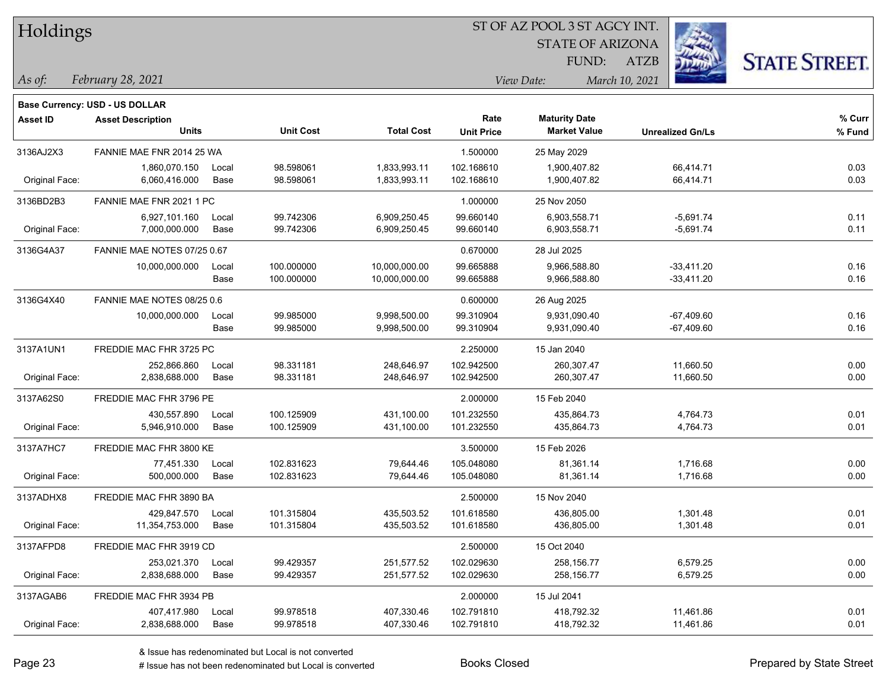|  |  | Holdings |  |
|--|--|----------|--|
|--|--|----------|--|

STATE OF ARIZONA

ATZB



**% Fund**

**% Curr**

*February 28, 2021 As of: View Date: March 10, 2021*

**Asset ID Asset Description** 

**Base Currency: USD - US DOLLAR**

FUND:

| ase Currency: USD - US DOLLAR_ |                           |                  |                   |                   |                      |                         |       |
|--------------------------------|---------------------------|------------------|-------------------|-------------------|----------------------|-------------------------|-------|
| sset ID                        | <b>Asset Description</b>  |                  |                   | Rate              | <b>Maturity Date</b> |                         | % Cur |
|                                | Units                     | <b>Unit Cost</b> | <b>Total Cost</b> | <b>Unit Price</b> | <b>Market Value</b>  | <b>Unrealized Gn/Ls</b> | % Fun |
| 136AJ2X3                       | FANNIE MAE FNR 2014 25 WA |                  |                   | 1.500000          | 25 May 2029          |                         |       |
|                                | 1,860,070.150<br>Local    | 98.598061        | 1.833.993.11      | 102.168610        | 1.900.407.82         | 66.414.71               | 0.03  |
| Original Face:                 | 6.060.416.000<br>Base     | 98.598061        | 1.833.993.11      | 102.168610        | 1.900.407.82         | 66.414.71               | 0.03  |
| 136BD2B3                       | FANNIE MAE FNR 2021 1 PC  |                  |                   | 1.000000          | 25 Nov 2050          |                         |       |
|                                | $0.027404400 - 1000$      | 00.74220         | C 000 OEO AE      | 00000110          | $C$ 000 $E$ $E$ 0.74 | $E$ CO <sub>1</sub> 74  | 0.44  |

|                | 6,927,101.160               | Local | 99.742306  | 6,909,250.45  | 99.660140  | 6,903,558.71 | $-5,691.74$  | 0.11 |
|----------------|-----------------------------|-------|------------|---------------|------------|--------------|--------------|------|
| Original Face: | 7,000,000.000               | Base  | 99.742306  | 6,909,250.45  | 99.660140  | 6,903,558.71 | $-5,691.74$  | 0.11 |
| 3136G4A37      | FANNIE MAE NOTES 07/25 0.67 |       |            |               | 0.670000   | 28 Jul 2025  |              |      |
|                | 10,000,000.000              | Local | 100.000000 | 10,000,000.00 | 99.665888  | 9,966,588.80 | $-33,411.20$ | 0.16 |
|                |                             | Base  | 100.000000 | 10,000,000.00 | 99.665888  | 9,966,588.80 | $-33,411.20$ | 0.16 |
| 3136G4X40      | FANNIE MAE NOTES 08/25 0.6  |       |            |               | 0.600000   | 26 Aug 2025  |              |      |
|                | 10,000,000.000              | Local | 99.985000  | 9,998,500.00  | 99.310904  | 9,931,090.40 | $-67,409.60$ | 0.16 |
|                |                             | Base  | 99.985000  | 9,998,500.00  | 99.310904  | 9,931,090.40 | $-67,409.60$ | 0.16 |
| 3137A1UN1      | FREDDIE MAC FHR 3725 PC     |       |            |               | 2.250000   | 15 Jan 2040  |              |      |
|                | 252,866.860                 | Local | 98.331181  | 248,646.97    | 102.942500 | 260,307.47   | 11,660.50    | 0.00 |
| Original Face: | 2,838,688.000               | Base  | 98.331181  | 248,646.97    | 102.942500 | 260,307.47   | 11,660.50    | 0.00 |
| 3137A62S0      | FREDDIE MAC FHR 3796 PE     |       |            |               | 2.000000   | 15 Feb 2040  |              |      |
|                | 430,557.890                 | Local | 100.125909 | 431,100.00    | 101.232550 | 435,864.73   | 4,764.73     | 0.01 |
| Original Face: | 5,946,910.000               | Base  | 100.125909 | 431,100.00    | 101.232550 | 435,864.73   | 4,764.73     | 0.01 |
| 3137A7HC7      | FREDDIE MAC FHR 3800 KE     |       |            |               | 3.500000   | 15 Feb 2026  |              |      |
|                | 77.451.330                  | Local | 102.831623 | 79,644.46     | 105.048080 | 81,361.14    | 1,716.68     | 0.00 |
| Original Face: | 500,000.000                 | Base  | 102.831623 | 79,644.46     | 105.048080 | 81,361.14    | 1,716.68     | 0.00 |
| 3137ADHX8      | FREDDIE MAC FHR 3890 BA     |       |            |               | 2.500000   | 15 Nov 2040  |              |      |
|                | 429,847.570                 | Local | 101.315804 | 435,503.52    | 101.618580 | 436,805.00   | 1,301.48     | 0.01 |
| Original Face: | 11,354,753.000              | Base  | 101.315804 | 435,503.52    | 101.618580 | 436,805.00   | 1,301.48     | 0.01 |
| 3137AFPD8      | FREDDIE MAC FHR 3919 CD     |       |            |               | 2.500000   | 15 Oct 2040  |              |      |
|                | 253,021.370                 | Local | 99.429357  | 251,577.52    | 102.029630 | 258,156.77   | 6,579.25     | 0.00 |
| Original Face: | 2,838,688.000               | Base  | 99.429357  | 251,577.52    | 102.029630 | 258, 156.77  | 6,579.25     | 0.00 |
| 3137AGAB6      | FREDDIE MAC FHR 3934 PB     |       |            |               | 2.000000   | 15 Jul 2041  |              |      |
|                |                             |       |            |               |            |              |              |      |

Original Face: 2,838,688.000 Base 99.978518 407,330.46 102.791810 418,792.32 11,461.86 0.01

407,417.980 Local 99.978518 407,330.46 102.791810 418,792.32 11,461.86 0.01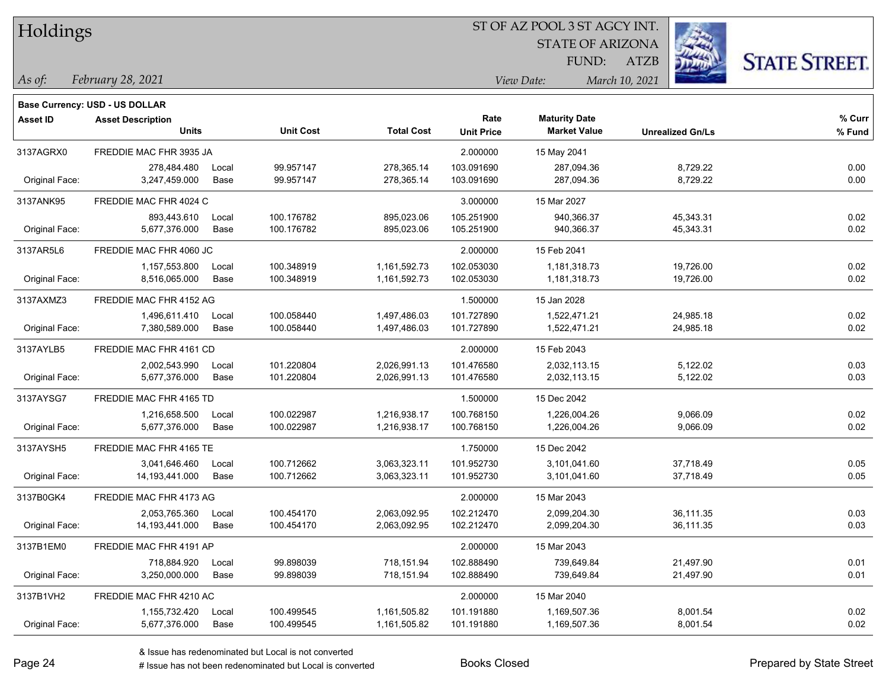| Holdings |
|----------|
|          |

**Maturity Date**

STATE OF ARIZONA FUND:



**% Curr**

*February 28, 2021 As of: View Date: March 10, 2021*

**Base Currency: USD - US DOLLAR**

ATZB

|                | <b>Units</b>            |       | <b>Unit Cost</b> | <b>Total Cost</b> | <b>Unit Price</b> | <b>Market Value</b> | <b>Unrealized Gn/Ls</b> | % Fund |
|----------------|-------------------------|-------|------------------|-------------------|-------------------|---------------------|-------------------------|--------|
| 3137AGRX0      | FREDDIE MAC FHR 3935 JA |       |                  |                   | 2.000000          | 15 May 2041         |                         |        |
|                | 278,484.480             | Local | 99.957147        | 278,365.14        | 103.091690        | 287,094.36          | 8,729.22                | 0.00   |
| Original Face: | 3.247.459.000           | Base  | 99.957147        | 278,365.14        | 103.091690        | 287,094.36          | 8,729.22                | 0.00   |
| 3137ANK95      | FREDDIE MAC FHR 4024 C  |       |                  |                   | 3.000000          | 15 Mar 2027         |                         |        |
|                | 893,443.610             | Local | 100.176782       | 895,023.06        | 105.251900        | 940,366.37          | 45,343.31               | 0.02   |
| Original Face: | 5,677,376.000           | Base  | 100.176782       | 895,023.06        | 105.251900        | 940,366.37          | 45,343.31               | 0.02   |
| 3137AR5L6      | FREDDIE MAC FHR 4060 JC |       |                  |                   | 2.000000          | 15 Feb 2041         |                         |        |
|                | 1,157,553.800           | Local | 100.348919       | 1,161,592.73      | 102.053030        | 1,181,318.73        | 19,726.00               | 0.02   |
| Original Face: | 8,516,065.000           | Base  | 100.348919       | 1,161,592.73      | 102.053030        | 1,181,318.73        | 19,726.00               | 0.02   |
| 3137AXMZ3      | FREDDIE MAC FHR 4152 AG |       |                  |                   | 1.500000          | 15 Jan 2028         |                         |        |
|                | 1,496,611.410           | Local | 100.058440       | 1,497,486.03      | 101.727890        | 1,522,471.21        | 24,985.18               | 0.02   |
| Original Face: | 7,380,589.000           | Base  | 100.058440       | 1,497,486.03      | 101.727890        | 1,522,471.21        | 24,985.18               | 0.02   |
| 3137AYLB5      | FREDDIE MAC FHR 4161 CD |       |                  |                   | 2.000000          | 15 Feb 2043         |                         |        |
|                | 2,002,543.990           | Local | 101.220804       | 2,026,991.13      | 101.476580        | 2,032,113.15        | 5,122.02                | 0.03   |
| Original Face: | 5,677,376.000           | Base  | 101.220804       | 2,026,991.13      | 101.476580        | 2,032,113.15        | 5,122.02                | 0.03   |
| 3137AYSG7      | FREDDIE MAC FHR 4165 TD |       |                  |                   | 1.500000          | 15 Dec 2042         |                         |        |
|                | 1,216,658.500           | Local | 100.022987       | 1,216,938.17      | 100.768150        | 1,226,004.26        | 9,066.09                | 0.02   |
| Original Face: | 5,677,376.000           | Base  | 100.022987       | 1,216,938.17      | 100.768150        | 1,226,004.26        | 9,066.09                | 0.02   |
| 3137AYSH5      | FREDDIE MAC FHR 4165 TE |       |                  |                   | 1.750000          | 15 Dec 2042         |                         |        |
|                | 3,041,646.460           | Local | 100.712662       | 3,063,323.11      | 101.952730        | 3,101,041.60        | 37,718.49               | 0.05   |
| Original Face: | 14,193,441.000          | Base  | 100.712662       | 3,063,323.11      | 101.952730        | 3,101,041.60        | 37,718.49               | 0.05   |
| 3137B0GK4      | FREDDIE MAC FHR 4173 AG |       |                  |                   | 2.000000          | 15 Mar 2043         |                         |        |
|                | 2.053.765.360           | Local | 100.454170       | 2,063,092.95      | 102.212470        | 2.099.204.30        | 36,111.35               | 0.03   |
| Original Face: | 14,193,441.000          | Base  | 100.454170       | 2,063,092.95      | 102.212470        | 2,099,204.30        | 36,111.35               | 0.03   |
| 3137B1EM0      | FREDDIE MAC FHR 4191 AP |       |                  |                   | 2.000000          | 15 Mar 2043         |                         |        |
|                | 718,884.920             | Local | 99.898039        | 718,151.94        | 102.888490        | 739,649.84          | 21,497.90               | 0.01   |
| Original Face: | 3,250,000.000           | Base  | 99.898039        | 718,151.94        | 102.888490        | 739,649.84          | 21,497.90               | 0.01   |
| 3137B1VH2      | FREDDIE MAC FHR 4210 AC |       |                  |                   | 2.000000          | 15 Mar 2040         |                         |        |
|                |                         |       |                  |                   |                   |                     |                         |        |

**Units Unit Cost Total Cost Unit Price Market Value Unrealized Gn/Ls**

**Asset ID Asset Description Rate**

Original Face: 5,677,376.000 Base 100.499545 1,161,505.82 101.191880 1,169,507.36 8,001.54 0.02

1,155,732.420 Local 100.499545 1,161,505.82 101.191880 1,169,507.36 8,001.54 0.02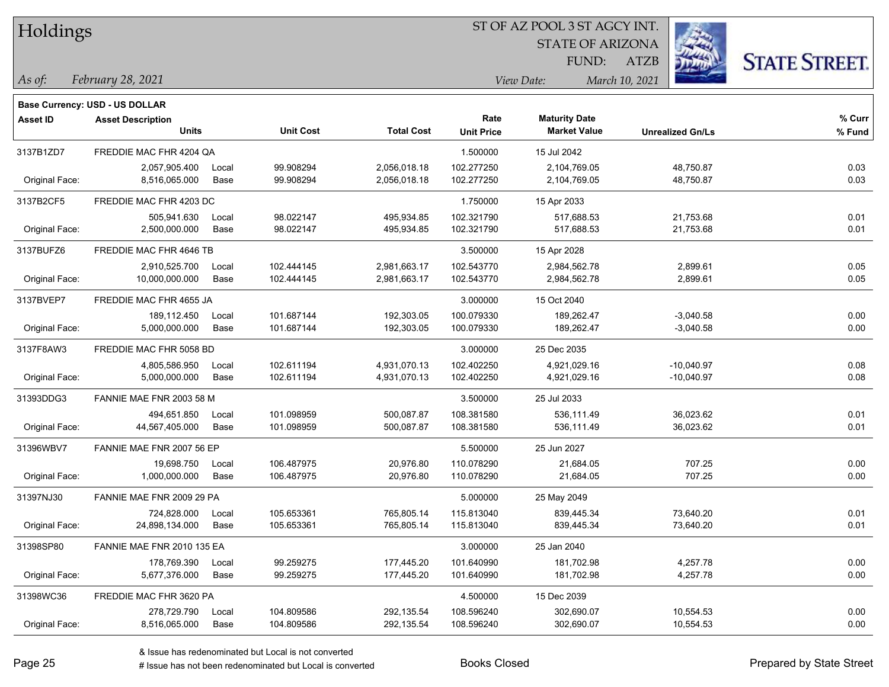| Holdings |
|----------|
|          |

**Base Currency: USD - US DOLLAR**

# ST OF AZ POOL 3 ST AGCY INT.

STATE OF ARIZONA

ATZB



*February 28, 2021 As of: View Date: March 10, 2021*

FUND:

| Asset ID       | <b>Asset Description</b><br><b>Units</b> |       | <b>Unit Cost</b> | <b>Total Cost</b> | Rate<br><b>Unit Price</b> | <b>Maturity Date</b><br><b>Market Value</b> | <b>Unrealized Gn/Ls</b> | % Curr<br>% Fund |
|----------------|------------------------------------------|-------|------------------|-------------------|---------------------------|---------------------------------------------|-------------------------|------------------|
| 3137B1ZD7      | FREDDIE MAC FHR 4204 QA                  |       |                  |                   | 1.500000                  | 15 Jul 2042                                 |                         |                  |
|                |                                          |       |                  |                   |                           |                                             |                         |                  |
|                | 2,057,905.400                            | Local | 99.908294        | 2,056,018.18      | 102.277250                | 2,104,769.05                                | 48,750.87               | 0.03             |
| Original Face: | 8,516,065.000                            | Base  | 99.908294        | 2,056,018.18      | 102.277250                | 2,104,769.05                                | 48,750.87               | 0.03             |
| 3137B2CF5      | FREDDIE MAC FHR 4203 DC                  |       |                  |                   | 1.750000                  | 15 Apr 2033                                 |                         |                  |
|                | 505,941.630                              | Local | 98.022147        | 495,934.85        | 102.321790                | 517,688.53                                  | 21,753.68               | 0.01             |
| Original Face: | 2,500,000.000                            | Base  | 98.022147        | 495,934.85        | 102.321790                | 517,688.53                                  | 21,753.68               | 0.01             |
| 3137BUFZ6      | FREDDIE MAC FHR 4646 TB                  |       |                  |                   | 3.500000                  | 15 Apr 2028                                 |                         |                  |
|                | 2,910,525.700                            | Local | 102.444145       | 2,981,663.17      | 102.543770                | 2,984,562.78                                | 2,899.61                | 0.05             |
| Original Face: | 10,000,000.000                           | Base  | 102.444145       | 2,981,663.17      | 102.543770                | 2,984,562.78                                | 2,899.61                | 0.05             |
| 3137BVEP7      | FREDDIE MAC FHR 4655 JA                  |       |                  |                   | 3.000000                  | 15 Oct 2040                                 |                         |                  |
|                | 189,112.450                              | Local | 101.687144       | 192,303.05        | 100.079330                | 189,262.47                                  | $-3,040.58$             | 0.00             |
| Original Face: | 5,000,000.000                            | Base  | 101.687144       | 192,303.05        | 100.079330                | 189,262.47                                  | $-3,040.58$             | 0.00             |
|                |                                          |       |                  |                   |                           |                                             |                         |                  |
| 3137F8AW3      | FREDDIE MAC FHR 5058 BD                  |       |                  |                   | 3.000000                  | 25 Dec 2035                                 |                         |                  |
|                | 4,805,586.950                            | Local | 102.611194       | 4,931,070.13      | 102.402250                | 4,921,029.16                                | $-10,040.97$            | 0.08             |
| Original Face: | 5,000,000.000                            | Base  | 102.611194       | 4,931,070.13      | 102.402250                | 4,921,029.16                                | $-10,040.97$            | 0.08             |
| 31393DDG3      | FANNIE MAE FNR 2003 58 M                 |       |                  |                   | 3.500000                  | 25 Jul 2033                                 |                         |                  |
|                | 494.651.850                              | Local | 101.098959       | 500,087.87        | 108.381580                | 536.111.49                                  | 36,023.62               | 0.01             |
| Original Face: | 44,567,405.000                           | Base  | 101.098959       | 500,087.87        | 108.381580                | 536,111.49                                  | 36,023.62               | 0.01             |
| 31396WBV7      | FANNIE MAE FNR 2007 56 EP                |       |                  |                   | 5.500000                  | 25 Jun 2027                                 |                         |                  |
|                | 19,698.750                               | Local | 106.487975       | 20,976.80         | 110.078290                | 21,684.05                                   | 707.25                  | 0.00             |
| Original Face: | 1,000,000.000                            | Base  | 106.487975       | 20,976.80         | 110.078290                | 21,684.05                                   | 707.25                  | 0.00             |
| 31397NJ30      | FANNIE MAE FNR 2009 29 PA                |       |                  |                   | 5.000000                  | 25 May 2049                                 |                         |                  |
|                | 724,828.000                              | Local | 105.653361       | 765,805.14        | 115.813040                | 839,445.34                                  | 73,640.20               | 0.01             |
| Original Face: | 24,898,134.000                           | Base  | 105.653361       | 765,805.14        | 115.813040                | 839,445.34                                  | 73,640.20               | 0.01             |
| 31398SP80      | FANNIE MAE FNR 2010 135 EA               |       |                  |                   | 3.000000                  | 25 Jan 2040                                 |                         |                  |
|                | 178,769.390                              | Local | 99.259275        | 177,445.20        | 101.640990                | 181,702.98                                  | 4,257.78                | 0.00             |
| Original Face: | 5,677,376.000                            | Base  | 99.259275        | 177,445.20        | 101.640990                | 181,702.98                                  | 4,257.78                | 0.00             |
| 31398WC36      | FREDDIE MAC FHR 3620 PA                  |       |                  |                   | 4.500000                  | 15 Dec 2039                                 |                         |                  |
|                | 278,729.790                              | Local | 104.809586       | 292,135.54        | 108.596240                | 302,690.07                                  | 10,554.53               | 0.00             |
| Original Face: | 8,516,065.000                            | Base  | 104.809586       | 292,135.54        | 108.596240                | 302,690.07                                  | 10,554.53               | 0.00             |
|                |                                          |       |                  |                   |                           |                                             |                         |                  |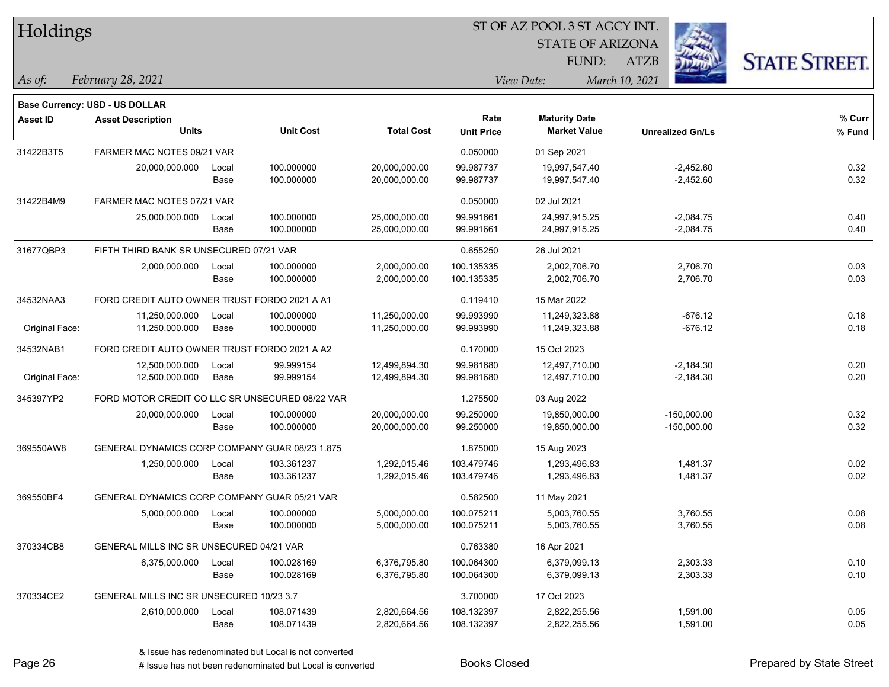| Holdings |
|----------|
|          |

STATE OF ARIZONA

ATZB



*February 28, 2021 As of: View Date: March 10, 2021*

**Base Currency: USD - US DOLLAR**

FUND:

| <b>Asset ID</b> | <b>Asset Description</b>                        |       |                  |                   | Rate              | <b>Maturity Date</b> |                         | % Curr |
|-----------------|-------------------------------------------------|-------|------------------|-------------------|-------------------|----------------------|-------------------------|--------|
|                 | <b>Units</b>                                    |       | <b>Unit Cost</b> | <b>Total Cost</b> | <b>Unit Price</b> | <b>Market Value</b>  | <b>Unrealized Gn/Ls</b> | % Fund |
| 31422B3T5       | FARMER MAC NOTES 09/21 VAR                      |       |                  |                   | 0.050000          | 01 Sep 2021          |                         |        |
|                 | 20,000,000.000                                  | Local | 100.000000       | 20,000,000.00     | 99.987737         | 19,997,547.40        | $-2,452.60$             | 0.32   |
|                 |                                                 | Base  | 100.000000       | 20,000,000.00     | 99.987737         | 19,997,547.40        | $-2,452.60$             | 0.32   |
| 31422B4M9       | FARMER MAC NOTES 07/21 VAR                      |       |                  |                   | 0.050000          | 02 Jul 2021          |                         |        |
|                 | 25,000,000.000                                  | Local | 100.000000       | 25,000,000.00     | 99.991661         | 24,997,915.25        | $-2,084.75$             | 0.40   |
|                 |                                                 | Base  | 100.000000       | 25,000,000.00     | 99.991661         | 24,997,915.25        | $-2,084.75$             | 0.40   |
| 31677QBP3       | FIFTH THIRD BANK SR UNSECURED 07/21 VAR         |       |                  |                   | 0.655250          | 26 Jul 2021          |                         |        |
|                 | 2,000,000.000                                   | Local | 100.000000       | 2,000,000.00      | 100.135335        | 2,002,706.70         | 2,706.70                | 0.03   |
|                 |                                                 | Base  | 100.000000       | 2,000,000.00      | 100.135335        | 2,002,706.70         | 2,706.70                | 0.03   |
| 34532NAA3       | FORD CREDIT AUTO OWNER TRUST FORDO 2021 A A1    |       |                  |                   | 0.119410          | 15 Mar 2022          |                         |        |
|                 | 11,250,000.000                                  | Local | 100.000000       | 11,250,000.00     | 99.993990         | 11,249,323.88        | $-676.12$               | 0.18   |
| Original Face:  | 11,250,000.000                                  | Base  | 100.000000       | 11,250,000.00     | 99.993990         | 11,249,323.88        | $-676.12$               | 0.18   |
| 34532NAB1       | FORD CREDIT AUTO OWNER TRUST FORDO 2021 A A2    |       |                  |                   | 0.170000          | 15 Oct 2023          |                         |        |
|                 | 12,500,000.000                                  | Local | 99.999154        | 12,499,894.30     | 99.981680         | 12,497,710.00        | $-2,184.30$             | 0.20   |
| Original Face:  | 12,500,000.000                                  | Base  | 99.999154        | 12,499,894.30     | 99.981680         | 12,497,710.00        | $-2,184.30$             | 0.20   |
| 345397YP2       | FORD MOTOR CREDIT CO LLC SR UNSECURED 08/22 VAR |       |                  | 1.275500          | 03 Aug 2022       |                      |                         |        |
|                 | 20,000,000.000                                  | Local | 100.000000       | 20,000,000.00     | 99.250000         | 19,850,000.00        | $-150,000.00$           | 0.32   |
|                 |                                                 | Base  | 100.000000       | 20,000,000.00     | 99.250000         | 19,850,000.00        | $-150,000.00$           | 0.32   |
| 369550AW8       | GENERAL DYNAMICS CORP COMPANY GUAR 08/23 1.875  |       |                  |                   | 1.875000          | 15 Aug 2023          |                         |        |
|                 | 1,250,000.000                                   | Local | 103.361237       | 1,292,015.46      | 103.479746        | 1,293,496.83         | 1,481.37                | 0.02   |
|                 |                                                 | Base  | 103.361237       | 1,292,015.46      | 103.479746        | 1,293,496.83         | 1,481.37                | 0.02   |
| 369550BF4       | GENERAL DYNAMICS CORP COMPANY GUAR 05/21 VAR    |       |                  |                   | 0.582500          | 11 May 2021          |                         |        |
|                 | 5,000,000.000                                   | Local | 100.000000       | 5,000,000.00      | 100.075211        | 5,003,760.55         | 3,760.55                | 0.08   |
|                 |                                                 | Base  | 100.000000       | 5,000,000.00      | 100.075211        | 5,003,760.55         | 3,760.55                | 0.08   |
| 370334CB8       | GENERAL MILLS INC SR UNSECURED 04/21 VAR        |       |                  |                   | 0.763380          | 16 Apr 2021          |                         |        |
|                 | 6,375,000.000                                   | Local | 100.028169       | 6,376,795.80      | 100.064300        | 6,379,099.13         | 2,303.33                | 0.10   |
|                 |                                                 | Base  | 100.028169       | 6,376,795.80      | 100.064300        | 6,379,099.13         | 2,303.33                | 0.10   |
| 370334CE2       | GENERAL MILLS INC SR UNSECURED 10/23 3.7        |       |                  |                   | 3.700000          | 17 Oct 2023          |                         |        |
|                 | 2,610,000.000                                   | Local | 108.071439       | 2,820,664.56      | 108.132397        | 2,822,255.56         | 1,591.00                | 0.05   |
|                 |                                                 | Base  | 108.071439       | 2,820,664.56      | 108.132397        | 2,822,255.56         | 1,591.00                | 0.05   |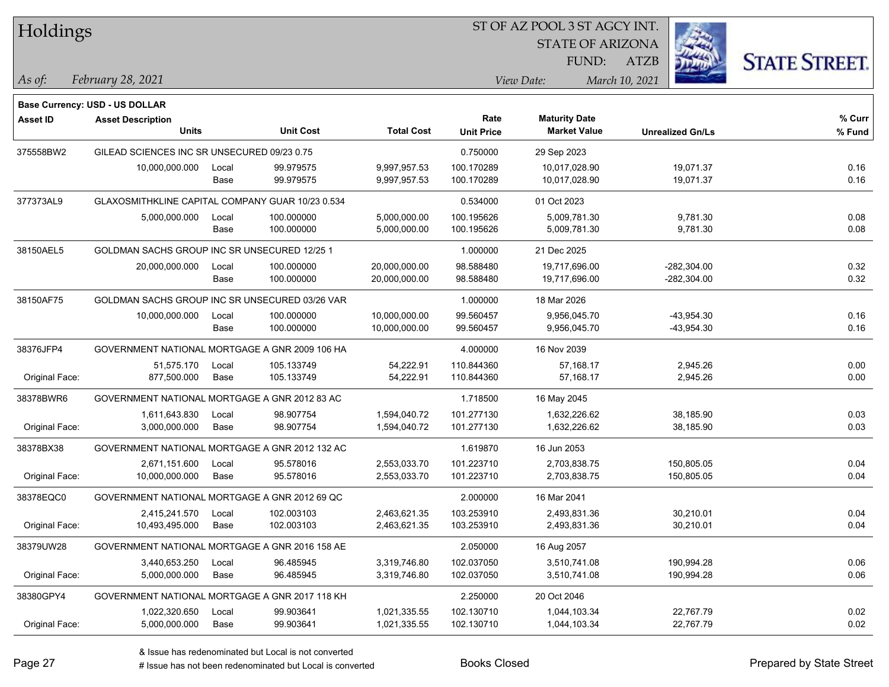| Holdings        |                                                  |       |                  |                   | ST OF AZ POOL 3 ST AGCY INT. |                         |                         |                      |
|-----------------|--------------------------------------------------|-------|------------------|-------------------|------------------------------|-------------------------|-------------------------|----------------------|
|                 |                                                  |       |                  |                   |                              | <b>STATE OF ARIZONA</b> |                         |                      |
|                 |                                                  |       |                  |                   |                              | FUND:                   | ATZB                    | <b>STATE STREET.</b> |
| As of:          | February 28, 2021                                |       |                  |                   |                              | View Date:              | March 10, 2021          |                      |
|                 | <b>Base Currency: USD - US DOLLAR</b>            |       |                  |                   |                              |                         |                         |                      |
| <b>Asset ID</b> | <b>Asset Description</b>                         |       |                  |                   | Rate                         | <b>Maturity Date</b>    |                         | % Curr               |
|                 | <b>Units</b>                                     |       | <b>Unit Cost</b> | <b>Total Cost</b> | <b>Unit Price</b>            | <b>Market Value</b>     | <b>Unrealized Gn/Ls</b> | % Fund               |
| 375558BW2       | GILEAD SCIENCES INC SR UNSECURED 09/23 0.75      |       |                  |                   | 0.750000                     | 29 Sep 2023             |                         |                      |
|                 | 10,000,000.000                                   | Local | 99.979575        | 9,997,957.53      | 100.170289                   | 10,017,028.90           | 19,071.37               | 0.16                 |
|                 |                                                  | Base  | 99.979575        | 9,997,957.53      | 100.170289                   | 10,017,028.90           | 19,071.37               | 0.16                 |
| 377373AL9       | GLAXOSMITHKLINE CAPITAL COMPANY GUAR 10/23 0.534 |       |                  |                   | 0.534000                     | 01 Oct 2023             |                         |                      |
|                 | 5,000,000.000                                    | Local | 100.000000       | 5,000,000.00      | 100.195626                   | 5,009,781.30            | 9,781.30                | 0.08                 |
|                 |                                                  | Base  | 100.000000       | 5,000,000.00      | 100.195626                   | 5,009,781.30            | 9,781.30                | 0.08                 |
| 38150AEL5       | GOLDMAN SACHS GROUP INC SR UNSECURED 12/25 1     |       |                  |                   | 1.000000                     | 21 Dec 2025             |                         |                      |
|                 | 20,000,000.000                                   | Local | 100.000000       | 20,000,000.00     | 98.588480                    | 19,717,696.00           | $-282,304.00$           | 0.32                 |
|                 |                                                  | Base  | 100.000000       | 20,000,000.00     | 98.588480                    | 19,717,696.00           | $-282,304.00$           | 0.32                 |
| 38150AF75       | GOLDMAN SACHS GROUP INC SR UNSECURED 03/26 VAR   |       |                  |                   | 1.000000                     | 18 Mar 2026             |                         |                      |
|                 | 10,000,000.000                                   | Local | 100.000000       | 10,000,000.00     | 99.560457                    | 9,956,045.70            | $-43,954.30$            | 0.16                 |
|                 |                                                  | Base  | 100.000000       | 10,000,000.00     | 99.560457                    | 9,956,045.70            | $-43,954.30$            | 0.16                 |
| 38376JFP4       | GOVERNMENT NATIONAL MORTGAGE A GNR 2009 106 HA   |       |                  |                   | 4.000000                     | 16 Nov 2039             |                         |                      |
|                 | 51,575.170                                       | Local | 105.133749       | 54,222.91         | 110.844360                   | 57,168.17               | 2,945.26                | 0.00                 |
| Original Face:  | 877,500.000                                      | Base  | 105.133749       | 54,222.91         | 110.844360                   | 57,168.17               | 2,945.26                | 0.00                 |
| 38378BWR6       | GOVERNMENT NATIONAL MORTGAGE A GNR 2012 83 AC    |       |                  |                   | 1.718500                     | 16 May 2045             |                         |                      |
|                 | 1,611,643.830                                    | Local | 98.907754        | 1,594,040.72      | 101.277130                   | 1,632,226.62            | 38,185.90               | 0.03                 |
| Original Face:  | 3,000,000.000                                    | Base  | 98.907754        | 1,594,040.72      | 101.277130                   | 1,632,226.62            | 38,185.90               | 0.03                 |
| 38378BX38       | GOVERNMENT NATIONAL MORTGAGE A GNR 2012 132 AC   |       |                  |                   | 1.619870                     | 16 Jun 2053             |                         |                      |
|                 | 2,671,151.600                                    | Local | 95.578016        | 2,553,033.70      | 101.223710                   | 2,703,838.75            | 150,805.05              | 0.04                 |
| Original Face:  | 10,000,000.000                                   | Base  | 95.578016        | 2,553,033.70      | 101.223710                   | 2,703,838.75            | 150,805.05              | 0.04                 |
| 38378EQC0       | GOVERNMENT NATIONAL MORTGAGE A GNR 2012 69 QC    |       |                  |                   | 2.000000                     | 16 Mar 2041             |                         |                      |
|                 | 2,415,241.570                                    | Local | 102.003103       | 2,463,621.35      | 103.253910                   | 2,493,831.36            | 30,210.01               | 0.04                 |
| Original Face:  | 10,493,495.000                                   | Base  | 102.003103       | 2,463,621.35      | 103.253910                   | 2,493,831.36            | 30,210.01               | 0.04                 |
| 38379UW28       | GOVERNMENT NATIONAL MORTGAGE A GNR 2016 158 AE   |       |                  |                   | 2.050000                     | 16 Aug 2057             |                         |                      |
|                 | 3,440,653.250                                    | Local | 96.485945        | 3,319,746.80      | 102.037050                   | 3,510,741.08            | 190,994.28              | 0.06                 |
| Original Face:  | 5,000,000.000                                    | Base  | 96.485945        | 3,319,746.80      | 102.037050                   | 3,510,741.08            | 190,994.28              | 0.06                 |
| 38380GPY4       | GOVERNMENT NATIONAL MORTGAGE A GNR 2017 118 KH   |       |                  |                   | 2.250000                     | 20 Oct 2046             |                         |                      |
|                 | 1,022,320.650                                    | Local | 99.903641        | 1,021,335.55      | 102.130710                   | 1,044,103.34            | 22,767.79               | 0.02                 |
| Original Face:  | 5,000,000.000                                    | Base  | 99.903641        | 1,021,335.55      | 102.130710                   | 1,044,103.34            | 22,767.79               | 0.02                 |

 $\overline{\phantom{0}}$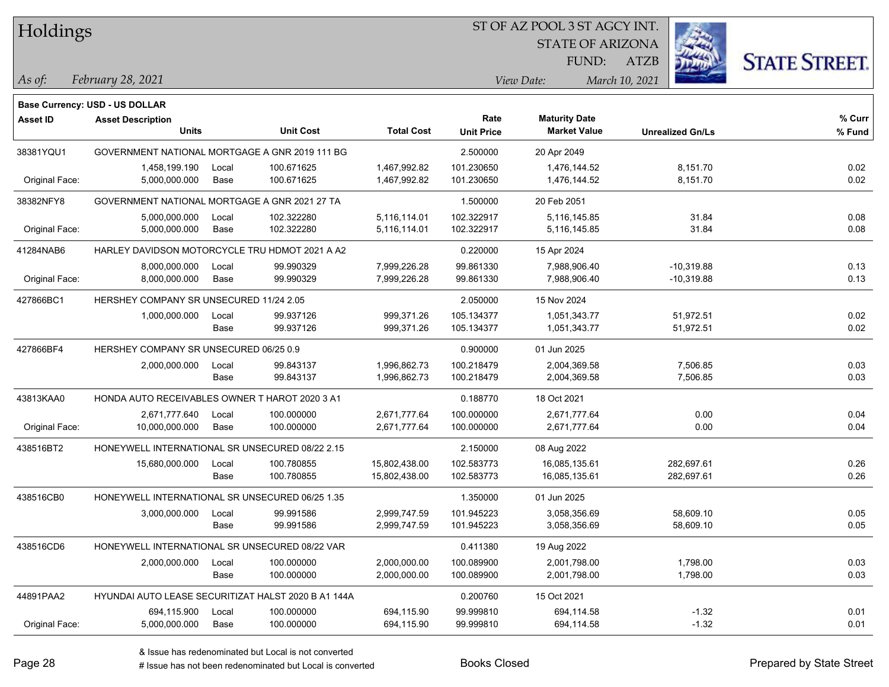Holdings

# ST OF AZ POOL 3 ST AGCY INT.

STATE OF ARIZONA FUND:



*February 28, 2021 As of: View Date: March 10, 2021*

ATZB

|                 | Base Currency: USD - US DOLLAR                      |       |                  |                   |                   |                      |                         |        |
|-----------------|-----------------------------------------------------|-------|------------------|-------------------|-------------------|----------------------|-------------------------|--------|
| <b>Asset ID</b> | <b>Asset Description</b>                            |       |                  |                   | Rate              | <b>Maturity Date</b> |                         | % Curr |
|                 | <b>Units</b>                                        |       | <b>Unit Cost</b> | <b>Total Cost</b> | <b>Unit Price</b> | <b>Market Value</b>  | <b>Unrealized Gn/Ls</b> | % Fund |
| 38381YQU1       | GOVERNMENT NATIONAL MORTGAGE A GNR 2019 111 BG      |       |                  |                   | 2.500000          | 20 Apr 2049          |                         |        |
|                 | 1,458,199.190                                       | Local | 100.671625       | 1,467,992.82      | 101.230650        | 1,476,144.52         | 8,151.70                | 0.02   |
| Original Face:  | 5,000,000.000                                       | Base  | 100.671625       | 1,467,992.82      | 101.230650        | 1,476,144.52         | 8,151.70                | 0.02   |
| 38382NFY8       | GOVERNMENT NATIONAL MORTGAGE A GNR 2021 27 TA       |       |                  |                   | 1.500000          | 20 Feb 2051          |                         |        |
|                 | 5,000,000.000                                       | Local | 102.322280       | 5,116,114.01      | 102.322917        | 5,116,145.85         | 31.84                   | 0.08   |
| Original Face:  | 5,000,000.000                                       | Base  | 102.322280       | 5,116,114.01      | 102.322917        | 5,116,145.85         | 31.84                   | 0.08   |
| 41284NAB6       | HARLEY DAVIDSON MOTORCYCLE TRU HDMOT 2021 A A2      |       |                  |                   | 0.220000          | 15 Apr 2024          |                         |        |
|                 | 8,000,000.000                                       | Local | 99.990329        | 7,999,226.28      | 99.861330         | 7,988,906.40         | $-10,319.88$            | 0.13   |
| Original Face:  | 8,000,000.000                                       | Base  | 99.990329        | 7,999,226.28      | 99.861330         | 7,988,906.40         | $-10,319.88$            | 0.13   |
| 427866BC1       | HERSHEY COMPANY SR UNSECURED 11/24 2.05             |       |                  |                   | 2.050000          | 15 Nov 2024          |                         |        |
|                 | 1,000,000.000                                       | Local | 99.937126        | 999,371.26        | 105.134377        | 1,051,343.77         | 51,972.51               | 0.02   |
|                 |                                                     | Base  | 99.937126        | 999,371.26        | 105.134377        | 1,051,343.77         | 51,972.51               | 0.02   |
| 427866BF4       | HERSHEY COMPANY SR UNSECURED 06/25 0.9              |       |                  |                   | 0.900000          | 01 Jun 2025          |                         |        |
|                 | 2,000,000.000                                       | Local | 99.843137        | 1,996,862.73      | 100.218479        | 2,004,369.58         | 7,506.85                | 0.03   |
|                 |                                                     | Base  | 99.843137        | 1,996,862.73      | 100.218479        | 2,004,369.58         | 7,506.85                | 0.03   |
| 43813KAA0       | HONDA AUTO RECEIVABLES OWNER T HAROT 2020 3 A1      |       |                  |                   | 0.188770          | 18 Oct 2021          |                         |        |
|                 | 2,671,777.640                                       | Local | 100.000000       | 2,671,777.64      | 100.000000        | 2,671,777.64         | 0.00                    | 0.04   |
| Original Face:  | 10,000,000.000                                      | Base  | 100.000000       | 2,671,777.64      | 100.000000        | 2,671,777.64         | 0.00                    | 0.04   |
| 438516BT2       | HONEYWELL INTERNATIONAL SR UNSECURED 08/22 2.15     |       |                  |                   | 2.150000          | 08 Aug 2022          |                         |        |
|                 | 15,680,000.000                                      | Local | 100.780855       | 15,802,438.00     | 102.583773        | 16,085,135.61        | 282,697.61              | 0.26   |
|                 |                                                     | Base  | 100.780855       | 15,802,438.00     | 102.583773        | 16,085,135.61        | 282,697.61              | 0.26   |
| 438516CB0       | HONEYWELL INTERNATIONAL SR UNSECURED 06/25 1.35     |       |                  |                   | 1.350000          | 01 Jun 2025          |                         |        |
|                 | 3,000,000.000                                       | Local | 99.991586        | 2,999,747.59      | 101.945223        | 3,058,356.69         | 58,609.10               | 0.05   |
|                 |                                                     | Base  | 99.991586        | 2,999,747.59      | 101.945223        | 3,058,356.69         | 58,609.10               | 0.05   |
| 438516CD6       | HONEYWELL INTERNATIONAL SR UNSECURED 08/22 VAR      |       |                  |                   | 0.411380          | 19 Aug 2022          |                         |        |
|                 | 2,000,000.000                                       | Local | 100.000000       | 2,000,000.00      | 100.089900        | 2,001,798.00         | 1,798.00                | 0.03   |
|                 |                                                     | Base  | 100.000000       | 2,000,000.00      | 100.089900        | 2,001,798.00         | 1,798.00                | 0.03   |
| 44891PAA2       | HYUNDAI AUTO LEASE SECURITIZAT HALST 2020 B A1 144A |       |                  |                   | 0.200760          | 15 Oct 2021          |                         |        |
|                 | 694,115.900                                         | Local | 100.000000       | 694,115.90        | 99.999810         | 694,114.58           | $-1.32$                 | 0.01   |
| Original Face:  | 5,000,000.000                                       | Base  | 100.000000       | 694,115.90        | 99.999810         | 694,114.58           | $-1.32$                 | 0.01   |

# Issue has not been redenominated but Local is converted Books Closed Prepared by State Street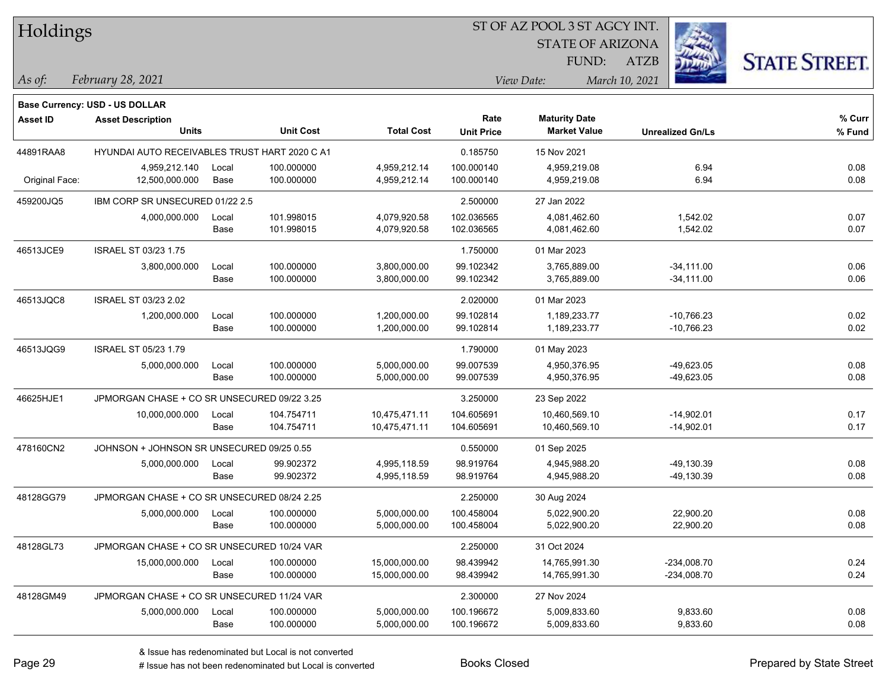| Holdings |
|----------|
|----------|

STATE OF ARIZONA

ATZB



*February 28, 2021 As of: View Date: March 10, 2021*

**Base Currency: USD - US DOLLAR**

FUND:

| <b>Asset ID</b> | <b>Asset Description</b><br><b>Units</b>      |               | <b>Unit Cost</b>         | <b>Total Cost</b>              | Rate<br><b>Unit Price</b> | <b>Maturity Date</b><br><b>Market Value</b> | <b>Unrealized Gn/Ls</b>      | % Curr<br>% Fund |
|-----------------|-----------------------------------------------|---------------|--------------------------|--------------------------------|---------------------------|---------------------------------------------|------------------------------|------------------|
| 44891RAA8       | HYUNDAI AUTO RECEIVABLES TRUST HART 2020 C A1 |               |                          |                                | 0.185750                  | 15 Nov 2021                                 |                              |                  |
| Original Face:  | 4,959,212.140<br>12,500,000.000               | Local<br>Base | 100.000000<br>100.000000 | 4,959,212.14<br>4,959,212.14   | 100.000140<br>100.000140  | 4,959,219.08<br>4,959,219.08                | 6.94<br>6.94                 | 0.08<br>0.08     |
| 459200JQ5       | IBM CORP SR UNSECURED 01/22 2.5               |               |                          |                                | 2.500000                  | 27 Jan 2022                                 |                              |                  |
|                 | 4,000,000.000                                 | Local<br>Base | 101.998015<br>101.998015 | 4,079,920.58<br>4,079,920.58   | 102.036565<br>102.036565  | 4,081,462.60<br>4,081,462.60                | 1,542.02<br>1,542.02         | 0.07<br>0.07     |
| 46513JCE9       | <b>ISRAEL ST 03/23 1.75</b>                   |               |                          |                                | 1.750000                  | 01 Mar 2023                                 |                              |                  |
|                 | 3,800,000.000                                 | Local<br>Base | 100.000000<br>100.000000 | 3,800,000.00<br>3,800,000.00   | 99.102342<br>99.102342    | 3,765,889.00<br>3,765,889.00                | $-34,111.00$<br>$-34,111.00$ | 0.06<br>0.06     |
| 46513JQC8       | ISRAEL ST 03/23 2.02                          |               |                          |                                | 2.020000                  | 01 Mar 2023                                 |                              |                  |
|                 | 1,200,000.000                                 | Local<br>Base | 100.000000<br>100.000000 | 1,200,000.00<br>1,200,000.00   | 99.102814<br>99.102814    | 1,189,233.77<br>1,189,233.77                | $-10,766.23$<br>$-10,766.23$ | 0.02<br>0.02     |
| 46513JQG9       | <b>ISRAEL ST 05/23 1.79</b>                   |               |                          |                                | 1.790000                  | 01 May 2023                                 |                              |                  |
|                 | 5,000,000.000                                 | Local<br>Base | 100.000000<br>100.000000 | 5,000,000.00<br>5,000,000.00   | 99.007539<br>99.007539    | 4,950,376.95<br>4,950,376.95                | $-49,623.05$<br>-49,623.05   | 0.08<br>0.08     |
| 46625HJE1       | JPMORGAN CHASE + CO SR UNSECURED 09/22 3.25   |               |                          |                                | 3.250000                  | 23 Sep 2022                                 |                              |                  |
|                 | 10,000,000.000                                | Local<br>Base | 104.754711<br>104.754711 | 10,475,471.11<br>10,475,471.11 | 104.605691<br>104.605691  | 10,460,569.10<br>10,460,569.10              | $-14,902.01$<br>$-14,902.01$ | 0.17<br>0.17     |
| 478160CN2       | JOHNSON + JOHNSON SR UNSECURED 09/25 0.55     |               |                          |                                | 0.550000                  | 01 Sep 2025                                 |                              |                  |
|                 | 5,000,000.000                                 | Local<br>Base | 99.902372<br>99.902372   | 4,995,118.59<br>4,995,118.59   | 98.919764<br>98.919764    | 4,945,988.20<br>4,945,988.20                | $-49,130.39$<br>$-49,130.39$ | 0.08<br>0.08     |
| 48128GG79       | JPMORGAN CHASE + CO SR UNSECURED 08/24 2.25   |               |                          |                                | 2.250000                  | 30 Aug 2024                                 |                              |                  |
|                 | 5,000,000.000                                 | Local<br>Base | 100.000000<br>100.000000 | 5,000,000.00<br>5,000,000.00   | 100.458004<br>100.458004  | 5,022,900.20<br>5,022,900.20                | 22,900.20<br>22,900.20       | 0.08<br>0.08     |
| 48128GL73       | JPMORGAN CHASE + CO SR UNSECURED 10/24 VAR    |               |                          |                                | 2.250000                  | 31 Oct 2024                                 |                              |                  |
|                 | 15,000,000.000                                | Local<br>Base | 100.000000<br>100.000000 | 15,000,000.00<br>15,000,000.00 | 98.439942<br>98.439942    | 14,765,991.30<br>14,765,991.30              | $-234,008.70$<br>-234,008.70 | 0.24<br>0.24     |
| 48128GM49       | JPMORGAN CHASE + CO SR UNSECURED 11/24 VAR    |               |                          |                                | 2.300000                  | 27 Nov 2024                                 |                              |                  |
|                 | 5,000,000.000                                 | Local<br>Base | 100.000000<br>100.000000 | 5,000,000.00<br>5,000,000.00   | 100.196672<br>100.196672  | 5,009,833.60<br>5,009,833.60                | 9,833.60<br>9,833.60         | 0.08<br>0.08     |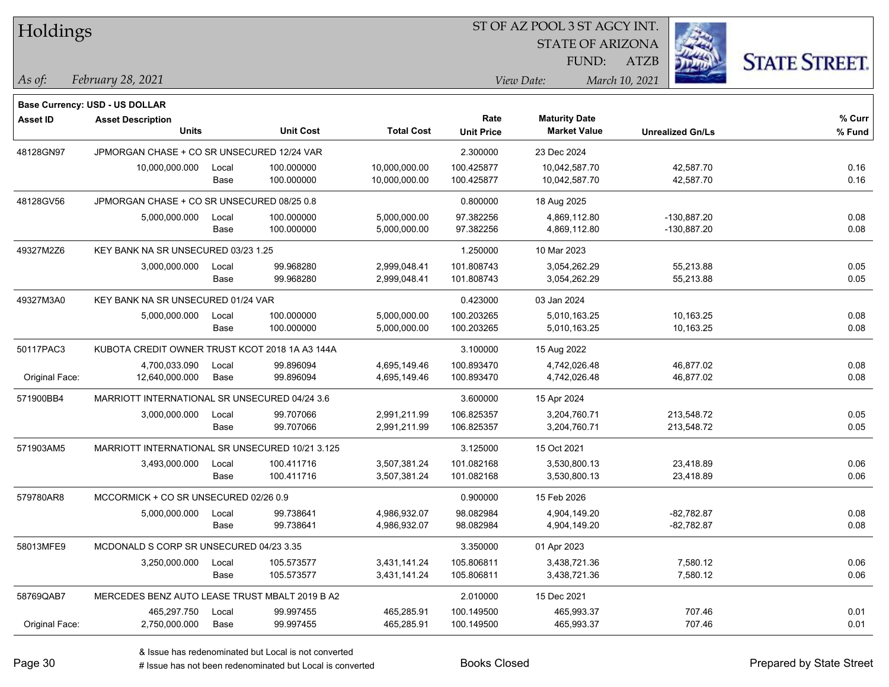| Holdings        |                                                 |       |                  |                   | ST OF AZ POOL 3 ST AGCY INT. |                         |                         |                      |
|-----------------|-------------------------------------------------|-------|------------------|-------------------|------------------------------|-------------------------|-------------------------|----------------------|
|                 |                                                 |       |                  |                   |                              | <b>STATE OF ARIZONA</b> |                         |                      |
|                 |                                                 |       |                  |                   |                              | FUND:                   | <b>ATZB</b>             | <b>STATE STREET.</b> |
| As of:          | February 28, 2021                               |       |                  |                   |                              | View Date:              | March 10, 2021          |                      |
|                 | <b>Base Currency: USD - US DOLLAR</b>           |       |                  |                   |                              |                         |                         |                      |
| <b>Asset ID</b> | <b>Asset Description</b>                        |       |                  |                   | Rate                         | <b>Maturity Date</b>    |                         | % Curr               |
|                 | <b>Units</b>                                    |       | <b>Unit Cost</b> | <b>Total Cost</b> | <b>Unit Price</b>            | <b>Market Value</b>     | <b>Unrealized Gn/Ls</b> | % Fund               |
| 48128GN97       | JPMORGAN CHASE + CO SR UNSECURED 12/24 VAR      |       |                  |                   | 2.300000                     | 23 Dec 2024             |                         |                      |
|                 | 10,000,000.000                                  | Local | 100.000000       | 10,000,000.00     | 100.425877                   | 10,042,587.70           | 42,587.70               | 0.16                 |
|                 |                                                 | Base  | 100.000000       | 10,000,000.00     | 100.425877                   | 10,042,587.70           | 42,587.70               | 0.16                 |
| 48128GV56       | JPMORGAN CHASE + CO SR UNSECURED 08/25 0.8      |       |                  |                   | 0.800000                     | 18 Aug 2025             |                         |                      |
|                 | 5,000,000.000                                   | Local | 100.000000       | 5,000,000.00      | 97.382256                    | 4,869,112.80            | $-130,887.20$           | 0.08                 |
|                 |                                                 | Base  | 100.000000       | 5,000,000.00      | 97.382256                    | 4,869,112.80            | -130,887.20             | 0.08                 |
| 49327M2Z6       | KEY BANK NA SR UNSECURED 03/23 1.25             |       |                  |                   | 1.250000                     | 10 Mar 2023             |                         |                      |
|                 | 3,000,000.000                                   | Local | 99.968280        | 2,999,048.41      | 101.808743                   | 3,054,262.29            | 55,213.88               | 0.05                 |
|                 |                                                 | Base  | 99.968280        | 2,999,048.41      | 101.808743                   | 3,054,262.29            | 55,213.88               | 0.05                 |
| 49327M3A0       | KEY BANK NA SR UNSECURED 01/24 VAR              |       |                  |                   | 0.423000                     | 03 Jan 2024             |                         |                      |
|                 | 5,000,000.000                                   | Local | 100.000000       | 5,000,000.00      | 100.203265                   | 5,010,163.25            | 10,163.25               | 0.08                 |
|                 |                                                 | Base  | 100.000000       | 5,000,000.00      | 100.203265                   | 5,010,163.25            | 10,163.25               | 0.08                 |
| 50117PAC3       | KUBOTA CREDIT OWNER TRUST KCOT 2018 1A A3 144A  |       |                  |                   | 3.100000                     | 15 Aug 2022             |                         |                      |
|                 | 4,700,033.090                                   | Local | 99.896094        | 4,695,149.46      | 100.893470                   | 4,742,026.48            | 46,877.02               | 0.08                 |
| Original Face:  | 12,640,000.000                                  | Base  | 99.896094        | 4,695,149.46      | 100.893470                   | 4,742,026.48            | 46,877.02               | 0.08                 |
| 571900BB4       | MARRIOTT INTERNATIONAL SR UNSECURED 04/24 3.6   |       |                  |                   | 3.600000                     | 15 Apr 2024             |                         |                      |
|                 | 3,000,000.000                                   | Local | 99.707066        | 2,991,211.99      | 106.825357                   | 3,204,760.71            | 213,548.72              | 0.05                 |
|                 |                                                 | Base  | 99.707066        | 2,991,211.99      | 106.825357                   | 3,204,760.71            | 213,548.72              | 0.05                 |
| 571903AM5       | MARRIOTT INTERNATIONAL SR UNSECURED 10/21 3.125 |       |                  |                   | 3.125000                     | 15 Oct 2021             |                         |                      |
|                 | 3,493,000.000                                   | Local | 100.411716       | 3,507,381.24      | 101.082168                   | 3,530,800.13            | 23,418.89               | 0.06                 |
|                 |                                                 | Base  | 100.411716       | 3,507,381.24      | 101.082168                   | 3,530,800.13            | 23,418.89               | 0.06                 |
| 579780AR8       | MCCORMICK + CO SR UNSECURED 02/26 0.9           |       |                  |                   | 0.900000                     | 15 Feb 2026             |                         |                      |
|                 | 5,000,000.000                                   | Local | 99.738641        | 4,986,932.07      | 98.082984                    | 4,904,149.20            | -82,782.87              | 0.08                 |
|                 |                                                 | Base  | 99.738641        | 4,986,932.07      | 98.082984                    | 4,904,149.20            | $-82,782.87$            | 0.08                 |
| 58013MFE9       | MCDONALD S CORP SR UNSECURED 04/23 3.35         |       |                  |                   | 3.350000                     | 01 Apr 2023             |                         |                      |
|                 | 3,250,000.000                                   | Local | 105.573577       | 3,431,141.24      | 105.806811                   | 3,438,721.36            | 7,580.12                | 0.06                 |
|                 |                                                 | Base  | 105.573577       | 3,431,141.24      | 105.806811                   | 3,438,721.36            | 7,580.12                | 0.06                 |
| 58769QAB7       | MERCEDES BENZ AUTO LEASE TRUST MBALT 2019 B A2  |       |                  |                   | 2.010000                     | 15 Dec 2021             |                         |                      |
|                 | 465,297.750                                     | Local | 99.997455        | 465,285.91        | 100.149500                   | 465,993.37              | 707.46                  | 0.01                 |
| Original Face:  | 2,750,000.000                                   | Base  | 99.997455        | 465,285.91        | 100.149500                   | 465,993.37              | 707.46                  | 0.01                 |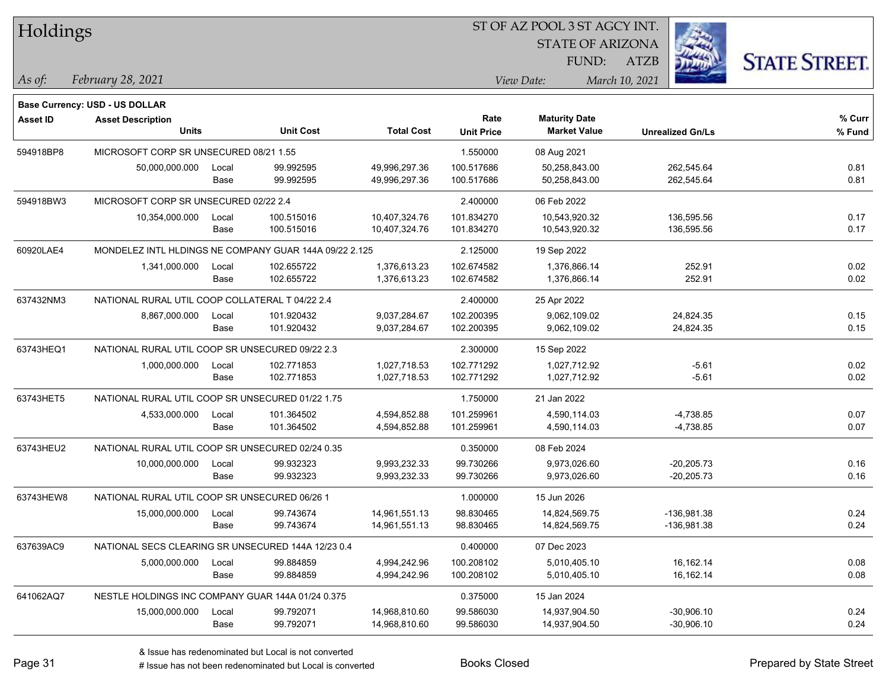| Holdings        |                                                    |                                                  |                                                        |                   | 51 OF AZ POOL 3 51 AGCY INT. |                         |                         |                      |  |  |
|-----------------|----------------------------------------------------|--------------------------------------------------|--------------------------------------------------------|-------------------|------------------------------|-------------------------|-------------------------|----------------------|--|--|
|                 |                                                    |                                                  |                                                        |                   |                              | <b>STATE OF ARIZONA</b> |                         |                      |  |  |
|                 |                                                    |                                                  |                                                        |                   |                              | FUND:                   | ATZB                    | <b>STATE STREET.</b> |  |  |
| As of:          | February 28, 2021                                  |                                                  |                                                        |                   |                              | View Date:              | March 10, 2021          |                      |  |  |
|                 | <b>Base Currency: USD - US DOLLAR</b>              |                                                  |                                                        |                   |                              |                         |                         |                      |  |  |
| <b>Asset ID</b> | <b>Asset Description</b>                           |                                                  |                                                        |                   | Rate                         | <b>Maturity Date</b>    |                         | % Curr               |  |  |
|                 | <b>Units</b>                                       |                                                  | <b>Unit Cost</b>                                       | <b>Total Cost</b> | <b>Unit Price</b>            | <b>Market Value</b>     | <b>Unrealized Gn/Ls</b> | % Fund               |  |  |
| 594918BP8       | MICROSOFT CORP SR UNSECURED 08/21 1.55             |                                                  |                                                        |                   | 1.550000                     | 08 Aug 2021             |                         |                      |  |  |
|                 | 50,000,000.000                                     | Local                                            | 99.992595                                              | 49,996,297.36     | 100.517686                   | 50,258,843.00           | 262,545.64              | 0.81                 |  |  |
|                 |                                                    | Base                                             | 99.992595                                              | 49,996,297.36     | 100.517686                   | 50,258,843.00           | 262,545.64              | 0.81                 |  |  |
| 594918BW3       | MICROSOFT CORP SR UNSECURED 02/22 2.4              |                                                  |                                                        |                   | 2.400000                     | 06 Feb 2022             |                         |                      |  |  |
|                 | 10,354,000.000                                     | Local                                            | 100.515016                                             | 10,407,324.76     | 101.834270                   | 10,543,920.32           | 136,595.56              | 0.17                 |  |  |
|                 |                                                    | Base                                             | 100.515016                                             | 10,407,324.76     | 101.834270                   | 10,543,920.32           | 136,595.56              | 0.17                 |  |  |
| 60920LAE4       |                                                    |                                                  | MONDELEZ INTL HLDINGS NE COMPANY GUAR 144A 09/22 2.125 |                   | 2.125000                     | 19 Sep 2022             |                         |                      |  |  |
|                 | 1,341,000.000                                      | Local                                            | 102.655722                                             | 1,376,613.23      | 102.674582                   | 1,376,866.14            | 252.91                  | 0.02                 |  |  |
|                 |                                                    | Base                                             | 102.655722                                             | 1,376,613.23      | 102.674582                   | 1,376,866.14            | 252.91                  | 0.02                 |  |  |
| 637432NM3       | NATIONAL RURAL UTIL COOP COLLATERAL T 04/22 2.4    |                                                  |                                                        |                   | 2.400000                     | 25 Apr 2022             |                         |                      |  |  |
|                 | 8,867,000.000                                      | Local                                            | 101.920432                                             | 9,037,284.67      | 102.200395                   | 9,062,109.02            | 24,824.35               | 0.15                 |  |  |
|                 |                                                    | Base                                             | 101.920432                                             | 9,037,284.67      | 102.200395                   | 9,062,109.02            | 24,824.35               | 0.15                 |  |  |
| 63743HEQ1       | NATIONAL RURAL UTIL COOP SR UNSECURED 09/22 2.3    |                                                  |                                                        |                   | 2.300000                     | 15 Sep 2022             |                         |                      |  |  |
|                 | 1,000,000.000                                      | Local                                            | 102.771853                                             | 1,027,718.53      | 102.771292                   | 1,027,712.92            | $-5.61$                 | 0.02                 |  |  |
|                 |                                                    | Base                                             | 102.771853                                             | 1,027,718.53      | 102.771292                   | 1,027,712.92            | $-5.61$                 | 0.02                 |  |  |
| 63743HET5       |                                                    | NATIONAL RURAL UTIL COOP SR UNSECURED 01/22 1.75 |                                                        |                   |                              | 21 Jan 2022             |                         |                      |  |  |
|                 | 4,533,000.000                                      | Local                                            | 101.364502                                             | 4,594,852.88      | 101.259961                   | 4,590,114.03            | $-4,738.85$             | 0.07                 |  |  |
|                 |                                                    | Base                                             | 101.364502                                             | 4,594,852.88      | 101.259961                   | 4,590,114.03            | $-4,738.85$             | 0.07                 |  |  |
| 63743HEU2       | NATIONAL RURAL UTIL COOP SR UNSECURED 02/24 0.35   |                                                  |                                                        |                   | 0.350000                     | 08 Feb 2024             |                         |                      |  |  |
|                 | 10,000,000.000                                     | Local                                            | 99.932323                                              | 9,993,232.33      | 99.730266                    | 9,973,026.60            | $-20,205.73$            | 0.16                 |  |  |
|                 |                                                    | Base                                             | 99.932323                                              | 9,993,232.33      | 99.730266                    | 9,973,026.60            | $-20,205.73$            | 0.16                 |  |  |
| 63743HEW8       | NATIONAL RURAL UTIL COOP SR UNSECURED 06/26 1      |                                                  |                                                        |                   | 1.000000                     | 15 Jun 2026             |                         |                      |  |  |
|                 | 15,000,000.000                                     | Local                                            | 99.743674                                              | 14,961,551.13     | 98.830465                    | 14,824,569.75           | -136,981.38             | 0.24                 |  |  |
|                 |                                                    | Base                                             | 99.743674                                              | 14,961,551.13     | 98.830465                    | 14,824,569.75           | $-136,981.38$           | 0.24                 |  |  |
| 637639AC9       | NATIONAL SECS CLEARING SR UNSECURED 144A 12/23 0.4 |                                                  |                                                        |                   | 0.400000                     | 07 Dec 2023             |                         |                      |  |  |
|                 | 5,000,000.000                                      | Local                                            | 99.884859                                              | 4,994,242.96      | 100.208102                   | 5,010,405.10            | 16,162.14               | 0.08                 |  |  |
|                 |                                                    | Base                                             | 99.884859                                              | 4,994,242.96      | 100.208102                   | 5,010,405.10            | 16,162.14               | 0.08                 |  |  |
| 641062AQ7       | NESTLE HOLDINGS INC COMPANY GUAR 144A 01/24 0.375  |                                                  |                                                        |                   | 0.375000                     | 15 Jan 2024             |                         |                      |  |  |
|                 | 15,000,000.000                                     | Local                                            | 99.792071                                              | 14,968,810.60     | 99.586030                    | 14,937,904.50           | $-30,906.10$            | 0.24                 |  |  |
|                 |                                                    | Base                                             | 99.792071                                              | 14,968,810.60     | 99.586030                    | 14,937,904.50           | $-30,906.10$            | 0.24                 |  |  |

 $\overline{\text{SUSP}}$ 

# Issue has not been redenominated but Local is converted Books Closed Prepared by State Street

٦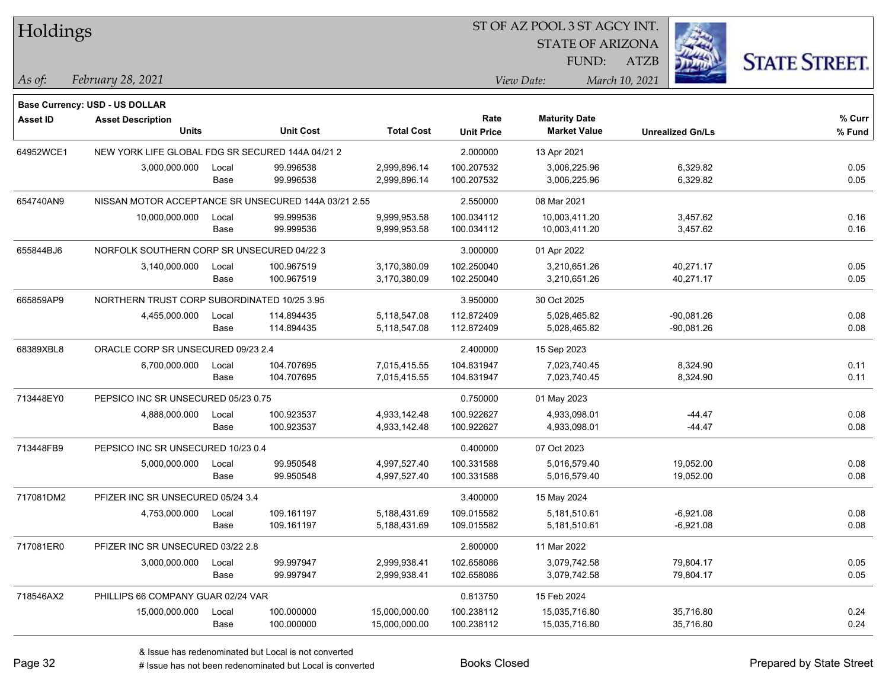| Holdings        |                                                      |       |                  |                   |                   | ST OF AZ POOL 3 ST AGCY INT. |                         |                      |  |
|-----------------|------------------------------------------------------|-------|------------------|-------------------|-------------------|------------------------------|-------------------------|----------------------|--|
|                 |                                                      |       |                  |                   |                   | <b>STATE OF ARIZONA</b>      |                         |                      |  |
|                 |                                                      |       |                  |                   |                   | FUND:                        | ATZB                    | <b>STATE STREET.</b> |  |
| $\vert$ As of:  | February 28, 2021                                    |       |                  |                   |                   | View Date:                   | March 10, 2021          |                      |  |
|                 |                                                      |       |                  |                   |                   |                              |                         |                      |  |
|                 | Base Currency: USD - US DOLLAR                       |       |                  |                   | Rate              | <b>Maturity Date</b>         |                         | % Curr               |  |
| <b>Asset ID</b> | <b>Asset Description</b><br><b>Units</b>             |       | <b>Unit Cost</b> | <b>Total Cost</b> | <b>Unit Price</b> | <b>Market Value</b>          | <b>Unrealized Gn/Ls</b> | % Fund               |  |
| 64952WCE1       | NEW YORK LIFE GLOBAL FDG SR SECURED 144A 04/21 2     |       |                  |                   | 2.000000          | 13 Apr 2021                  |                         |                      |  |
|                 | 3,000,000.000                                        | Local | 99.996538        | 2,999,896.14      | 100.207532        | 3,006,225.96                 | 6,329.82                | 0.05                 |  |
|                 |                                                      | Base  | 99.996538        | 2,999,896.14      | 100.207532        | 3,006,225.96                 | 6,329.82                | 0.05                 |  |
| 654740AN9       | NISSAN MOTOR ACCEPTANCE SR UNSECURED 144A 03/21 2.55 |       |                  |                   | 2.550000          | 08 Mar 2021                  |                         |                      |  |
|                 | 10,000,000.000                                       | Local | 99.999536        | 9,999,953.58      | 100.034112        | 10,003,411.20                | 3,457.62                | 0.16                 |  |
|                 |                                                      | Base  | 99.999536        | 9,999,953.58      | 100.034112        | 10,003,411.20                | 3,457.62                | 0.16                 |  |
| 655844BJ6       | NORFOLK SOUTHERN CORP SR UNSECURED 04/22 3           |       |                  |                   | 3.000000          | 01 Apr 2022                  |                         |                      |  |
|                 | 3,140,000.000                                        | Local | 100.967519       | 3,170,380.09      | 102.250040        | 3,210,651.26                 | 40,271.17               | 0.05                 |  |
|                 |                                                      | Base  | 100.967519       | 3,170,380.09      | 102.250040        | 3,210,651.26                 | 40,271.17               | 0.05                 |  |
| 665859AP9       | NORTHERN TRUST CORP SUBORDINATED 10/25 3.95          |       |                  |                   | 3.950000          | 30 Oct 2025                  |                         |                      |  |
|                 | 4,455,000.000                                        | Local | 114.894435       | 5,118,547.08      | 112.872409        | 5,028,465.82                 | $-90,081.26$            | 0.08                 |  |
|                 |                                                      | Base  | 114.894435       | 5,118,547.08      | 112.872409        | 5,028,465.82                 | $-90,081.26$            | 0.08                 |  |
| 68389XBL8       | ORACLE CORP SR UNSECURED 09/23 2.4                   |       |                  |                   | 2.400000          | 15 Sep 2023                  |                         |                      |  |
|                 | 6,700,000.000                                        | Local | 104.707695       | 7,015,415.55      | 104.831947        | 7,023,740.45                 | 8,324.90                | 0.11                 |  |
|                 |                                                      | Base  | 104.707695       | 7,015,415.55      | 104.831947        | 7,023,740.45                 | 8,324.90                | 0.11                 |  |
| 713448EY0       | PEPSICO INC SR UNSECURED 05/23 0.75                  |       |                  |                   | 0.750000          | 01 May 2023                  |                         |                      |  |
|                 | 4,888,000.000                                        | Local | 100.923537       | 4,933,142.48      | 100.922627        | 4,933,098.01                 | -44.47                  | 0.08                 |  |
|                 |                                                      | Base  | 100.923537       | 4,933,142.48      | 100.922627        | 4,933,098.01                 | $-44.47$                | 0.08                 |  |
| 713448FB9       | PEPSICO INC SR UNSECURED 10/23 0.4                   |       |                  |                   | 0.400000          | 07 Oct 2023                  |                         |                      |  |
|                 | 5,000,000.000                                        | Local | 99.950548        | 4,997,527.40      | 100.331588        | 5,016,579.40                 | 19,052.00               | 0.08                 |  |
|                 |                                                      | Base  | 99.950548        | 4,997,527.40      | 100.331588        | 5,016,579.40                 | 19,052.00               | 0.08                 |  |
| 717081DM2       | PFIZER INC SR UNSECURED 05/24 3.4                    |       |                  |                   | 3.400000          | 15 May 2024                  |                         |                      |  |
|                 | 4,753,000.000                                        | Local | 109.161197       | 5,188,431.69      | 109.015582        | 5,181,510.61                 | $-6,921.08$             | 0.08                 |  |
|                 |                                                      | Base  | 109.161197       | 5,188,431.69      | 109.015582        | 5,181,510.61                 | $-6,921.08$             | 0.08                 |  |
| 717081ER0       | PFIZER INC SR UNSECURED 03/22 2.8                    |       |                  |                   | 2.800000          | 11 Mar 2022                  |                         |                      |  |
|                 | 3,000,000.000                                        | Local | 99.997947        | 2,999,938.41      | 102.658086        | 3,079,742.58                 | 79,804.17               | 0.05                 |  |
|                 |                                                      | Base  | 99.997947        | 2,999,938.41      | 102.658086        | 3,079,742.58                 | 79,804.17               | 0.05                 |  |
| 718546AX2       | PHILLIPS 66 COMPANY GUAR 02/24 VAR                   |       |                  |                   | 0.813750          | 15 Feb 2024                  |                         |                      |  |
|                 | 15,000,000.000                                       | Local | 100.000000       | 15,000,000.00     | 100.238112        | 15,035,716.80                | 35,716.80               | 0.24                 |  |
|                 |                                                      | Base  | 100.000000       | 15,000,000.00     | 100.238112        | 15,035,716.80                | 35,716.80               | 0.24                 |  |

٦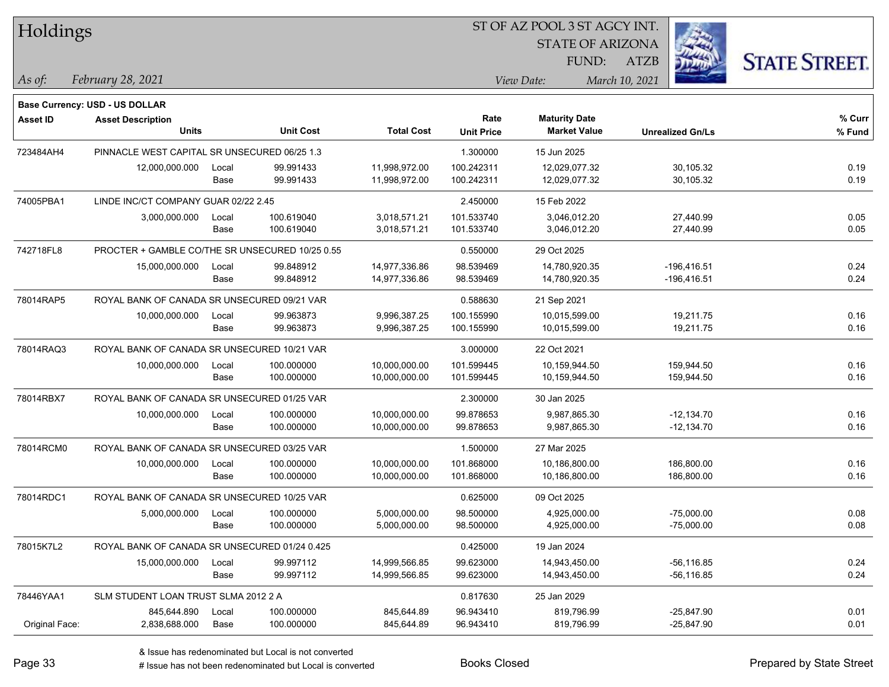| Holdings        |                                                 |                                             |                  |                   |                   | 51 OF AZ POOL 3 51 AGCY INT. |                         |                      |
|-----------------|-------------------------------------------------|---------------------------------------------|------------------|-------------------|-------------------|------------------------------|-------------------------|----------------------|
|                 |                                                 |                                             |                  |                   |                   | <b>STATE OF ARIZONA</b>      |                         |                      |
|                 |                                                 |                                             |                  |                   |                   | FUND:                        | ATZB                    | <b>STATE STREET.</b> |
| $ $ As of:      | February 28, 2021                               |                                             |                  |                   |                   | View Date:                   | March 10, 2021          |                      |
|                 | <b>Base Currency: USD - US DOLLAR</b>           |                                             |                  |                   |                   |                              |                         |                      |
| <b>Asset ID</b> | <b>Asset Description</b>                        |                                             |                  |                   | Rate              | <b>Maturity Date</b>         |                         | % Curr               |
|                 | <b>Units</b>                                    |                                             | <b>Unit Cost</b> | <b>Total Cost</b> | <b>Unit Price</b> | <b>Market Value</b>          | <b>Unrealized Gn/Ls</b> | % Fund               |
| 723484AH4       | PINNACLE WEST CAPITAL SR UNSECURED 06/25 1.3    |                                             |                  |                   | 1.300000          | 15 Jun 2025                  |                         |                      |
|                 | 12,000,000.000                                  | Local                                       | 99.991433        | 11,998,972.00     | 100.242311        | 12,029,077.32                | 30,105.32               | 0.19                 |
|                 |                                                 | Base                                        | 99.991433        | 11,998,972.00     | 100.242311        | 12,029,077.32                | 30,105.32               | 0.19                 |
| 74005PBA1       | LINDE INC/CT COMPANY GUAR 02/22 2.45            |                                             |                  |                   | 2.450000          | 15 Feb 2022                  |                         |                      |
|                 | 3,000,000.000                                   | Local                                       | 100.619040       | 3,018,571.21      | 101.533740        | 3,046,012.20                 | 27,440.99               | 0.05                 |
|                 |                                                 | Base                                        | 100.619040       | 3,018,571.21      | 101.533740        | 3,046,012.20                 | 27,440.99               | 0.05                 |
| 742718FL8       | PROCTER + GAMBLE CO/THE SR UNSECURED 10/25 0.55 |                                             |                  |                   | 0.550000          | 29 Oct 2025                  |                         |                      |
|                 | 15,000,000.000                                  | Local                                       | 99.848912        | 14,977,336.86     | 98.539469         | 14,780,920.35                | $-196,416.51$           | 0.24                 |
|                 |                                                 | Base                                        | 99.848912        | 14,977,336.86     | 98.539469         | 14,780,920.35                | $-196,416.51$           | 0.24                 |
| 78014RAP5       | ROYAL BANK OF CANADA SR UNSECURED 09/21 VAR     |                                             |                  |                   | 0.588630          | 21 Sep 2021                  |                         |                      |
|                 | 10,000,000.000                                  | Local                                       | 99.963873        | 9,996,387.25      | 100.155990        | 10,015,599.00                | 19,211.75               | 0.16                 |
|                 |                                                 | Base                                        | 99.963873        | 9,996,387.25      | 100.155990        | 10,015,599.00                | 19,211.75               | 0.16                 |
| 78014RAQ3       | ROYAL BANK OF CANADA SR UNSECURED 10/21 VAR     |                                             |                  |                   | 3.000000          | 22 Oct 2021                  |                         |                      |
|                 | 10,000,000.000                                  | Local                                       | 100.000000       | 10,000,000.00     | 101.599445        | 10,159,944.50                | 159,944.50              | 0.16                 |
|                 |                                                 | Base                                        | 100.000000       | 10,000,000.00     | 101.599445        | 10,159,944.50                | 159,944.50              | 0.16                 |
| 78014RBX7       |                                                 | ROYAL BANK OF CANADA SR UNSECURED 01/25 VAR |                  |                   |                   | 30 Jan 2025                  |                         |                      |
|                 | 10,000,000.000                                  | Local                                       | 100.000000       | 10,000,000.00     | 99.878653         | 9,987,865.30                 | $-12,134.70$            | 0.16                 |
|                 |                                                 | Base                                        | 100.000000       | 10,000,000.00     | 99.878653         | 9,987,865.30                 | $-12,134.70$            | 0.16                 |
| 78014RCM0       | ROYAL BANK OF CANADA SR UNSECURED 03/25 VAR     |                                             |                  |                   | 1.500000          | 27 Mar 2025                  |                         |                      |
|                 | 10,000,000.000                                  | Local                                       | 100.000000       | 10,000,000.00     | 101.868000        | 10,186,800.00                | 186,800.00              | 0.16                 |
|                 |                                                 | Base                                        | 100.000000       | 10,000,000.00     | 101.868000        | 10,186,800.00                | 186,800.00              | 0.16                 |
| 78014RDC1       | ROYAL BANK OF CANADA SR UNSECURED 10/25 VAR     |                                             |                  |                   | 0.625000          | 09 Oct 2025                  |                         |                      |
|                 | 5,000,000.000                                   | Local                                       | 100.000000       | 5,000,000.00      | 98.500000         | 4,925,000.00                 | $-75,000.00$            | 0.08                 |
|                 |                                                 | Base                                        | 100.000000       | 5,000,000.00      | 98.500000         | 4,925,000.00                 | $-75,000.00$            | 0.08                 |
| 78015K7L2       | ROYAL BANK OF CANADA SR UNSECURED 01/24 0.425   |                                             |                  |                   | 0.425000          | 19 Jan 2024                  |                         |                      |
|                 | 15,000,000.000                                  | Local                                       | 99.997112        | 14,999,566.85     | 99.623000         | 14,943,450.00                | $-56, 116.85$           | 0.24                 |
|                 |                                                 | Base                                        | 99.997112        | 14,999,566.85     | 99.623000         | 14,943,450.00                | -56,116.85              | 0.24                 |
| 78446YAA1       | SLM STUDENT LOAN TRUST SLMA 2012 2 A            |                                             |                  |                   | 0.817630          | 25 Jan 2029                  |                         |                      |
|                 | 845,644.890                                     | Local                                       | 100.000000       | 845,644.89        | 96.943410         | 819,796.99                   | $-25,847.90$            | 0.01                 |
| Original Face:  | 2,838,688.000                                   | Base                                        | 100.000000       | 845,644.89        | 96.943410         | 819,796.99                   | $-25,847.90$            | 0.01                 |

ST OF A Z POOL 2 ST ACCV INT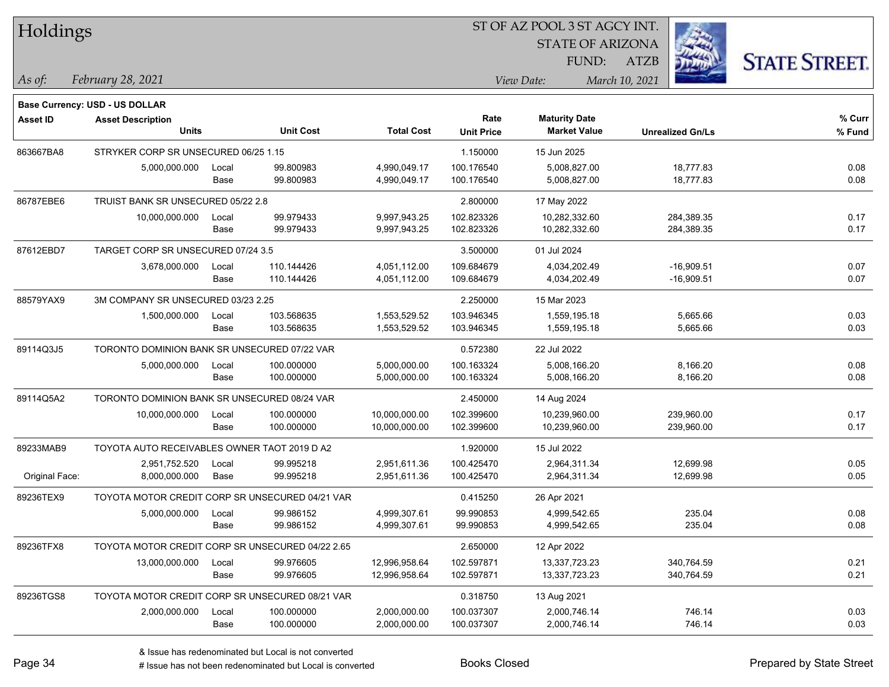| Holdings        |                                                  |       |                  |                   |                   | ST OF AZ POOL 3 ST AGCY INT. |                         |                      |
|-----------------|--------------------------------------------------|-------|------------------|-------------------|-------------------|------------------------------|-------------------------|----------------------|
|                 |                                                  |       |                  |                   |                   | <b>STATE OF ARIZONA</b>      |                         |                      |
|                 |                                                  |       |                  |                   |                   | FUND:                        | ATZB                    | <b>STATE STREET.</b> |
| As of:          | February 28, 2021                                |       |                  |                   |                   | View Date:                   | March 10, 2021          |                      |
|                 | <b>Base Currency: USD - US DOLLAR</b>            |       |                  |                   |                   |                              |                         |                      |
| <b>Asset ID</b> | <b>Asset Description</b>                         |       |                  |                   | Rate              | <b>Maturity Date</b>         |                         | % Curr               |
|                 | <b>Units</b>                                     |       | <b>Unit Cost</b> | <b>Total Cost</b> | <b>Unit Price</b> | <b>Market Value</b>          | <b>Unrealized Gn/Ls</b> | % Fund               |
| 863667BA8       | STRYKER CORP SR UNSECURED 06/25 1.15             |       |                  |                   | 1.150000          | 15 Jun 2025                  |                         |                      |
|                 | 5,000,000.000                                    | Local | 99.800983        | 4,990,049.17      | 100.176540        | 5,008,827.00                 | 18,777.83               | 0.08                 |
|                 |                                                  | Base  | 99.800983        | 4,990,049.17      | 100.176540        | 5,008,827.00                 | 18,777.83               | 0.08                 |
| 86787EBE6       | TRUIST BANK SR UNSECURED 05/22 2.8               |       |                  |                   | 2.800000          | 17 May 2022                  |                         |                      |
|                 | 10,000,000.000                                   | Local | 99.979433        | 9,997,943.25      | 102.823326        | 10,282,332.60                | 284,389.35              | 0.17                 |
|                 |                                                  | Base  | 99.979433        | 9,997,943.25      | 102.823326        | 10,282,332.60                | 284,389.35              | 0.17                 |
| 87612EBD7       | TARGET CORP SR UNSECURED 07/24 3.5               |       |                  |                   | 3.500000          | 01 Jul 2024                  |                         |                      |
|                 | 3,678,000.000                                    | Local | 110.144426       | 4,051,112.00      | 109.684679        | 4,034,202.49                 | $-16,909.51$            | 0.07                 |
|                 |                                                  | Base  | 110.144426       | 4,051,112.00      | 109.684679        | 4,034,202.49                 | $-16,909.51$            | 0.07                 |
| 88579YAX9       | 3M COMPANY SR UNSECURED 03/23 2.25               |       |                  |                   | 2.250000          | 15 Mar 2023                  |                         |                      |
|                 | 1,500,000.000                                    | Local | 103.568635       | 1,553,529.52      | 103.946345        | 1,559,195.18                 | 5,665.66                | 0.03                 |
|                 |                                                  | Base  | 103.568635       | 1,553,529.52      | 103.946345        | 1,559,195.18                 | 5,665.66                | 0.03                 |
| 89114Q3J5       | TORONTO DOMINION BANK SR UNSECURED 07/22 VAR     |       |                  |                   | 0.572380          | 22 Jul 2022                  |                         |                      |
|                 | 5,000,000.000                                    | Local | 100.000000       | 5,000,000.00      | 100.163324        | 5,008,166.20                 | 8,166.20                | 0.08                 |
|                 |                                                  | Base  | 100.000000       | 5,000,000.00      | 100.163324        | 5,008,166.20                 | 8,166.20                | 0.08                 |
| 89114Q5A2       | TORONTO DOMINION BANK SR UNSECURED 08/24 VAR     |       |                  |                   | 2.450000          | 14 Aug 2024                  |                         |                      |
|                 | 10,000,000.000                                   | Local | 100.000000       | 10,000,000.00     | 102.399600        | 10,239,960.00                | 239,960.00              | 0.17                 |
|                 |                                                  | Base  | 100.000000       | 10,000,000.00     | 102.399600        | 10,239,960.00                | 239,960.00              | 0.17                 |
| 89233MAB9       | TOYOTA AUTO RECEIVABLES OWNER TAOT 2019 D A2     |       |                  |                   | 1.920000          | 15 Jul 2022                  |                         |                      |
|                 | 2,951,752.520                                    | Local | 99.995218        | 2,951,611.36      | 100.425470        | 2,964,311.34                 | 12,699.98               | 0.05                 |
| Original Face:  | 8,000,000.000                                    | Base  | 99.995218        | 2,951,611.36      | 100.425470        | 2,964,311.34                 | 12,699.98               | 0.05                 |
| 89236TEX9       | TOYOTA MOTOR CREDIT CORP SR UNSECURED 04/21 VAR  |       |                  |                   | 0.415250          | 26 Apr 2021                  |                         |                      |
|                 | 5,000,000.000                                    | Local | 99.986152        | 4,999,307.61      | 99.990853         | 4,999,542.65                 | 235.04                  | 0.08                 |
|                 |                                                  | Base  | 99.986152        | 4,999,307.61      | 99.990853         | 4,999,542.65                 | 235.04                  | 0.08                 |
| 89236TFX8       | TOYOTA MOTOR CREDIT CORP SR UNSECURED 04/22 2.65 |       |                  |                   | 2.650000          | 12 Apr 2022                  |                         |                      |
|                 | 13,000,000.000                                   | Local | 99.976605        | 12,996,958.64     | 102.597871        | 13,337,723.23                | 340,764.59              | 0.21                 |
|                 |                                                  | Base  | 99.976605        | 12,996,958.64     | 102.597871        | 13,337,723.23                | 340,764.59              | 0.21                 |
| 89236TGS8       | TOYOTA MOTOR CREDIT CORP SR UNSECURED 08/21 VAR  |       |                  |                   | 0.318750          | 13 Aug 2021                  |                         |                      |
|                 | 2,000,000.000                                    | Local | 100.000000       | 2,000,000.00      | 100.037307        | 2,000,746.14                 | 746.14                  | 0.03                 |
|                 |                                                  | Base  | 100.000000       | 2,000,000.00      | 100.037307        | 2,000,746.14                 | 746.14                  | 0.03                 |

# Issue has not been redenominated but Local is converted Books Closed Prepared by State Street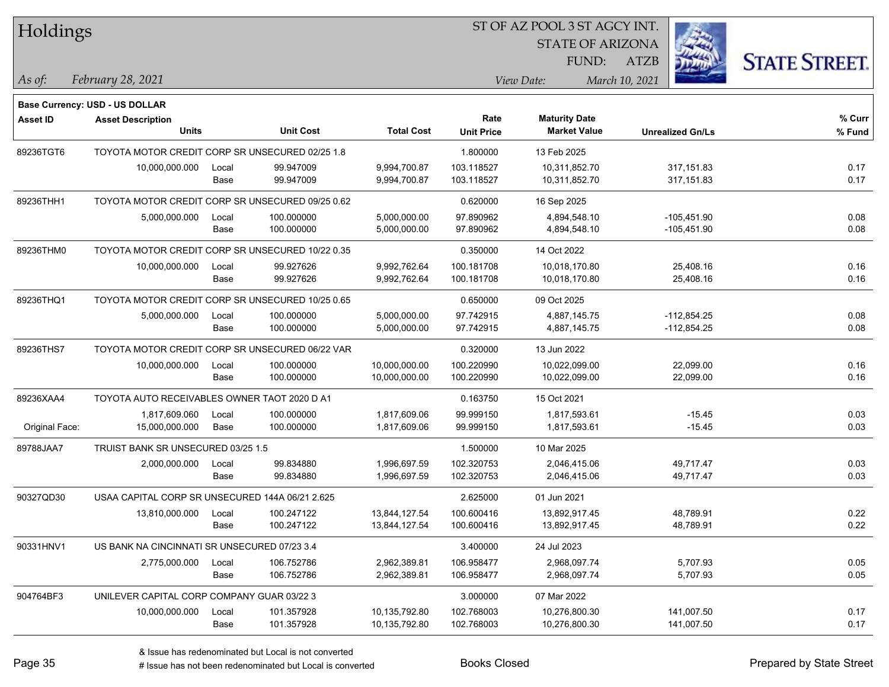| Holdings        |                                                  |                                              |                  |                   |                   | ST OF AZ POOL 3 ST AGCY INT. |                         |                      |  |
|-----------------|--------------------------------------------------|----------------------------------------------|------------------|-------------------|-------------------|------------------------------|-------------------------|----------------------|--|
|                 |                                                  |                                              |                  |                   |                   | <b>STATE OF ARIZONA</b>      |                         |                      |  |
|                 |                                                  |                                              |                  |                   |                   | FUND:                        | <b>ATZB</b>             | <b>STATE STREET.</b> |  |
| As of:          | February 28, 2021                                |                                              |                  |                   |                   | View Date:                   | March 10, 2021          |                      |  |
|                 | Base Currency: USD - US DOLLAR                   |                                              |                  |                   |                   |                              |                         |                      |  |
| <b>Asset ID</b> | <b>Asset Description</b>                         |                                              |                  |                   | Rate              | <b>Maturity Date</b>         |                         | % Curr               |  |
|                 | <b>Units</b>                                     |                                              | <b>Unit Cost</b> | <b>Total Cost</b> | <b>Unit Price</b> | <b>Market Value</b>          | <b>Unrealized Gn/Ls</b> | % Fund               |  |
| 89236TGT6       | TOYOTA MOTOR CREDIT CORP SR UNSECURED 02/25 1.8  |                                              |                  |                   | 1.800000          | 13 Feb 2025                  |                         |                      |  |
|                 | 10,000,000.000                                   | Local                                        | 99.947009        | 9,994,700.87      | 103.118527        | 10,311,852.70                | 317, 151.83             | 0.17                 |  |
|                 |                                                  | Base                                         | 99.947009        | 9,994,700.87      | 103.118527        | 10,311,852.70                | 317, 151.83             | 0.17                 |  |
| 89236THH1       | TOYOTA MOTOR CREDIT CORP SR UNSECURED 09/25 0.62 |                                              |                  |                   | 0.620000          | 16 Sep 2025                  |                         |                      |  |
|                 | 5,000,000.000                                    | Local                                        | 100.000000       | 5,000,000.00      | 97.890962         | 4,894,548.10                 | $-105,451.90$           | 0.08                 |  |
|                 |                                                  | Base                                         | 100.000000       | 5,000,000.00      | 97.890962         | 4,894,548.10                 | $-105,451.90$           | 0.08                 |  |
| 89236THM0       | TOYOTA MOTOR CREDIT CORP SR UNSECURED 10/22 0.35 |                                              |                  |                   | 0.350000          | 14 Oct 2022                  |                         |                      |  |
|                 | 10,000,000.000                                   | Local                                        | 99.927626        | 9,992,762.64      | 100.181708        | 10,018,170.80                | 25,408.16               | 0.16                 |  |
|                 |                                                  | Base                                         | 99.927626        | 9,992,762.64      | 100.181708        | 10,018,170.80                | 25,408.16               | 0.16                 |  |
| 89236THQ1       | TOYOTA MOTOR CREDIT CORP SR UNSECURED 10/25 0.65 |                                              |                  |                   | 0.650000          | 09 Oct 2025                  |                         |                      |  |
|                 | 5,000,000.000                                    | Local                                        | 100.000000       | 5,000,000.00      | 97.742915         | 4,887,145.75                 | $-112,854.25$           | 0.08                 |  |
|                 |                                                  | Base                                         | 100.000000       | 5,000,000.00      | 97.742915         | 4,887,145.75                 | $-112,854.25$           | 0.08                 |  |
| 89236THS7       | TOYOTA MOTOR CREDIT CORP SR UNSECURED 06/22 VAR  |                                              |                  |                   | 0.320000          | 13 Jun 2022                  |                         |                      |  |
|                 | 10,000,000.000                                   | Local                                        | 100.000000       | 10,000,000.00     | 100.220990        | 10,022,099.00                | 22,099.00               | 0.16                 |  |
|                 |                                                  | Base                                         | 100.000000       | 10,000,000.00     | 100.220990        | 10,022,099.00                | 22,099.00               | 0.16                 |  |
| 89236XAA4       |                                                  | TOYOTA AUTO RECEIVABLES OWNER TAOT 2020 D A1 |                  |                   |                   | 15 Oct 2021                  |                         |                      |  |
|                 | 1,817,609.060                                    | Local                                        | 100.000000       | 1,817,609.06      | 99.999150         | 1,817,593.61                 | $-15.45$                | 0.03                 |  |
| Original Face:  | 15,000,000.000                                   | Base                                         | 100.000000       | 1,817,609.06      | 99.999150         | 1,817,593.61                 | $-15.45$                | 0.03                 |  |
| 89788JAA7       | TRUIST BANK SR UNSECURED 03/25 1.5               |                                              |                  |                   | 1.500000          | 10 Mar 2025                  |                         |                      |  |
|                 | 2,000,000.000                                    | Local                                        | 99.834880        | 1,996,697.59      | 102.320753        | 2,046,415.06                 | 49,717.47               | 0.03                 |  |
|                 |                                                  | Base                                         | 99.834880        | 1,996,697.59      | 102.320753        | 2,046,415.06                 | 49,717.47               | 0.03                 |  |
| 90327QD30       | USAA CAPITAL CORP SR UNSECURED 144A 06/21 2.625  |                                              |                  |                   | 2.625000          | 01 Jun 2021                  |                         |                      |  |
|                 | 13,810,000.000                                   | Local                                        | 100.247122       | 13,844,127.54     | 100.600416        | 13,892,917.45                | 48,789.91               | 0.22                 |  |
|                 |                                                  | Base                                         | 100.247122       | 13,844,127.54     | 100.600416        | 13,892,917.45                | 48,789.91               | 0.22                 |  |
| 90331HNV1       | US BANK NA CINCINNATI SR UNSECURED 07/23 3.4     |                                              |                  |                   | 3.400000          | 24 Jul 2023                  |                         |                      |  |
|                 | 2,775,000.000                                    | Local                                        | 106.752786       | 2,962,389.81      | 106.958477        | 2,968,097.74                 | 5,707.93                | 0.05                 |  |
|                 |                                                  | Base                                         | 106.752786       | 2,962,389.81      | 106.958477        | 2,968,097.74                 | 5,707.93                | 0.05                 |  |
| 904764BF3       | UNILEVER CAPITAL CORP COMPANY GUAR 03/22 3       |                                              |                  |                   | 3.000000          | 07 Mar 2022                  |                         |                      |  |
|                 | 10,000,000.000                                   | Local                                        | 101.357928       | 10,135,792.80     | 102.768003        | 10,276,800.30                | 141,007.50              | 0.17                 |  |
|                 |                                                  | Base                                         | 101.357928       | 10,135,792.80     | 102.768003        | 10,276,800.30                | 141,007.50              | 0.17                 |  |

 $\overline{\phantom{0}}$ 

# Issue has not been redenominated but Local is converted Books Closed Prepared by State Street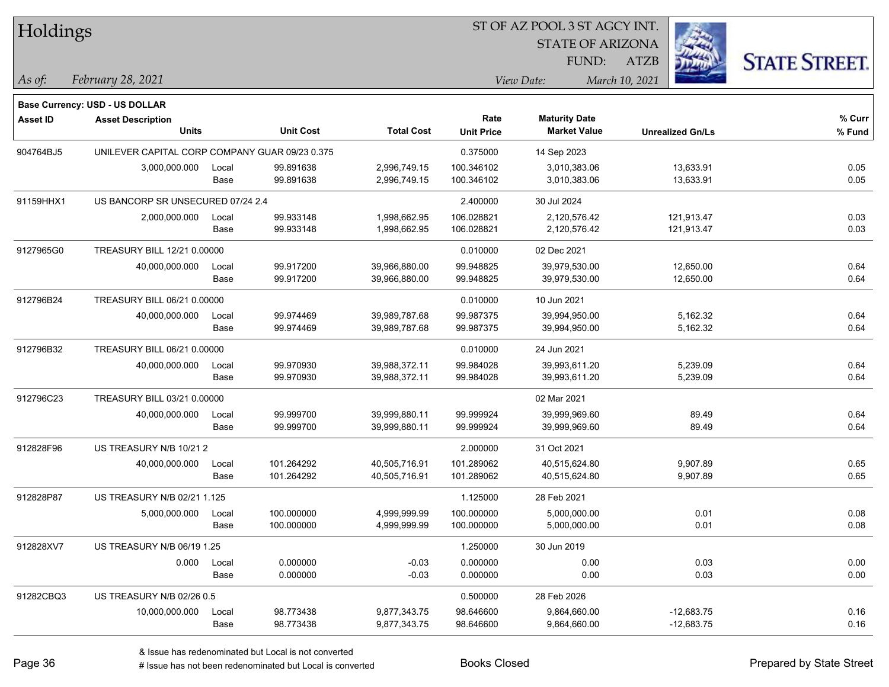| Holdings |  |
|----------|--|
|----------|--|

STATE OF ARIZONA FUND:

ATZB



*February 28, 2021 As of: View Date: March 10, 2021*

**Base Currency: USD - US DOLLAR**

| <b>Asset ID</b> | <b>Asset Description</b>                       |       |                  |                   | Rate              | <b>Maturity Date</b> |                         | % Curr |
|-----------------|------------------------------------------------|-------|------------------|-------------------|-------------------|----------------------|-------------------------|--------|
|                 | <b>Units</b>                                   |       | <b>Unit Cost</b> | <b>Total Cost</b> | <b>Unit Price</b> | <b>Market Value</b>  | <b>Unrealized Gn/Ls</b> | % Fund |
| 904764BJ5       | UNILEVER CAPITAL CORP COMPANY GUAR 09/23 0.375 |       |                  |                   | 0.375000          | 14 Sep 2023          |                         |        |
|                 | 3,000,000.000                                  | Local | 99.891638        | 2,996,749.15      | 100.346102        | 3,010,383.06         | 13,633.91               | 0.05   |
|                 |                                                | Base  | 99.891638        | 2,996,749.15      | 100.346102        | 3,010,383.06         | 13,633.91               | 0.05   |
| 91159HHX1       | US BANCORP SR UNSECURED 07/24 2.4              |       |                  |                   | 2.400000          | 30 Jul 2024          |                         |        |
|                 | 2,000,000.000                                  | Local | 99.933148        | 1,998,662.95      | 106.028821        | 2,120,576.42         | 121,913.47              | 0.03   |
|                 |                                                | Base  | 99.933148        | 1,998,662.95      | 106.028821        | 2,120,576.42         | 121,913.47              | 0.03   |
| 9127965G0       | TREASURY BILL 12/21 0.00000                    |       |                  |                   | 0.010000          | 02 Dec 2021          |                         |        |
|                 | 40,000,000.000                                 | Local | 99.917200        | 39,966,880.00     | 99.948825         | 39,979,530.00        | 12,650.00               | 0.64   |
|                 |                                                | Base  | 99.917200        | 39,966,880.00     | 99.948825         | 39,979,530.00        | 12,650.00               | 0.64   |
| 912796B24       | TREASURY BILL 06/21 0.00000                    |       |                  |                   | 0.010000          | 10 Jun 2021          |                         |        |
|                 | 40,000,000.000                                 | Local | 99.974469        | 39,989,787.68     | 99.987375         | 39,994,950.00        | 5,162.32                | 0.64   |
|                 |                                                | Base  | 99.974469        | 39,989,787.68     | 99.987375         | 39,994,950.00        | 5,162.32                | 0.64   |
| 912796B32       | TREASURY BILL 06/21 0.00000                    |       |                  |                   | 0.010000          | 24 Jun 2021          |                         |        |
|                 | 40,000,000.000                                 | Local | 99.970930        | 39,988,372.11     | 99.984028         | 39,993,611.20        | 5,239.09                | 0.64   |
|                 |                                                | Base  | 99.970930        | 39,988,372.11     | 99.984028         | 39,993,611.20        | 5,239.09                | 0.64   |
| 912796C23       | TREASURY BILL 03/21 0.00000                    |       |                  |                   |                   | 02 Mar 2021          |                         |        |
|                 | 40,000,000.000                                 | Local | 99.999700        | 39,999,880.11     | 99.999924         | 39,999,969.60        | 89.49                   | 0.64   |
|                 |                                                | Base  | 99.999700        | 39,999,880.11     | 99.999924         | 39,999,969.60        | 89.49                   | 0.64   |
| 912828F96       | US TREASURY N/B 10/21 2                        |       |                  |                   | 2.000000          | 31 Oct 2021          |                         |        |
|                 | 40,000,000.000                                 | Local | 101.264292       | 40,505,716.91     | 101.289062        | 40,515,624.80        | 9,907.89                | 0.65   |
|                 |                                                | Base  | 101.264292       | 40,505,716.91     | 101.289062        | 40,515,624.80        | 9,907.89                | 0.65   |
| 912828P87       | US TREASURY N/B 02/21 1.125                    |       |                  |                   | 1.125000          | 28 Feb 2021          |                         |        |
|                 | 5,000,000.000                                  | Local | 100.000000       | 4,999,999.99      | 100.000000        | 5,000,000.00         | 0.01                    | 0.08   |
|                 |                                                | Base  | 100.000000       | 4,999,999.99      | 100.000000        | 5,000,000.00         | 0.01                    | 0.08   |
| 912828XV7       | US TREASURY N/B 06/19 1.25                     |       |                  |                   | 1.250000          | 30 Jun 2019          |                         |        |
|                 | 0.000                                          | Local | 0.000000         | $-0.03$           | 0.000000          | 0.00                 | 0.03                    | 0.00   |
|                 |                                                | Base  | 0.000000         | $-0.03$           | 0.000000          | 0.00                 | 0.03                    | 0.00   |
| 91282CBQ3       | US TREASURY N/B 02/26 0.5                      |       |                  |                   | 0.500000          | 28 Feb 2026          |                         |        |
|                 | 10,000,000.000                                 | Local | 98.773438        | 9,877,343.75      | 98.646600         | 9,864,660.00         | $-12,683.75$            | 0.16   |
|                 |                                                | Base  | 98.773438        | 9,877,343.75      | 98.646600         | 9,864,660.00         | $-12,683.75$            | 0.16   |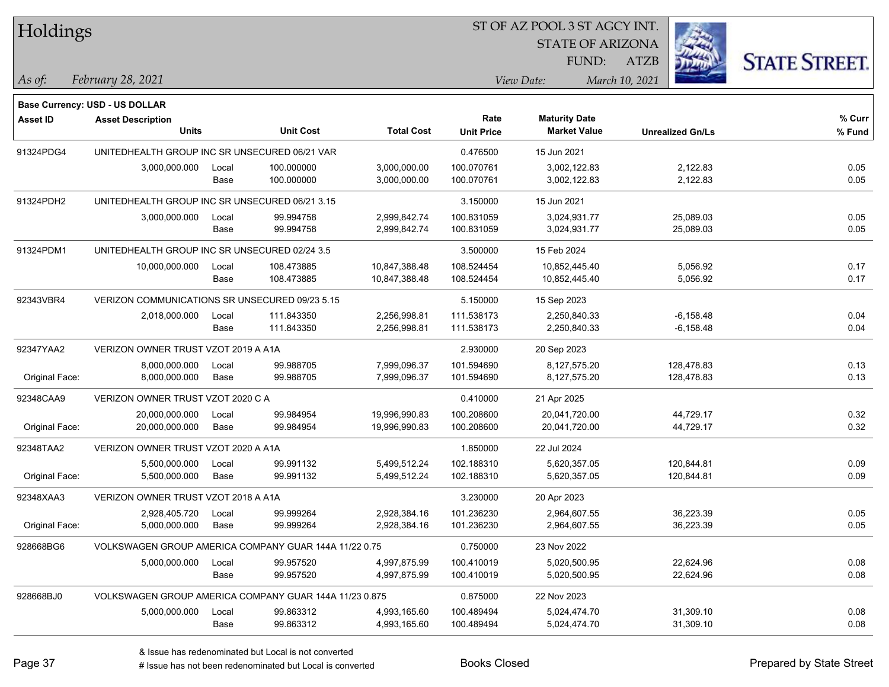| Holdings        |                                                        |       |                  |                   |                   | ST OF AZ POOL 3 ST AGCY INT. |                         |                      |  |  |
|-----------------|--------------------------------------------------------|-------|------------------|-------------------|-------------------|------------------------------|-------------------------|----------------------|--|--|
|                 |                                                        |       |                  |                   |                   | <b>STATE OF ARIZONA</b>      |                         |                      |  |  |
|                 |                                                        |       |                  |                   |                   | FUND:                        | <b>ATZB</b>             | <b>STATE STREET.</b> |  |  |
| As of:          | February 28, 2021                                      |       |                  |                   |                   | View Date:                   | March 10, 2021          |                      |  |  |
|                 | Base Currency: USD - US DOLLAR                         |       |                  |                   |                   |                              |                         |                      |  |  |
| <b>Asset ID</b> | <b>Asset Description</b>                               |       |                  |                   | Rate              | <b>Maturity Date</b>         |                         | $%$ Curr             |  |  |
|                 | <b>Units</b>                                           |       | <b>Unit Cost</b> | <b>Total Cost</b> | <b>Unit Price</b> | <b>Market Value</b>          | <b>Unrealized Gn/Ls</b> | % Fund               |  |  |
| 91324PDG4       | UNITEDHEALTH GROUP INC SR UNSECURED 06/21 VAR          |       |                  |                   | 0.476500          | 15 Jun 2021                  |                         |                      |  |  |
|                 | 3,000,000.000                                          | Local | 100.000000       | 3,000,000.00      | 100.070761        | 3,002,122.83                 | 2,122.83                | 0.05                 |  |  |
|                 |                                                        | Base  | 100.000000       | 3,000,000.00      | 100.070761        | 3,002,122.83                 | 2,122.83                | 0.05                 |  |  |
| 91324PDH2       | UNITEDHEALTH GROUP INC SR UNSECURED 06/21 3.15         |       |                  |                   | 3.150000          | 15 Jun 2021                  |                         |                      |  |  |
|                 | 3,000,000.000                                          | Local | 99.994758        | 2,999,842.74      | 100.831059        | 3,024,931.77                 | 25,089.03               | 0.05                 |  |  |
|                 |                                                        | Base  | 99.994758        | 2,999,842.74      | 100.831059        | 3,024,931.77                 | 25,089.03               | 0.05                 |  |  |
| 91324PDM1       | UNITEDHEALTH GROUP INC SR UNSECURED 02/24 3.5          |       |                  |                   | 3.500000          | 15 Feb 2024                  |                         |                      |  |  |
|                 | 10,000,000.000                                         | Local | 108.473885       | 10,847,388.48     | 108.524454        | 10,852,445.40                | 5,056.92                | 0.17                 |  |  |
|                 |                                                        | Base  | 108.473885       | 10,847,388.48     | 108.524454        | 10,852,445.40                | 5,056.92                | 0.17                 |  |  |
| 92343VBR4       | VERIZON COMMUNICATIONS SR UNSECURED 09/23 5.15         |       |                  |                   | 5.150000          | 15 Sep 2023                  |                         |                      |  |  |
|                 | 2,018,000.000                                          | Local | 111.843350       | 2,256,998.81      | 111.538173        | 2,250,840.33                 | $-6,158.48$             | 0.04                 |  |  |
|                 |                                                        | Base  | 111.843350       | 2,256,998.81      | 111.538173        | 2,250,840.33                 | $-6,158.48$             | 0.04                 |  |  |
| 92347YAA2       | VERIZON OWNER TRUST VZOT 2019 A A1A                    |       |                  |                   | 2.930000          | 20 Sep 2023                  |                         |                      |  |  |
|                 | 8,000,000.000                                          | Local | 99.988705        | 7,999,096.37      | 101.594690        | 8,127,575.20                 | 128,478.83              | 0.13                 |  |  |
| Original Face:  | 8,000,000.000                                          | Base  | 99.988705        | 7,999,096.37      | 101.594690        | 8,127,575.20                 | 128,478.83              | 0.13                 |  |  |
| 92348CAA9       | VERIZON OWNER TRUST VZOT 2020 C A                      |       |                  |                   | 0.410000          | 21 Apr 2025                  |                         |                      |  |  |
|                 | 20,000,000.000                                         | Local | 99.984954        | 19,996,990.83     | 100.208600        | 20,041,720.00                | 44,729.17               | 0.32                 |  |  |
| Original Face:  | 20,000,000.000                                         | Base  | 99.984954        | 19,996,990.83     | 100.208600        | 20,041,720.00                | 44,729.17               | 0.32                 |  |  |
| 92348TAA2       | VERIZON OWNER TRUST VZOT 2020 A A1A                    |       |                  |                   | 1.850000          | 22 Jul 2024                  |                         |                      |  |  |
|                 | 5,500,000.000                                          | Local | 99.991132        | 5,499,512.24      | 102.188310        | 5,620,357.05                 | 120,844.81              | 0.09                 |  |  |
| Original Face:  | 5,500,000.000                                          | Base  | 99.991132        | 5,499,512.24      | 102.188310        | 5,620,357.05                 | 120,844.81              | 0.09                 |  |  |
| 92348XAA3       | VERIZON OWNER TRUST VZOT 2018 A A1A                    |       |                  |                   | 3.230000          | 20 Apr 2023                  |                         |                      |  |  |
|                 | 2,928,405.720                                          | Local | 99.999264        | 2,928,384.16      | 101.236230        | 2,964,607.55                 | 36,223.39               | 0.05                 |  |  |
| Original Face:  | 5,000,000.000                                          | Base  | 99.999264        | 2,928,384.16      | 101.236230        | 2,964,607.55                 | 36,223.39               | 0.05                 |  |  |
| 928668BG6       | VOLKSWAGEN GROUP AMERICA COMPANY GUAR 144A 11/22 0.75  |       |                  |                   | 0.750000          | 23 Nov 2022                  |                         |                      |  |  |
|                 | 5,000,000.000                                          | Local | 99.957520        | 4,997,875.99      | 100.410019        | 5,020,500.95                 | 22,624.96               | 0.08                 |  |  |
|                 |                                                        | Base  | 99.957520        | 4,997,875.99      | 100.410019        | 5,020,500.95                 | 22,624.96               | 0.08                 |  |  |
| 928668BJ0       | VOLKSWAGEN GROUP AMERICA COMPANY GUAR 144A 11/23 0.875 |       |                  |                   | 0.875000          | 22 Nov 2023                  |                         |                      |  |  |
|                 | 5,000,000.000                                          | Local | 99.863312        | 4,993,165.60      | 100.489494        | 5,024,474.70                 | 31,309.10               | 0.08                 |  |  |
|                 |                                                        | Base  | 99.863312        | 4,993,165.60      | 100.489494        | 5,024,474.70                 | 31,309.10               | 0.08                 |  |  |

 $\overline{\phantom{0}}$ 

# Issue has not been redenominated but Local is converted Books Closed Prepared by State Street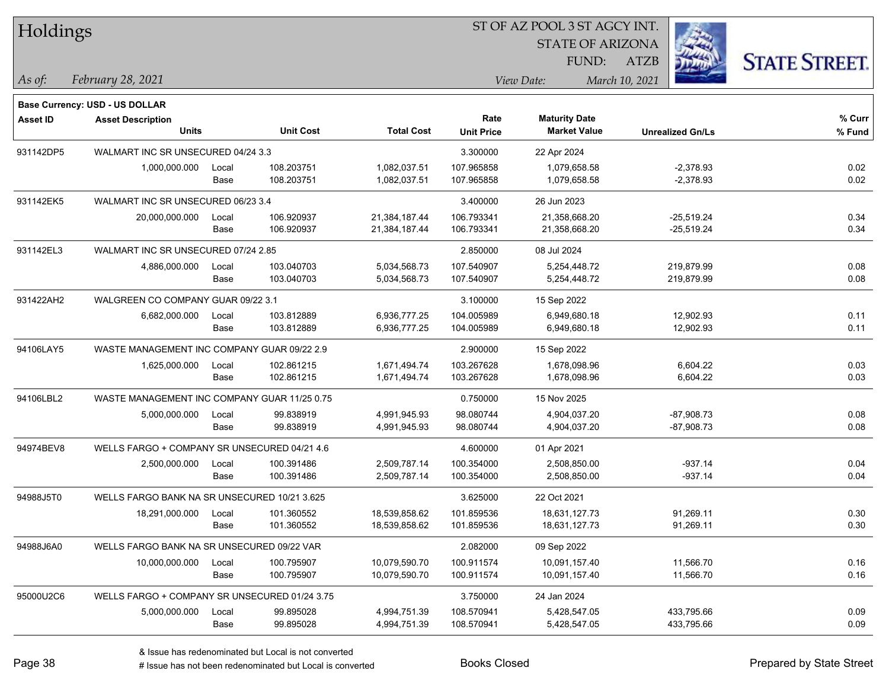| Holdings        |                                               |               |                          |                                |                           | <b>STATE OF ARIZONA</b><br>FUND:            | <b>ATZB</b>                  | <b>STATE STREET.</b> |
|-----------------|-----------------------------------------------|---------------|--------------------------|--------------------------------|---------------------------|---------------------------------------------|------------------------------|----------------------|
| As of:          | February 28, 2021                             |               |                          |                                |                           | View Date:                                  | March 10, 2021               |                      |
|                 | Base Currency: USD - US DOLLAR                |               |                          |                                |                           |                                             |                              |                      |
| <b>Asset ID</b> | <b>Asset Description</b><br><b>Units</b>      |               | <b>Unit Cost</b>         | <b>Total Cost</b>              | Rate<br><b>Unit Price</b> | <b>Maturity Date</b><br><b>Market Value</b> | <b>Unrealized Gn/Ls</b>      | % Curr<br>% Fund     |
| 931142DP5       | WALMART INC SR UNSECURED 04/24 3.3            |               |                          |                                | 3.300000                  | 22 Apr 2024                                 |                              |                      |
|                 | 1,000,000.000                                 | Local<br>Base | 108.203751<br>108.203751 | 1,082,037.51<br>1,082,037.51   | 107.965858<br>107.965858  | 1,079,658.58<br>1,079,658.58                | $-2,378.93$<br>$-2,378.93$   | 0.02<br>0.02         |
| 931142EK5       | WALMART INC SR UNSECURED 06/23 3.4            |               |                          |                                | 3.400000                  | 26 Jun 2023                                 |                              |                      |
|                 | 20,000,000.000                                | Local<br>Base | 106.920937<br>106.920937 | 21,384,187.44<br>21,384,187.44 | 106.793341<br>106.793341  | 21,358,668.20<br>21,358,668.20              | $-25,519.24$<br>$-25,519.24$ | 0.34<br>0.34         |
| 931142EL3       | WALMART INC SR UNSECURED 07/24 2.85           |               |                          |                                | 2.850000                  | 08 Jul 2024                                 |                              |                      |
|                 | 4,886,000.000                                 | Local<br>Base | 103.040703<br>103.040703 | 5,034,568.73<br>5,034,568.73   | 107.540907<br>107.540907  | 5,254,448.72<br>5,254,448.72                | 219,879.99<br>219,879.99     | 0.08<br>0.08         |
| 931422AH2       | WALGREEN CO COMPANY GUAR 09/22 3.1            |               |                          |                                | 3.100000                  | 15 Sep 2022                                 |                              |                      |
|                 | 6,682,000.000                                 | Local<br>Base | 103.812889<br>103.812889 | 6,936,777.25<br>6,936,777.25   | 104.005989<br>104.005989  | 6,949,680.18<br>6,949,680.18                | 12,902.93<br>12,902.93       | 0.11<br>0.11         |
| 94106LAY5       | WASTE MANAGEMENT INC COMPANY GUAR 09/22 2.9   |               |                          |                                | 2.900000                  | 15 Sep 2022                                 |                              |                      |
|                 | 1,625,000.000                                 | Local<br>Base | 102.861215<br>102.861215 | 1,671,494.74<br>1,671,494.74   | 103.267628<br>103.267628  | 1,678,098.96<br>1,678,098.96                | 6,604.22<br>6,604.22         | 0.03<br>0.03         |
| 94106LBL2       | WASTE MANAGEMENT INC COMPANY GUAR 11/25 0.75  |               |                          |                                | 0.750000                  | 15 Nov 2025                                 |                              |                      |
|                 | 5,000,000.000                                 | Local<br>Base | 99.838919<br>99.838919   | 4,991,945.93<br>4,991,945.93   | 98.080744<br>98.080744    | 4,904,037.20<br>4,904,037.20                | $-87,908.73$<br>$-87,908.73$ | 0.08<br>0.08         |
| 94974BEV8       | WELLS FARGO + COMPANY SR UNSECURED 04/21 4.6  |               |                          |                                | 4.600000                  | 01 Apr 2021                                 |                              |                      |
|                 | 2,500,000.000                                 | Local<br>Base | 100.391486<br>100.391486 | 2,509,787.14<br>2,509,787.14   | 100.354000<br>100.354000  | 2,508,850.00<br>2,508,850.00                | $-937.14$<br>$-937.14$       | 0.04<br>0.04         |
| 94988J5T0       | WELLS FARGO BANK NA SR UNSECURED 10/21 3.625  |               |                          |                                | 3.625000                  | 22 Oct 2021                                 |                              |                      |
|                 | 18,291,000.000                                | Local<br>Base | 101.360552<br>101.360552 | 18,539,858.62<br>18,539,858.62 | 101.859536<br>101.859536  | 18,631,127.73<br>18,631,127.73              | 91,269.11<br>91,269.11       | 0.30<br>0.30         |
| 94988J6A0       | WELLS FARGO BANK NA SR UNSECURED 09/22 VAR    |               |                          |                                | 2.082000                  | 09 Sep 2022                                 |                              |                      |
|                 | 10,000,000.000                                | Local<br>Base | 100.795907<br>100.795907 | 10,079,590.70<br>10,079,590.70 | 100.911574<br>100.911574  | 10,091,157.40<br>10,091,157.40              | 11,566.70<br>11,566.70       | 0.16<br>0.16         |
| 95000U2C6       | WELLS FARGO + COMPANY SR UNSECURED 01/24 3.75 |               |                          |                                | 3.750000                  | 24 Jan 2024                                 |                              |                      |
|                 | 5,000,000.000                                 | Local<br>Base | 99.895028<br>99.895028   | 4,994,751.39<br>4,994,751.39   | 108.570941<br>108.570941  | 5,428,547.05<br>5,428,547.05                | 433,795.66<br>433,795.66     | 0.09<br>0.09         |

**SINGS** 

 $TT.1.1$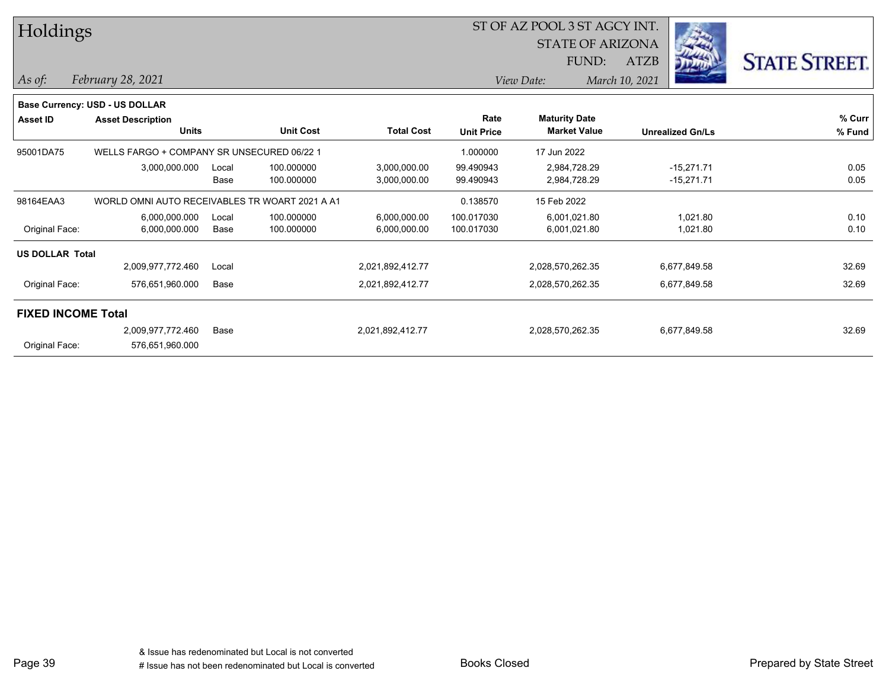| Holdings               |                                                |       |                  |                   |                   | ST OF AZ POOL 3 ST AGCY INT. |                |                         |                      |
|------------------------|------------------------------------------------|-------|------------------|-------------------|-------------------|------------------------------|----------------|-------------------------|----------------------|
|                        |                                                |       |                  |                   |                   | <b>STATE OF ARIZONA</b>      |                |                         |                      |
|                        |                                                |       |                  |                   |                   | FUND:                        | ATZB           |                         | <b>STATE STREET.</b> |
| As of:                 | February 28, 2021                              |       |                  |                   |                   | View Date:                   | March 10, 2021 |                         |                      |
|                        | Base Currency: USD - US DOLLAR                 |       |                  |                   |                   |                              |                |                         |                      |
| <b>Asset ID</b>        | <b>Asset Description</b>                       |       |                  |                   | Rate              | <b>Maturity Date</b>         |                |                         | % Curr               |
|                        | <b>Units</b>                                   |       | <b>Unit Cost</b> | <b>Total Cost</b> | <b>Unit Price</b> | <b>Market Value</b>          |                | <b>Unrealized Gn/Ls</b> | % Fund               |
| 95001DA75              | WELLS FARGO + COMPANY SR UNSECURED 06/22 1     |       |                  |                   | 1.000000          | 17 Jun 2022                  |                |                         |                      |
|                        | 3,000,000.000                                  | Local | 100.000000       | 3,000,000.00      | 99.490943         | 2,984,728.29                 |                | $-15,271.71$            | 0.05                 |
|                        |                                                | Base  | 100.000000       | 3,000,000.00      | 99.490943         | 2,984,728.29                 |                | $-15,271.71$            | 0.05                 |
| 98164EAA3              | WORLD OMNI AUTO RECEIVABLES TR WOART 2021 A A1 |       |                  |                   | 0.138570          | 15 Feb 2022                  |                |                         |                      |
|                        | 6,000,000.000                                  | Local | 100.000000       | 6,000,000.00      | 100.017030        | 6,001,021.80                 |                | 1,021.80                | 0.10                 |
| Original Face:         | 6,000,000.000                                  | Base  | 100.000000       | 6,000,000.00      | 100.017030        | 6,001,021.80                 |                | 1,021.80                | 0.10                 |
| <b>US DOLLAR Total</b> |                                                |       |                  |                   |                   |                              |                |                         |                      |
|                        | 2,009,977,772.460                              | Local |                  | 2,021,892,412.77  |                   | 2,028,570,262.35             |                | 6,677,849.58            | 32.69                |
| Original Face:         | 576,651,960.000                                | Base  |                  | 2,021,892,412.77  |                   | 2,028,570,262.35             |                | 6,677,849.58            | 32.69                |
|                        | <b>FIXED INCOME Total</b>                      |       |                  |                   |                   |                              |                |                         |                      |
|                        | 2,009,977,772.460                              | Base  |                  | 2,021,892,412.77  |                   | 2,028,570,262.35             |                | 6,677,849.58            | 32.69                |
| Original Face:         | 576,651,960.000                                |       |                  |                   |                   |                              |                |                         |                      |
|                        |                                                |       |                  |                   |                   |                              |                |                         |                      |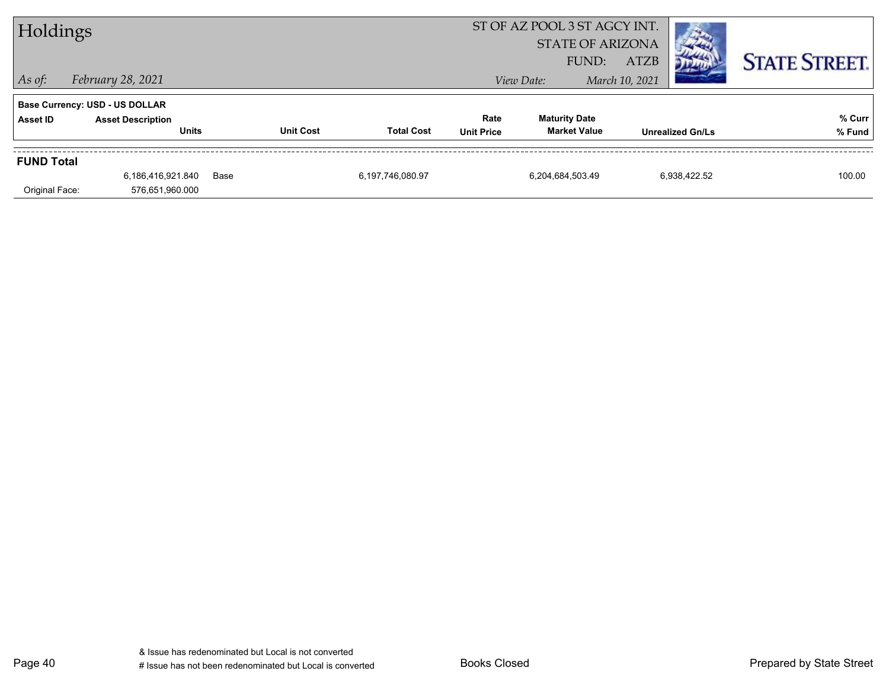| Holdings          |                                          |      | ST OF AZ POOL 3 ST AGCY INT.<br><b>STATE OF ARIZONA</b> |                   |                           |                                             |                         |              |                      |
|-------------------|------------------------------------------|------|---------------------------------------------------------|-------------------|---------------------------|---------------------------------------------|-------------------------|--------------|----------------------|
|                   |                                          |      |                                                         |                   |                           | FUND:                                       | <b>ATZB</b>             |              | <b>STATE STREET.</b> |
| $ $ As of:        | February 28, 2021                        |      |                                                         |                   |                           | View Date:                                  | March 10, 2021          |              |                      |
|                   | <b>Base Currency: USD - US DOLLAR</b>    |      |                                                         |                   |                           |                                             |                         |              |                      |
| Asset ID          | <b>Asset Description</b><br><b>Units</b> |      | <b>Unit Cost</b>                                        | <b>Total Cost</b> | Rate<br><b>Unit Price</b> | <b>Maturity Date</b><br><b>Market Value</b> | <b>Unrealized Gn/Ls</b> |              | % Curr<br>% Fund     |
| <b>FUND Total</b> |                                          |      |                                                         |                   |                           |                                             |                         |              |                      |
|                   | 6,186,416,921.840                        | Base |                                                         | 6,197,746,080.97  |                           | 6,204,684,503.49                            |                         | 6,938,422.52 | 100.00               |
| Original Face:    | 576,651,960.000                          |      |                                                         |                   |                           |                                             |                         |              |                      |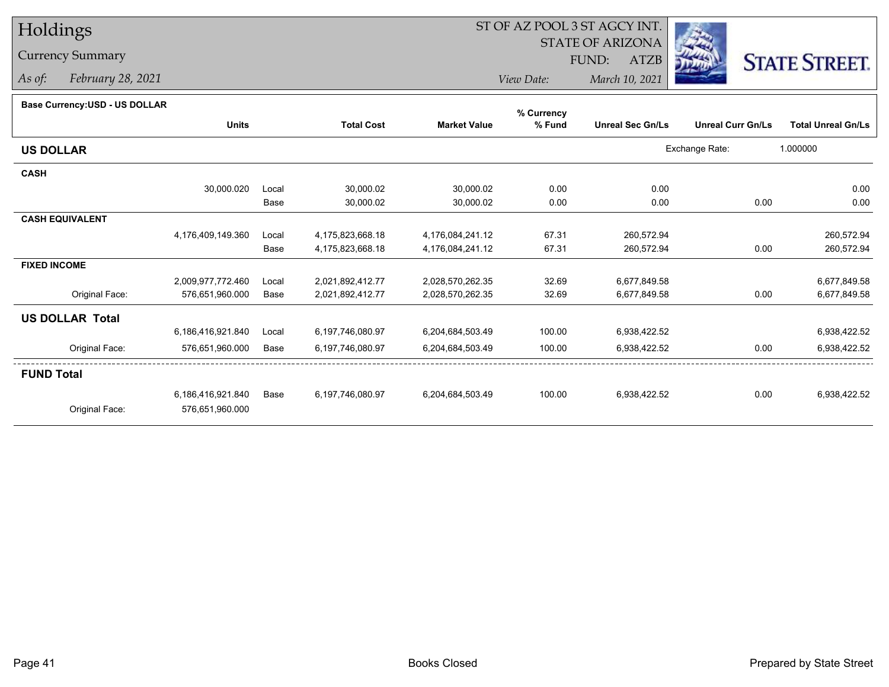# Holdings

# Currency Summary

*As of: February 28, 2021*

# ST OF AZ POOL 3 ST AGCY INT.

STATE OF ARIZONA

FUND: ATZB



*View Date:March 10, 2021*

| <b>Dase Ourlelley.00D - 00 DOLLAR</b> |                   |       |                   |                     | % Currency |                         |                          |                           |
|---------------------------------------|-------------------|-------|-------------------|---------------------|------------|-------------------------|--------------------------|---------------------------|
|                                       | <b>Units</b>      |       | <b>Total Cost</b> | <b>Market Value</b> | % Fund     | <b>Unreal Sec Gn/Ls</b> | <b>Unreal Curr Gn/Ls</b> | <b>Total Unreal Gn/Ls</b> |
| <b>US DOLLAR</b>                      |                   |       |                   |                     |            |                         | Exchange Rate:           | 1.000000                  |
| <b>CASH</b>                           |                   |       |                   |                     |            |                         |                          |                           |
|                                       | 30,000.020        | Local | 30,000.02         | 30,000.02           | 0.00       | 0.00                    |                          | 0.00                      |
|                                       |                   | Base  | 30,000.02         | 30,000.02           | 0.00       | 0.00                    | 0.00                     | 0.00                      |
| <b>CASH EQUIVALENT</b>                |                   |       |                   |                     |            |                         |                          |                           |
|                                       | 4,176,409,149.360 | Local | 4,175,823,668.18  | 4,176,084,241.12    | 67.31      | 260,572.94              |                          | 260,572.94                |
|                                       |                   | Base  | 4,175,823,668.18  | 4,176,084,241.12    | 67.31      | 260,572.94              | 0.00                     | 260,572.94                |
| <b>FIXED INCOME</b>                   |                   |       |                   |                     |            |                         |                          |                           |
|                                       | 2,009,977,772.460 | Local | 2,021,892,412.77  | 2,028,570,262.35    | 32.69      | 6,677,849.58            |                          | 6,677,849.58              |
| Original Face:                        | 576,651,960.000   | Base  | 2,021,892,412.77  | 2,028,570,262.35    | 32.69      | 6,677,849.58            | 0.00                     | 6,677,849.58              |
| <b>US DOLLAR Total</b>                |                   |       |                   |                     |            |                         |                          |                           |
|                                       | 6,186,416,921.840 | Local | 6,197,746,080.97  | 6,204,684,503.49    | 100.00     | 6,938,422.52            |                          | 6,938,422.52              |
| Original Face:                        | 576,651,960.000   | Base  | 6,197,746,080.97  | 6,204,684,503.49    | 100.00     | 6,938,422.52            | 0.00                     | 6,938,422.52              |
| <b>FUND Total</b>                     |                   |       |                   |                     |            |                         |                          |                           |
|                                       | 6,186,416,921.840 | Base  | 6,197,746,080.97  | 6,204,684,503.49    | 100.00     | 6,938,422.52            | 0.00                     | 6,938,422.52              |
| Original Face:                        | 576,651,960.000   |       |                   |                     |            |                         |                          |                           |
|                                       |                   |       |                   |                     |            |                         |                          |                           |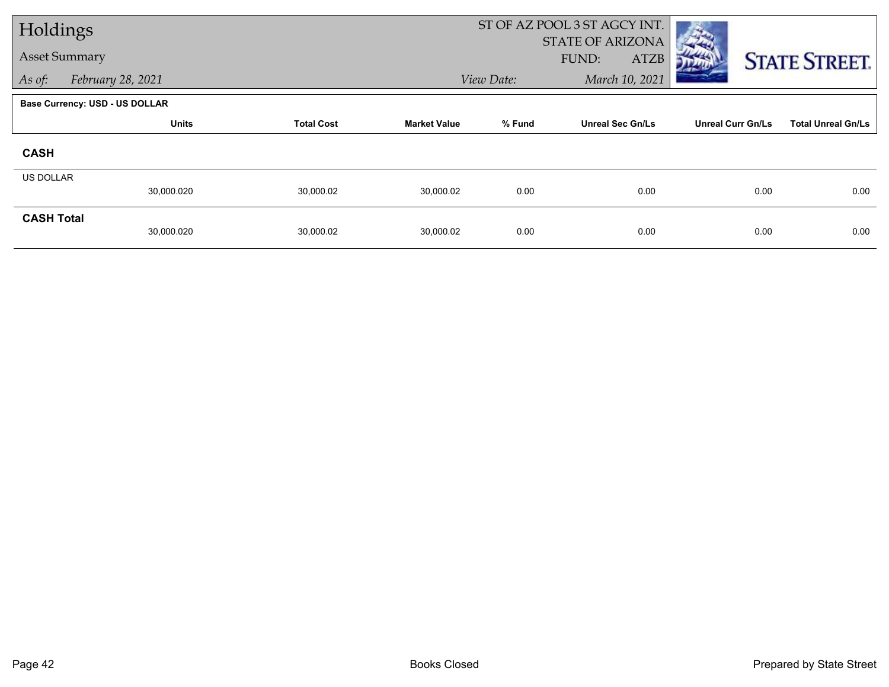| Holdings          |                                       |                   |                     |            | ST OF AZ POOL 3 ST AGCY INT. |                          |                           |
|-------------------|---------------------------------------|-------------------|---------------------|------------|------------------------------|--------------------------|---------------------------|
|                   | <b>Asset Summary</b>                  |                   |                     |            | <b>STATE OF ARIZONA</b>      |                          |                           |
|                   |                                       |                   |                     |            | FUND:<br><b>ATZB</b>         |                          | <b>STATE STREET.</b>      |
| As of:            | February 28, 2021                     |                   |                     | View Date: | March 10, 2021               |                          |                           |
|                   | <b>Base Currency: USD - US DOLLAR</b> |                   |                     |            |                              |                          |                           |
|                   | <b>Units</b>                          | <b>Total Cost</b> | <b>Market Value</b> | % Fund     | <b>Unreal Sec Gn/Ls</b>      | <b>Unreal Curr Gn/Ls</b> | <b>Total Unreal Gn/Ls</b> |
| <b>CASH</b>       |                                       |                   |                     |            |                              |                          |                           |
| <b>US DOLLAR</b>  |                                       |                   |                     |            |                              |                          |                           |
|                   | 30,000.020                            | 30,000.02         | 30,000.02           | 0.00       | 0.00                         | 0.00                     | 0.00                      |
| <b>CASH Total</b> |                                       |                   |                     |            |                              |                          |                           |
|                   | 30,000.020                            | 30,000.02         | 30,000.02           | 0.00       | 0.00                         | 0.00                     | 0.00                      |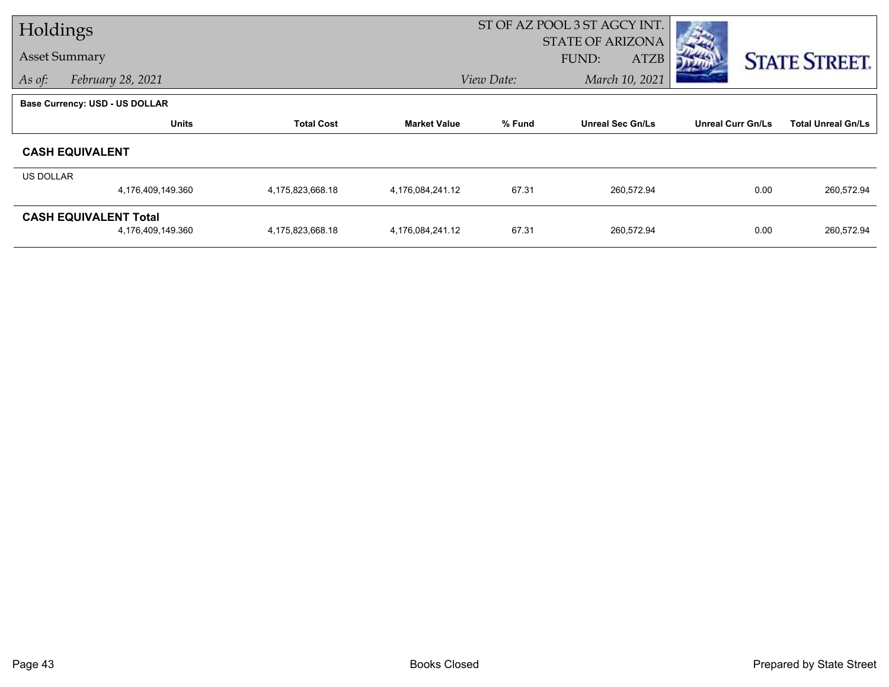| Holdings  |                                       |                   |                     | ST OF AZ POOL 3 ST AGCY INT. |                         |                          |                           |
|-----------|---------------------------------------|-------------------|---------------------|------------------------------|-------------------------|--------------------------|---------------------------|
|           |                                       |                   |                     |                              | <b>STATE OF ARIZONA</b> |                          |                           |
|           | <b>Asset Summary</b>                  |                   |                     |                              | FUND:<br><b>ATZB</b>    |                          | <b>STATE STREET.</b>      |
| As of:    | February 28, 2021                     |                   |                     | View Date:                   | March 10, 2021          |                          |                           |
|           | <b>Base Currency: USD - US DOLLAR</b> |                   |                     |                              |                         |                          |                           |
|           | <b>Units</b>                          | <b>Total Cost</b> | <b>Market Value</b> | % Fund                       | <b>Unreal Sec Gn/Ls</b> | <b>Unreal Curr Gn/Ls</b> | <b>Total Unreal Gn/Ls</b> |
|           | <b>CASH EQUIVALENT</b>                |                   |                     |                              |                         |                          |                           |
| US DOLLAR |                                       |                   |                     |                              |                         |                          |                           |
|           | 4,176,409,149.360                     | 4,175,823,668.18  | 4,176,084,241.12    | 67.31                        | 260,572.94              | 0.00                     | 260,572.94                |
|           | <b>CASH EQUIVALENT Total</b>          |                   |                     |                              |                         |                          |                           |
|           | 4,176,409,149.360                     | 4,175,823,668.18  | 4,176,084,241.12    | 67.31                        | 260,572.94              | 0.00                     | 260,572.94                |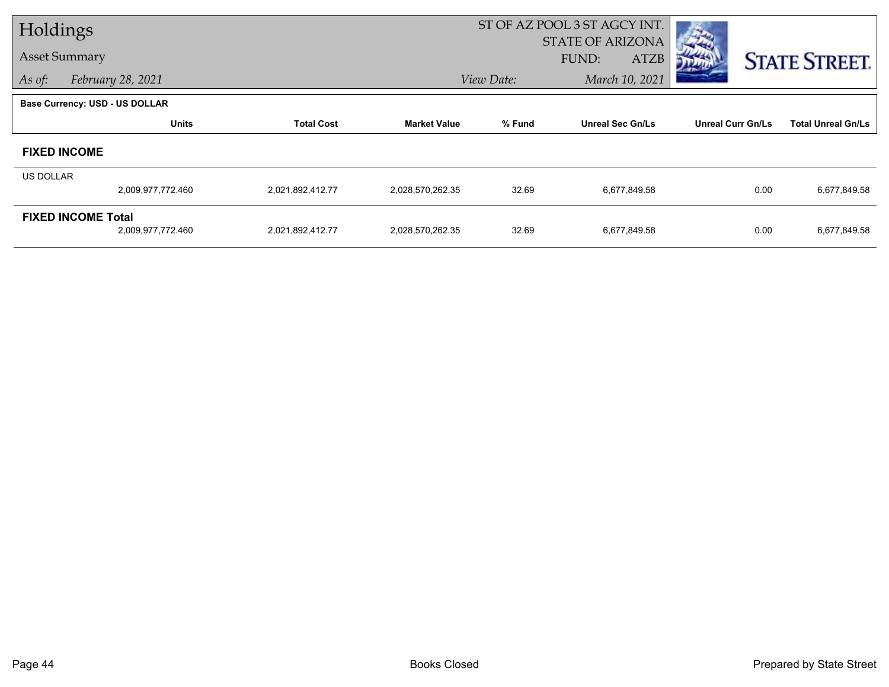| Holdings             |                                       |                   |                     | ST OF AZ POOL 3 ST AGCY INT. |                         |                          |                           |
|----------------------|---------------------------------------|-------------------|---------------------|------------------------------|-------------------------|--------------------------|---------------------------|
|                      |                                       |                   |                     |                              | <b>STATE OF ARIZONA</b> |                          |                           |
| <b>Asset Summary</b> |                                       |                   |                     |                              | <b>ATZB</b><br>FUND:    |                          | <b>STATE STREET.</b>      |
| As of:               | February 28, 2021                     |                   |                     | View Date:                   | March 10, 2021          |                          |                           |
|                      | <b>Base Currency: USD - US DOLLAR</b> |                   |                     |                              |                         |                          |                           |
|                      | <b>Units</b>                          | <b>Total Cost</b> | <b>Market Value</b> | % Fund                       | <b>Unreal Sec Gn/Ls</b> | <b>Unreal Curr Gn/Ls</b> | <b>Total Unreal Gn/Ls</b> |
|                      | <b>FIXED INCOME</b>                   |                   |                     |                              |                         |                          |                           |
| <b>US DOLLAR</b>     |                                       |                   |                     |                              |                         |                          |                           |
|                      | 2,009,977,772.460                     | 2,021,892,412.77  | 2,028,570,262.35    | 32.69                        | 6,677,849.58            | 0.00                     | 6,677,849.58              |
|                      | <b>FIXED INCOME Total</b>             |                   |                     |                              |                         |                          |                           |
|                      | 2,009,977,772.460                     | 2,021,892,412.77  | 2,028,570,262.35    | 32.69                        | 6,677,849.58            | 0.00                     | 6,677,849.58              |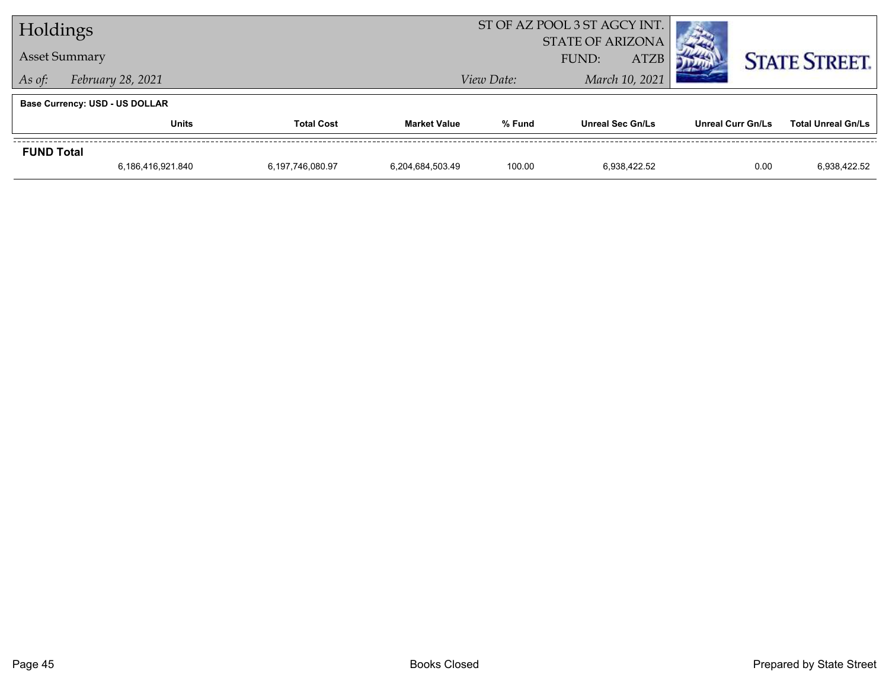| Holdings          |                                |                   |                     | ST OF AZ POOL 3 ST AGCY INT. |                         |                          |                           |  |
|-------------------|--------------------------------|-------------------|---------------------|------------------------------|-------------------------|--------------------------|---------------------------|--|
|                   |                                |                   |                     | <b>STATE OF ARIZONA</b>      |                         |                          |                           |  |
|                   | <b>Asset Summary</b>           |                   |                     | <b>ATZB</b><br>FUND:         |                         |                          | <b>STATE STREET.</b>      |  |
| As of:            | February 28, 2021              |                   |                     | View Date:                   | March 10, 2021          |                          |                           |  |
|                   | Base Currency: USD - US DOLLAR |                   |                     |                              |                         |                          |                           |  |
|                   | <b>Units</b>                   | <b>Total Cost</b> | <b>Market Value</b> | % Fund                       | <b>Unreal Sec Gn/Ls</b> | <b>Unreal Curr Gn/Ls</b> | <b>Total Unreal Gn/Ls</b> |  |
| <b>FUND Total</b> |                                |                   |                     |                              |                         |                          |                           |  |
|                   | 6,186,416,921.840              | 6,197,746,080.97  | 6,204,684,503.49    | 100.00                       | 6.938.422.52            | 0.00                     | 6,938,422.52              |  |